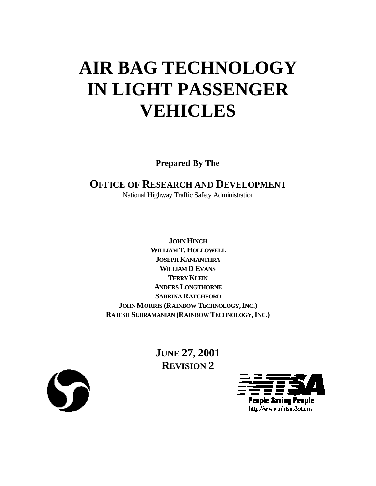# **AIR BAG TECHNOLOGY IN LIGHT PASSENGER VEHICLES**

**Prepared By The**

# **OFFICE OF RESEARCH AND DEVELOPMENT**

National Highway Traffic Safety Administration

**JOHN HINCH WILLIAM T. HOLLOWELL JOSEPH KANIANTHRA WILLIAM D EVANS TERRY KLEIN ANDERS LONGTHORNE SABRINA RATCHFORD JOHN MORRIS (RAINBOW TECHNOLOGY,INC.) RAJESH SUBRAMANIAN (RAINBOW TECHNOLOGY,INC.)**

> **JUNE 27, 2001 REVISION 2**



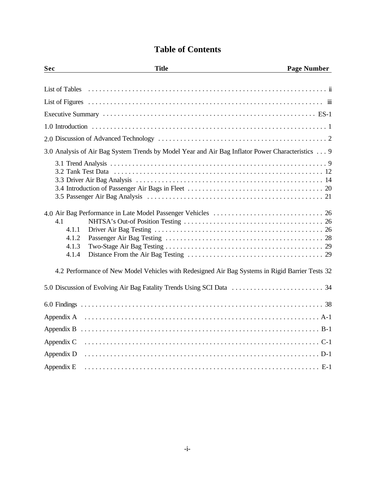# **Table of Contents**

| Sec                                     | <b>Title</b>                                                                                     | <b>Page Number</b> |
|-----------------------------------------|--------------------------------------------------------------------------------------------------|--------------------|
|                                         |                                                                                                  |                    |
|                                         |                                                                                                  |                    |
|                                         |                                                                                                  |                    |
|                                         |                                                                                                  |                    |
|                                         |                                                                                                  |                    |
|                                         |                                                                                                  |                    |
|                                         | 3.0 Analysis of Air Bag System Trends by Model Year and Air Bag Inflator Power Characteristics 9 |                    |
| 4.1<br>4.1.1<br>4.1.2<br>4.1.3<br>4.1.4 |                                                                                                  |                    |
|                                         | 4.2 Performance of New Model Vehicles with Redesigned Air Bag Systems in Rigid Barrier Tests 32  |                    |
|                                         |                                                                                                  |                    |
|                                         |                                                                                                  |                    |
|                                         |                                                                                                  |                    |
|                                         |                                                                                                  |                    |
| Appendix C                              |                                                                                                  |                    |
| Appendix D                              |                                                                                                  |                    |
| Appendix E                              |                                                                                                  |                    |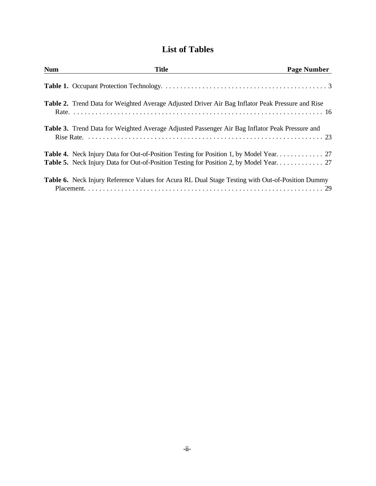# **List of Tables**

<span id="page-2-0"></span>

| <b>Num</b> | <b>Title</b>                                                                                            | <b>Page Number</b> |
|------------|---------------------------------------------------------------------------------------------------------|--------------------|
|            |                                                                                                         |                    |
|            | <b>Table 2.</b> Trend Data for Weighted Average Adjusted Driver Air Bag Inflator Peak Pressure and Rise |                    |
|            | <b>Table 3.</b> Trend Data for Weighted Average Adjusted Passenger Air Bag Inflator Peak Pressure and   |                    |
|            | <b>Table 4.</b> Neck Injury Data for Out-of-Position Testing for Position 1, by Model Year. 27          |                    |
|            | <b>Table 6.</b> Neck Injury Reference Values for Acura RL Dual Stage Testing with Out-of-Position Dummy |                    |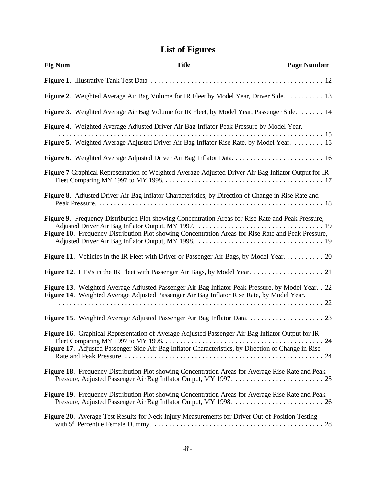# **List of Figures**

<span id="page-3-0"></span>

| <b>Fig Num</b> | <b>Title</b>                                                                                                                                                                                                     | <b>Page Number</b> |
|----------------|------------------------------------------------------------------------------------------------------------------------------------------------------------------------------------------------------------------|--------------------|
|                |                                                                                                                                                                                                                  |                    |
|                | <b>Figure 2.</b> Weighted Average Air Bag Volume for IR Fleet by Model Year, Driver Side. 13                                                                                                                     |                    |
|                | <b>Figure 3.</b> Weighted Average Air Bag Volume for IR Fleet, by Model Year, Passenger Side. 14                                                                                                                 |                    |
|                | Figure 4. Weighted Average Adjusted Driver Air Bag Inflator Peak Pressure by Model Year.<br>Figure 5. Weighted Average Adjusted Driver Air Bag Inflator Rise Rate, by Model Year.  15                            |                    |
|                |                                                                                                                                                                                                                  |                    |
|                | Figure 7 Graphical Representation of Weighted Average Adjusted Driver Air Bag Inflator Output for IR                                                                                                             |                    |
|                | <b>Figure 8.</b> Adjusted Driver Air Bag Inflator Characteristics, by Direction of Change in Rise Rate and                                                                                                       |                    |
|                | <b>Figure 9.</b> Frequency Distribution Plot showing Concentration Areas for Rise Rate and Peak Pressure,<br>Figure 10. Frequency Distribution Plot showing Concentration Areas for Rise Rate and Peak Pressure, |                    |
|                | Figure 11. Vehicles in the IR Fleet with Driver or Passenger Air Bags, by Model Year. 20                                                                                                                         |                    |
|                |                                                                                                                                                                                                                  |                    |
|                | Figure 13. Weighted Average Adjusted Passenger Air Bag Inflator Peak Pressure, by Model Year. . 22<br>Figure 14. Weighted Average Adjusted Passenger Air Bag Inflator Rise Rate, by Model Year.                  |                    |
|                |                                                                                                                                                                                                                  |                    |
|                | Figure 16. Graphical Representation of Average Adjusted Passenger Air Bag Inflator Output for IR<br>Figure 17. Adjusted Passenger-Side Air Bag Inflator Characteristics, by Direction of Change in Rise          |                    |
|                | Figure 18. Frequency Distribution Plot showing Concentration Areas for Average Rise Rate and Peak                                                                                                                |                    |
|                | Figure 19. Frequency Distribution Plot showing Concentration Areas for Average Rise Rate and Peak                                                                                                                |                    |
|                | Figure 20. Average Test Results for Neck Injury Measurements for Driver Out-of-Position Testing                                                                                                                  |                    |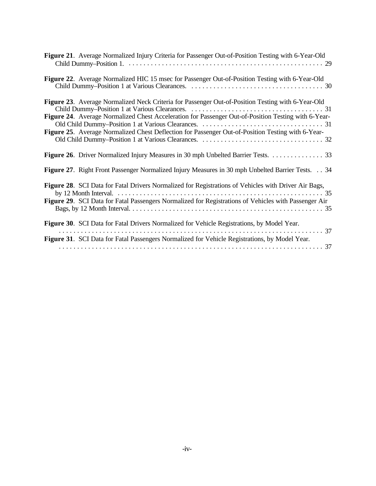| Figure 21. Average Normalized Injury Criteria for Passenger Out-of-Position Testing with 6-Year-Old                                                                                                                                                                                                           |
|---------------------------------------------------------------------------------------------------------------------------------------------------------------------------------------------------------------------------------------------------------------------------------------------------------------|
| Figure 22. Average Normalized HIC 15 msec for Passenger Out-of-Position Testing with 6-Year-Old                                                                                                                                                                                                               |
| Figure 23. Average Normalized Neck Criteria for Passenger Out-of-Position Testing with 6-Year-Old<br>Figure 24. Average Normalized Chest Acceleration for Passenger Out-of-Position Testing with 6-Year-<br>Figure 25. Average Normalized Chest Deflection for Passenger Out-of-Position Testing with 6-Year- |
| Figure 26. Driver Normalized Injury Measures in 30 mph Unbelted Barrier Tests. 33                                                                                                                                                                                                                             |
| <b>Figure 27.</b> Right Front Passenger Normalized Injury Measures in 30 mph Unbelted Barrier Tests. 34                                                                                                                                                                                                       |
| Figure 28. SCI Data for Fatal Drivers Normalized for Registrations of Vehicles with Driver Air Bags,<br>Figure 29. SCI Data for Fatal Passengers Normalized for Registrations of Vehicles with Passenger Air                                                                                                  |
| Figure 30. SCI Data for Fatal Drivers Normalized for Vehicle Registrations, by Model Year.                                                                                                                                                                                                                    |
| Figure 31. SCI Data for Fatal Passengers Normalized for Vehicle Registrations, by Model Year.                                                                                                                                                                                                                 |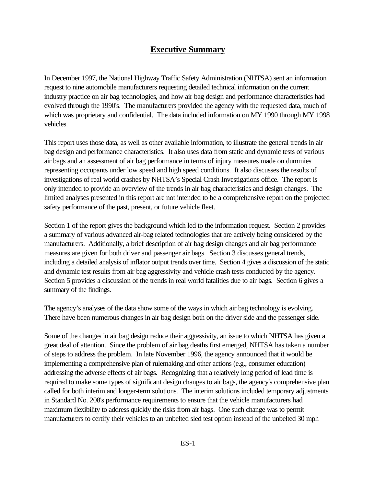## **Executive Summary**

<span id="page-5-0"></span>In December 1997, the National Highway Traffic Safety Administration (NHTSA) sent an information request to nine automobile manufacturers requesting detailed technical information on the current industry practice on air bag technologies, and how air bag design and performance characteristics had evolved through the 1990's. The manufacturers provided the agency with the requested data, much of which was proprietary and confidential. The data included information on MY 1990 through MY 1998 vehicles.

This report uses those data, as well as other available information, to illustrate the general trends in air bag design and performance characteristics. It also uses data from static and dynamic tests of various air bags and an assessment of air bag performance in terms of injury measures made on dummies representing occupants under low speed and high speed conditions. It also discusses the results of investigations of real world crashes by NHTSA's Special Crash Investigations office. The report is only intended to provide an overview of the trends in air bag characteristics and design changes. The limited analyses presented in this report are not intended to be a comprehensive report on the projected safety performance of the past, present, or future vehicle fleet.

Section 1 of the report gives the background which led to the information request. Section 2 provides a summary of various advanced air-bag related technologies that are actively being considered by the manufacturers. Additionally, a brief description of air bag design changes and air bag performance measures are given for both driver and passenger air bags. Section 3 discusses general trends, including a detailed analysis of inflator output trends over time. Section 4 gives a discussion of the static and dynamic test results from air bag aggressivity and vehicle crash tests conducted by the agency. Section 5 provides a discussion of the trends in real world fatalities due to air bags. Section 6 gives a summary of the findings.

The agency's analyses of the data show some of the ways in which air bag technology is evolving. There have been numerous changes in air bag design both on the driver side and the passenger side.

Some of the changes in air bag design reduce their aggressivity, an issue to which NHTSA has given a great deal of attention. Since the problem of air bag deaths first emerged, NHTSA has taken a number of steps to address the problem. In late November 1996, the agency announced that it would be implementing a comprehensive plan of rulemaking and other actions (e.g., consumer education) addressing the adverse effects of air bags. Recognizing that a relatively long period of lead time is required to make some types of significant design changes to air bags, the agency's comprehensive plan called for both interim and longer-term solutions. The interim solutions included temporary adjustments in Standard No. 208's performance requirements to ensure that the vehicle manufacturers had maximum flexibility to address quickly the risks from air bags. One such change was to permit manufacturers to certify their vehicles to an unbelted sled test option instead of the unbelted 30 mph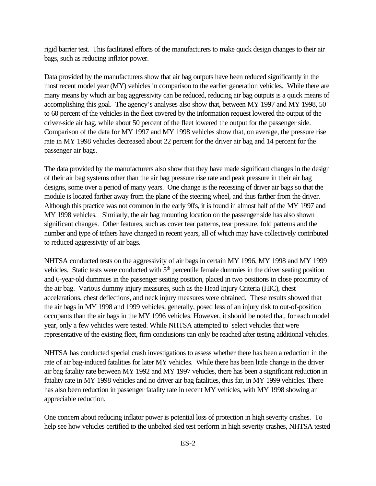rigid barrier test. This facilitated efforts of the manufacturers to make quick design changes to their air bags, such as reducing inflator power.

Data provided by the manufacturers show that air bag outputs have been reduced significantly in the most recent model year (MY) vehicles in comparison to the earlier generation vehicles. While there are many means by which air bag aggressivity can be reduced, reducing air bag outputs is a quick means of accomplishing this goal. The agency's analyses also show that, between MY 1997 and MY 1998, 50 to 60 percent of the vehicles in the fleet covered by the information request lowered the output of the driver-side air bag, while about 50 percent of the fleet lowered the output for the passenger side. Comparison of the data for MY 1997 and MY 1998 vehicles show that, on average, the pressure rise rate in MY 1998 vehicles decreased about 22 percent for the driver air bag and 14 percent for the passenger air bags.

The data provided by the manufacturers also show that they have made significant changes in the design of their air bag systems other than the air bag pressure rise rate and peak pressure in their air bag designs, some over a period of many years. One change is the recessing of driver air bags so that the module is located farther away from the plane of the steering wheel, and thus farther from the driver. Although this practice was not common in the early 90's, it is found in almost half of the MY 1997 and MY 1998 vehicles. Similarly, the air bag mounting location on the passenger side has also shown significant changes. Other features, such as cover tear patterns, tear pressure, fold patterns and the number and type of tethers have changed in recent years, all of which may have collectively contributed to reduced aggressivity of air bags.

NHTSA conducted tests on the aggressivity of air bags in certain MY 1996, MY 1998 and MY 1999 vehicles. Static tests were conducted with 5<sup>th</sup> percentile female dummies in the driver seating position and 6-year-old dummies in the passenger seating position, placed in two positions in close proximity of the air bag. Various dummy injury measures, such as the Head Injury Criteria (HIC), chest accelerations, chest deflections, and neck injury measures were obtained. These results showed that the air bags in MY 1998 and 1999 vehicles, generally, posed less of an injury risk to out-of-position occupants than the air bags in the MY 1996 vehicles. However, it should be noted that, for each model year, only a few vehicles were tested. While NHTSA attempted to select vehicles that were representative of the existing fleet, firm conclusions can only be reached after testing additional vehicles.

NHTSA has conducted special crash investigations to assess whether there has been a reduction in the rate of air bag-induced fatalities for later MY vehicles. While there has been little change in the driver air bag fatality rate between MY 1992 and MY 1997 vehicles, there has been a significant reduction in fatality rate in MY 1998 vehicles and no driver air bag fatalities, thus far, in MY 1999 vehicles. There has also been reduction in passenger fatality rate in recent MY vehicles, with MY 1998 showing an appreciable reduction.

One concern about reducing inflator power is potential loss of protection in high severity crashes. To help see how vehicles certified to the unbelted sled test perform in high severity crashes, NHTSA tested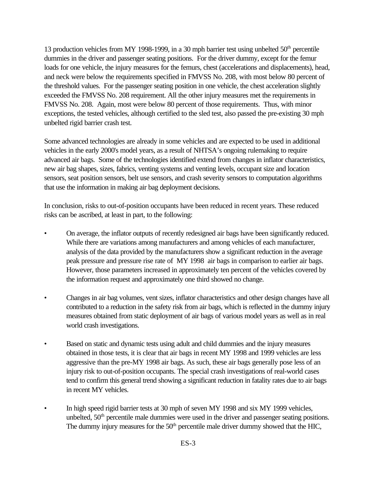13 production vehicles from MY 1998-1999, in a 30 mph barrier test using unbelted  $50<sup>th</sup>$  percentile dummies in the driver and passenger seating positions. For the driver dummy, except for the femur loads for one vehicle, the injury measures for the femurs, chest (accelerations and displacements), head, and neck were below the requirements specified in FMVSS No. 208, with most below 80 percent of the threshold values. For the passenger seating position in one vehicle, the chest acceleration slightly exceeded the FMVSS No. 208 requirement. All the other injury measures met the requirements in FMVSS No. 208. Again, most were below 80 percent of those requirements. Thus, with minor exceptions, the tested vehicles, although certified to the sled test, also passed the pre-existing 30 mph unbelted rigid barrier crash test.

Some advanced technologies are already in some vehicles and are expected to be used in additional vehicles in the early 2000's model years, as a result of NHTSA's ongoing rulemaking to require advanced air bags. Some of the technologies identified extend from changes in inflator characteristics, new air bag shapes, sizes, fabrics, venting systems and venting levels, occupant size and location sensors, seat position sensors, belt use sensors, and crash severity sensors to computation algorithms that use the information in making air bag deployment decisions.

In conclusion, risks to out-of-position occupants have been reduced in recent years. These reduced risks can be ascribed, at least in part, to the following:

- On average, the inflator outputs of recently redesigned air bags have been significantly reduced. While there are variations among manufacturers and among vehicles of each manufacturer, analysis of the data provided by the manufacturers show a significant reduction in the average peak pressure and pressure rise rate of MY 1998 air bags in comparison to earlier air bags. However, those parameters increased in approximately ten percent of the vehicles covered by the information request and approximately one third showed no change.
- Changes in air bag volumes, vent sizes, inflator characteristics and other design changes have all contributed to a reduction in the safety risk from air bags, which is reflected in the dummy injury measures obtained from static deployment of air bags of various model years as well as in real world crash investigations.
- Based on static and dynamic tests using adult and child dummies and the injury measures obtained in those tests, it is clear that air bags in recent MY 1998 and 1999 vehicles are less aggressive than the pre-MY 1998 air bags. As such, these air bags generally pose less of an injury risk to out-of-position occupants. The special crash investigations of real-world cases tend to confirm this general trend showing a significant reduction in fatality rates due to air bags in recent MY vehicles.
- In high speed rigid barrier tests at 30 mph of seven MY 1998 and six MY 1999 vehicles, unbelted,  $50<sup>th</sup>$  percentile male dummies were used in the driver and passenger seating positions. The dummy injury measures for the  $50<sup>th</sup>$  percentile male driver dummy showed that the HIC,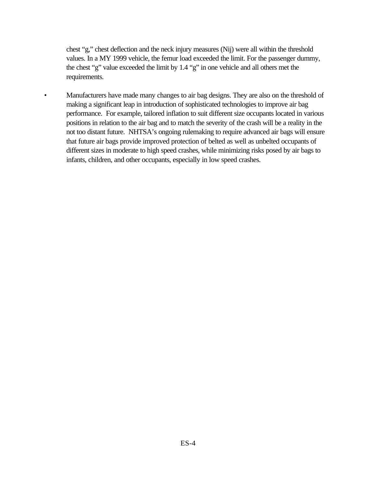chest "g," chest deflection and the neck injury measures (Nij) were all within the threshold values. In a MY 1999 vehicle, the femur load exceeded the limit. For the passenger dummy, the chest "g" value exceeded the limit by 1.4 "g" in one vehicle and all others met the requirements.

• Manufacturers have made many changes to air bag designs. They are also on the threshold of making a significant leap in introduction of sophisticated technologies to improve air bag performance. For example, tailored inflation to suit different size occupants located in various positions in relation to the air bag and to match the severity of the crash will be a reality in the not too distant future. NHTSA's ongoing rulemaking to require advanced air bags will ensure that future air bags provide improved protection of belted as well as unbelted occupants of different sizes in moderate to high speed crashes, while minimizing risks posed by air bags to infants, children, and other occupants, especially in low speed crashes.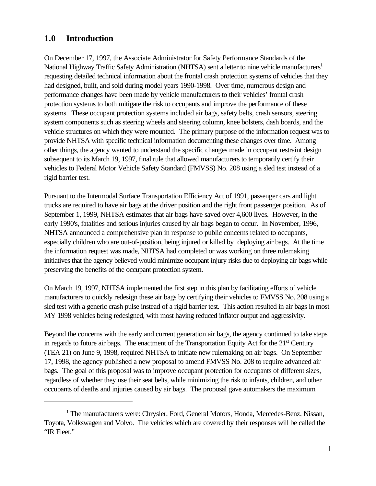## <span id="page-9-0"></span>**1.0 Introduction**

On December 17, 1997, the Associate Administrator for Safety Performance Standards of the National Highway Traffic Safety Administration (NHTSA) sent a letter to nine vehicle manufacturers<sup>1</sup> requesting detailed technical information about the frontal crash protection systems of vehicles that they had designed, built, and sold during model years 1990-1998. Over time, numerous design and performance changes have been made by vehicle manufacturers to their vehicles' frontal crash protection systems to both mitigate the risk to occupants and improve the performance of these systems. These occupant protection systems included air bags, safety belts, crash sensors, steering system components such as steering wheels and steering column, knee bolsters, dash boards, and the vehicle structures on which they were mounted. The primary purpose of the information request was to provide NHTSA with specific technical information documenting these changes over time. Among other things, the agency wanted to understand the specific changes made in occupant restraint design subsequent to its March 19, 1997, final rule that allowed manufacturers to temporarily certify their vehicles to Federal Motor Vehicle Safety Standard (FMVSS) No. 208 using a sled test instead of a rigid barrier test.

Pursuant to the Intermodal Surface Transportation Efficiency Act of 1991, passenger cars and light trucks are required to have air bags at the driver position and the right front passenger position. As of September 1, 1999, NHTSA estimates that air bags have saved over 4,600 lives. However, in the early 1990's, fatalities and serious injuries caused by air bags began to occur. In November, 1996, NHTSA announced a comprehensive plan in response to public concerns related to occupants, especially children who are out-of-position, being injured or killed by deploying air bags. At the time the information request was made, NHTSA had completed or was working on three rulemaking initiatives that the agency believed would minimize occupant injury risks due to deploying air bags while preserving the benefits of the occupant protection system.

On March 19, 1997, NHTSA implemented the first step in this plan by facilitating efforts of vehicle manufacturers to quickly redesign these air bags by certifying their vehicles to FMVSS No. 208 using a sled test with a generic crash pulse instead of a rigid barrier test. This action resulted in air bags in most MY 1998 vehicles being redesigned, with most having reduced inflator output and aggressivity.

Beyond the concerns with the early and current generation air bags, the agency continued to take steps in regards to future air bags. The enactment of the Transportation Equity Act for the  $21<sup>st</sup>$  Century (TEA 21) on June 9, 1998, required NHTSA to initiate new rulemaking on air bags. On September 17, 1998, the agency published a new proposal to amend FMVSS No. 208 to require advanced air bags. The goal of this proposal was to improve occupant protection for occupants of different sizes, regardless of whether they use their seat belts, while minimizing the risk to infants, children, and other occupants of deaths and injuries caused by air bags. The proposal gave automakers the maximum

<sup>&</sup>lt;sup>1</sup> The manufacturers were: Chrysler, Ford, General Motors, Honda, Mercedes-Benz, Nissan, Toyota, Volkswagen and Volvo. The vehicles which are covered by their responses will be called the "IR Fleet."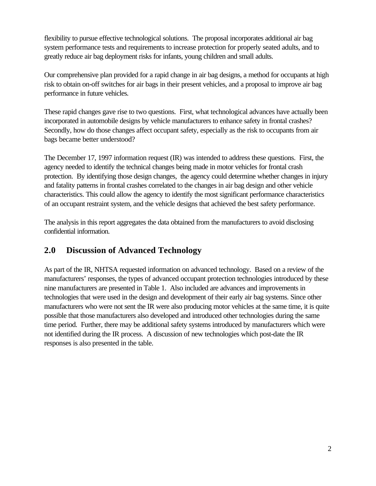<span id="page-10-0"></span>flexibility to pursue effective technological solutions. The proposal incorporates additional air bag system performance tests and requirements to increase protection for properly seated adults, and to greatly reduce air bag deployment risks for infants, young children and small adults.

Our comprehensive plan provided for a rapid change in air bag designs, a method for occupants at high risk to obtain on-off switches for air bags in their present vehicles, and a proposal to improve air bag performance in future vehicles.

These rapid changes gave rise to two questions. First, what technological advances have actually been incorporated in automobile designs by vehicle manufacturers to enhance safety in frontal crashes? Secondly, how do those changes affect occupant safety, especially as the risk to occupants from air bags became better understood?

The December 17, 1997 information request (IR) was intended to address these questions. First, the agency needed to identify the technical changes being made in motor vehicles for frontal crash protection. By identifying those design changes, the agency could determine whether changes in injury and fatality patterns in frontal crashes correlated to the changes in air bag design and other vehicle characteristics. This could allow the agency to identify the most significant performance characteristics of an occupant restraint system, and the vehicle designs that achieved the best safety performance.

The analysis in this report aggregates the data obtained from the manufacturers to avoid disclosing confidential information.

## **2.0 Discussion of Advanced Technology**

As part of the IR, NHTSA requested information on advanced technology. Based on a review of the manufacturers' responses, the types of advanced occupant protection technologies introduced by these nine manufacturers are presented in Table 1. Also included are advances and improvements in technologies that were used in the design and development of their early air bag systems. Since other manufacturers who were not sent the IR were also producing motor vehicles at the same time, it is quite possible that those manufacturers also developed and introduced other technologies during the same time period. Further, there may be additional safety systems introduced by manufacturers which were not identified during the IR process. A discussion of new technologies which post-date the IR responses is also presented in the table.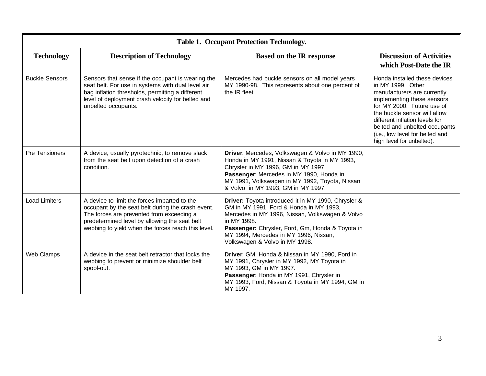| <b>Table 1. Occupant Protection Technology.</b> |                                                                                                                                                                                                                                                       |                                                                                                                                                                                                                                                                                                 |                                                                                                                                                                                                                                                                                                                  |
|-------------------------------------------------|-------------------------------------------------------------------------------------------------------------------------------------------------------------------------------------------------------------------------------------------------------|-------------------------------------------------------------------------------------------------------------------------------------------------------------------------------------------------------------------------------------------------------------------------------------------------|------------------------------------------------------------------------------------------------------------------------------------------------------------------------------------------------------------------------------------------------------------------------------------------------------------------|
| <b>Technology</b>                               | <b>Description of Technology</b>                                                                                                                                                                                                                      | <b>Based on the IR response</b>                                                                                                                                                                                                                                                                 | <b>Discussion of Activities</b><br>which Post-Date the IR                                                                                                                                                                                                                                                        |
| <b>Buckle Sensors</b>                           | Sensors that sense if the occupant is wearing the<br>seat belt. For use in systems with dual level air<br>bag inflation thresholds, permitting a different<br>level of deployment crash velocity for belted and<br>unbelted occupants.                | Mercedes had buckle sensors on all model years<br>MY 1990-98. This represents about one percent of<br>the IR fleet.                                                                                                                                                                             | Honda installed these devices<br>in MY 1999. Other<br>manufacturers are currently<br>implementing these sensors<br>for MY 2000. Future use of<br>the buckle sensor will allow<br>different inflation levels for<br>belted and unbelted occupants<br>(i.e., low level for belted and<br>high level for unbelted). |
| <b>Pre Tensioners</b>                           | A device, usually pyrotechnic, to remove slack<br>from the seat belt upon detection of a crash<br>condition.                                                                                                                                          | Driver: Mercedes, Volkswagen & Volvo in MY 1990,<br>Honda in MY 1991, Nissan & Toyota in MY 1993,<br>Chrysler in MY 1996, GM in MY 1997.<br>Passenger: Mercedes in MY 1990, Honda in<br>MY 1991, Volkswagen in MY 1992, Toyota, Nissan<br>& Volvo in MY 1993, GM in MY 1997.                    |                                                                                                                                                                                                                                                                                                                  |
| <b>Load Limiters</b>                            | A device to limit the forces imparted to the<br>occupant by the seat belt during the crash event.<br>The forces are prevented from exceeding a<br>predetermined level by allowing the seat belt<br>webbing to yield when the forces reach this level. | Driver: Toyota introduced it in MY 1990, Chrysler &<br>GM in MY 1991, Ford & Honda in MY 1993,<br>Mercedes in MY 1996, Nissan, Volkswagen & Volvo<br>in MY 1998.<br>Passenger: Chrysler, Ford, Gm, Honda & Toyota in<br>MY 1994, Mercedes in MY 1996, Nissan,<br>Volkswagen & Volvo in MY 1998. |                                                                                                                                                                                                                                                                                                                  |
| Web Clamps                                      | A device in the seat belt retractor that locks the<br>webbing to prevent or minimize shoulder belt<br>spool-out.                                                                                                                                      | Driver: GM, Honda & Nissan in MY 1990, Ford in<br>MY 1991, Chrysler in MY 1992, MY Toyota in<br>MY 1993, GM in MY 1997.<br>Passenger: Honda in MY 1991, Chrysler in<br>MY 1993, Ford, Nissan & Toyota in MY 1994, GM in<br>MY 1997.                                                             |                                                                                                                                                                                                                                                                                                                  |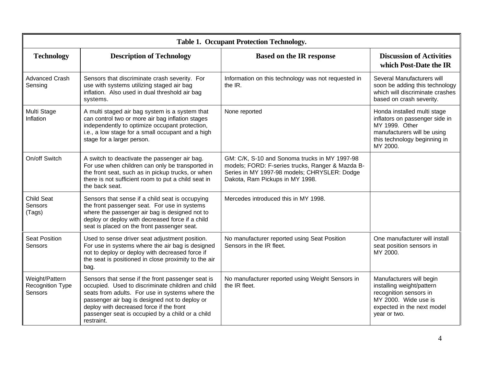| <b>Table 1. Occupant Protection Technology.</b> |                                                                                                                                                                                                                                                                                                                           |                                                                                                                                                                                      |                                                                                                                                                            |
|-------------------------------------------------|---------------------------------------------------------------------------------------------------------------------------------------------------------------------------------------------------------------------------------------------------------------------------------------------------------------------------|--------------------------------------------------------------------------------------------------------------------------------------------------------------------------------------|------------------------------------------------------------------------------------------------------------------------------------------------------------|
| <b>Technology</b>                               | <b>Description of Technology</b>                                                                                                                                                                                                                                                                                          | <b>Based on the IR response</b>                                                                                                                                                      | <b>Discussion of Activities</b><br>which Post-Date the IR                                                                                                  |
| <b>Advanced Crash</b><br>Sensing                | Sensors that discriminate crash severity. For<br>use with systems utilizing staged air bag<br>inflation. Also used in dual threshold air bag<br>systems.                                                                                                                                                                  | Information on this technology was not requested in<br>the IR.                                                                                                                       | Several Manufacturers will<br>soon be adding this technology<br>which will discriminate crashes<br>based on crash severity.                                |
| Multi Stage<br>Inflation                        | A multi staged air bag system is a system that<br>can control two or more air bag inflation stages<br>independently to optimize occupant protection,<br>i.e., a low stage for a small occupant and a high<br>stage for a larger person.                                                                                   | None reported                                                                                                                                                                        | Honda installed multi stage<br>inflators on passenger side in<br>MY 1999. Other<br>manufacturers will be using<br>this technology beginning in<br>MY 2000. |
| On/off Switch                                   | A switch to deactivate the passenger air bag.<br>For use when children can only be transported in<br>the front seat, such as in pickup trucks, or when<br>there is not sufficient room to put a child seat in<br>the back seat.                                                                                           | GM: C/K, S-10 and Sonoma trucks in MY 1997-98<br>models; FORD: F-series trucks, Ranger & Mazda B-<br>Series in MY 1997-98 models; CHRYSLER: Dodge<br>Dakota, Ram Pickups in MY 1998. |                                                                                                                                                            |
| <b>Child Seat</b><br>Sensors<br>(Tags)          | Sensors that sense if a child seat is occupying<br>the front passenger seat. For use in systems<br>where the passenger air bag is designed not to<br>deploy or deploy with decreased force if a child<br>seat is placed on the front passenger seat.                                                                      | Mercedes introduced this in MY 1998.                                                                                                                                                 |                                                                                                                                                            |
| <b>Seat Position</b><br>Sensors                 | Used to sense driver seat adjustment position.<br>For use in systems where the air bag is designed<br>not to deploy or deploy with decreased force if<br>the seat is positioned in close proximity to the air<br>bag.                                                                                                     | No manufacturer reported using Seat Position<br>Sensors in the IR fleet.                                                                                                             | One manufacturer will install<br>seat position sensors in<br>MY 2000.                                                                                      |
| Weight/Pattern<br>Recognition Type<br>Sensors   | Sensors that sense if the front passenger seat is<br>occupied. Used to discriminate children and child<br>seats from adults. For use in systems where the<br>passenger air bag is designed not to deploy or<br>deploy with decreased force if the front<br>passenger seat is occupied by a child or a child<br>restraint. | No manufacturer reported using Weight Sensors in<br>the IR fleet.                                                                                                                    | Manufacturers will begin<br>installing weight/pattern<br>recognition sensors in<br>MY 2000. Wide use is<br>expected in the next model<br>year or two.      |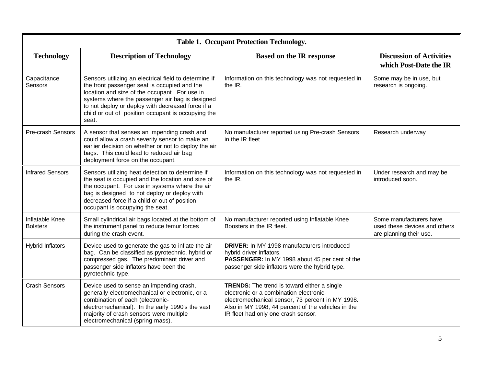| <b>Table 1. Occupant Protection Technology.</b> |                                                                                                                                                                                                                                                                                                                               |                                                                                                                                                                                                                                                |                                                                                     |
|-------------------------------------------------|-------------------------------------------------------------------------------------------------------------------------------------------------------------------------------------------------------------------------------------------------------------------------------------------------------------------------------|------------------------------------------------------------------------------------------------------------------------------------------------------------------------------------------------------------------------------------------------|-------------------------------------------------------------------------------------|
| <b>Technology</b>                               | <b>Description of Technology</b>                                                                                                                                                                                                                                                                                              | <b>Based on the IR response</b>                                                                                                                                                                                                                | <b>Discussion of Activities</b><br>which Post-Date the IR                           |
| Capacitance<br>Sensors                          | Sensors utilizing an electrical field to determine if<br>the front passenger seat is occupied and the<br>location and size of the occupant. For use in<br>systems where the passenger air bag is designed<br>to not deploy or deploy with decreased force if a<br>child or out of position occupant is occupying the<br>seat. | Information on this technology was not requested in<br>the $IR.$                                                                                                                                                                               | Some may be in use, but<br>research is ongoing.                                     |
| <b>Pre-crash Sensors</b>                        | A sensor that senses an impending crash and<br>could allow a crash severity sensor to make an<br>earlier decision on whether or not to deploy the air<br>bags. This could lead to reduced air bag<br>deployment force on the occupant.                                                                                        | No manufacturer reported using Pre-crash Sensors<br>in the IR fleet.                                                                                                                                                                           | Research underway                                                                   |
| <b>Infrared Sensors</b>                         | Sensors utilizing heat detection to determine if<br>the seat is occupied and the location and size of<br>the occupant. For use in systems where the air<br>bag is designed to not deploy or deploy with<br>decreased force if a child or out of position<br>occupant is occupying the seat.                                   | Information on this technology was not requested in<br>the IR.                                                                                                                                                                                 | Under research and may be<br>introduced soon.                                       |
| Inflatable Knee<br><b>Bolsters</b>              | Small cylindrical air bags located at the bottom of<br>the instrument panel to reduce femur forces<br>during the crash event.                                                                                                                                                                                                 | No manufacturer reported using Inflatable Knee<br>Boosters in the IR fleet.                                                                                                                                                                    | Some manufacturers have<br>used these devices and others<br>are planning their use. |
| <b>Hybrid Inflators</b>                         | Device used to generate the gas to inflate the air<br>bag. Can be classified as pyrotechnic, hybrid or<br>compressed gas. The predominant driver and<br>passenger side inflators have been the<br>pyrotechnic type.                                                                                                           | <b>DRIVER:</b> In MY 1998 manufacturers introduced<br>hybrid driver inflators.<br>PASSENGER: In MY 1998 about 45 per cent of the<br>passenger side inflators were the hybrid type.                                                             |                                                                                     |
| <b>Crash Sensors</b>                            | Device used to sense an impending crash,<br>generally electromechanical or electronic, or a<br>combination of each (electronic-<br>electromechanical). In the early 1990's the vast<br>majority of crash sensors were multiple<br>electromechanical (spring mass).                                                            | <b>TRENDS:</b> The trend is toward either a single<br>electronic or a combination electronic-<br>electromechanical sensor, 73 percent in MY 1998.<br>Also in MY 1998, 44 percent of the vehicles in the<br>IR fleet had only one crash sensor. |                                                                                     |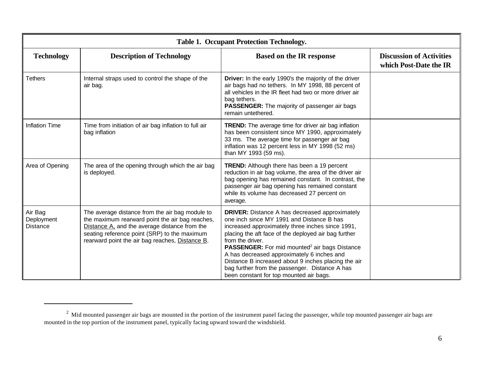| <b>Table 1. Occupant Protection Technology.</b> |                                                                                                                                                                                                                                                        |                                                                                                                                                                                                                                                                                                                                                                                                                                                                                                   |                                                           |
|-------------------------------------------------|--------------------------------------------------------------------------------------------------------------------------------------------------------------------------------------------------------------------------------------------------------|---------------------------------------------------------------------------------------------------------------------------------------------------------------------------------------------------------------------------------------------------------------------------------------------------------------------------------------------------------------------------------------------------------------------------------------------------------------------------------------------------|-----------------------------------------------------------|
| <b>Technology</b>                               | <b>Description of Technology</b>                                                                                                                                                                                                                       | <b>Based on the IR response</b>                                                                                                                                                                                                                                                                                                                                                                                                                                                                   | <b>Discussion of Activities</b><br>which Post-Date the IR |
| <b>Tethers</b>                                  | Internal straps used to control the shape of the<br>air bag.                                                                                                                                                                                           | Driver: In the early 1990's the majority of the driver<br>air bags had no tethers. In MY 1998, 88 percent of<br>all vehicles in the IR fleet had two or more driver air<br>bag tethers.<br><b>PASSENGER:</b> The majority of passenger air bags<br>remain untethered.                                                                                                                                                                                                                             |                                                           |
| Inflation Time                                  | Time from initiation of air bag inflation to full air<br>bag inflation                                                                                                                                                                                 | <b>TREND:</b> The average time for driver air bag inflation<br>has been consistent since MY 1990, approximately<br>33 ms. The average time for passenger air bag<br>inflation was 12 percent less in MY 1998 (52 ms)<br>than MY 1993 (59 ms).                                                                                                                                                                                                                                                     |                                                           |
| Area of Opening                                 | The area of the opening through which the air bag<br>is deployed.                                                                                                                                                                                      | <b>TREND:</b> Although there has been a 19 percent<br>reduction in air bag volume, the area of the driver air<br>bag opening has remained constant. In contrast, the<br>passenger air bag opening has remained constant<br>while its volume has decreased 27 percent on<br>average.                                                                                                                                                                                                               |                                                           |
| Air Bag<br>Deployment<br>Distance               | The average distance from the air bag module to<br>the maximum rearward point the air bag reaches,<br>Distance A, and the average distance from the<br>seating reference point (SRP) to the maximum<br>rearward point the air bag reaches, Distance B. | <b>DRIVER:</b> Distance A has decreased approximately<br>one inch since MY 1991 and Distance B has<br>increased approximately three inches since 1991,<br>placing the aft face of the deployed air bag further<br>from the driver.<br>PASSENGER: For mid mounted <sup>2</sup> air bags Distance<br>A has decreased approximately 6 inches and<br>Distance B increased about 9 inches placing the air<br>bag further from the passenger. Distance A has<br>been constant for top mounted air bags. |                                                           |

 $^2$  Mid mounted passenger air bags are mounted in the portion of the instrument panel facing the passenger, while top mounted passenger air bags are mounted in the top portion of the instrument panel, typically facing upward toward the windshield.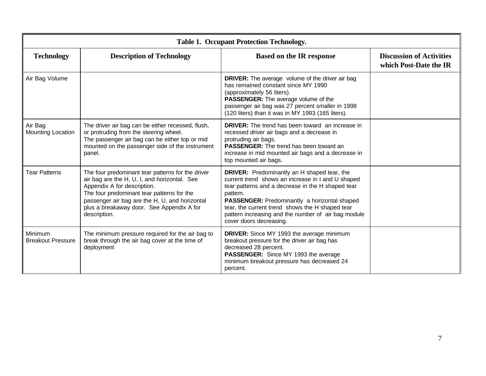| <b>Table 1. Occupant Protection Technology.</b> |                                                                                                                                                                                                                                                                                               |                                                                                                                                                                                                                                                                                                                                                                      |                                                           |
|-------------------------------------------------|-----------------------------------------------------------------------------------------------------------------------------------------------------------------------------------------------------------------------------------------------------------------------------------------------|----------------------------------------------------------------------------------------------------------------------------------------------------------------------------------------------------------------------------------------------------------------------------------------------------------------------------------------------------------------------|-----------------------------------------------------------|
| <b>Technology</b>                               | <b>Description of Technology</b>                                                                                                                                                                                                                                                              | <b>Based on the IR response</b>                                                                                                                                                                                                                                                                                                                                      | <b>Discussion of Activities</b><br>which Post-Date the IR |
| Air Bag Volume                                  |                                                                                                                                                                                                                                                                                               | <b>DRIVER:</b> The average volume of the driver air bag<br>has remained constant since MY 1990<br>(approximately 56 liters).<br>PASSENGER: The average volume of the<br>passenger air bag was 27 percent smaller in 1998<br>(120 liters) than it was in MY 1993 (165 liters).                                                                                        |                                                           |
| Air Bag<br>Mounting Location                    | The driver air bag can be either recessed, flush,<br>or protruding from the steering wheel.<br>The passenger air bag can be either top or mid<br>mounted on the passenger side of the instrument<br>panel.                                                                                    | <b>DRIVER:</b> The trend has been toward an increase in<br>recessed driver air bags and a decrease in<br>protruding air bags.<br><b>PASSENGER:</b> The trend has been toward an<br>increase in mid mounted air bags and a decrease in<br>top mounted air bags.                                                                                                       |                                                           |
| <b>Tear Patterns</b>                            | The four predominant tear patterns for the driver<br>air bag are the H, U, I, and horizontal. See<br>Appendix A for description.<br>The four predominant tear patterns for the<br>passenger air bag are the H, U, and horizontal<br>plus a breakaway door. See Appendix A for<br>description. | <b>DRIVER:</b> Predominantly an H shaped tear, the<br>current trend shows an increase in I and U shaped<br>tear patterns and a decrease in the H shaped tear<br>pattern.<br><b>PASSENGER:</b> Predominantly a horizontal shaped<br>tear, the current trend shows the H shaped tear<br>pattern increasing and the number of air bag module<br>cover doors decreasing. |                                                           |
| Minimum<br><b>Breakout Pressure</b>             | The minimum pressure required for the air bag to<br>break through the air bag cover at the time of<br>deployment                                                                                                                                                                              | <b>DRIVER:</b> Since MY 1993 the average minimum<br>breakout pressure for the driver air bag has<br>decreased 28 percent.<br>PASSENGER: Since MY 1993 the average<br>minimum breakout pressure has decreased 24<br>percent.                                                                                                                                          |                                                           |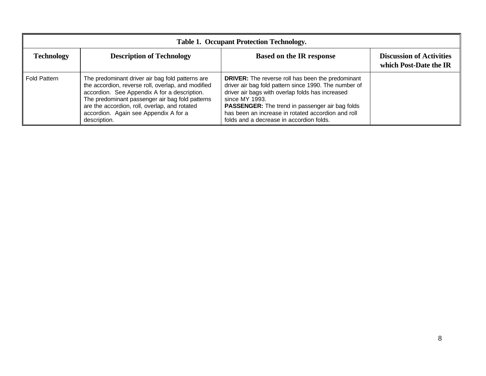| <b>Table 1. Occupant Protection Technology.</b> |                                                                                                                                                                                                                                                                                                                     |                                                                                                                                                                                                                                                                                                                                              |                                                           |  |
|-------------------------------------------------|---------------------------------------------------------------------------------------------------------------------------------------------------------------------------------------------------------------------------------------------------------------------------------------------------------------------|----------------------------------------------------------------------------------------------------------------------------------------------------------------------------------------------------------------------------------------------------------------------------------------------------------------------------------------------|-----------------------------------------------------------|--|
| <b>Technology</b>                               | <b>Description of Technology</b>                                                                                                                                                                                                                                                                                    | <b>Based on the IR response</b>                                                                                                                                                                                                                                                                                                              | <b>Discussion of Activities</b><br>which Post-Date the IR |  |
| <b>Fold Pattern</b>                             | The predominant driver air bag fold patterns are<br>the accordion, reverse roll, overlap, and modified<br>accordion. See Appendix A for a description.<br>The predominant passenger air bag fold patterns<br>are the accordion, roll, overlap, and rotated<br>accordion. Again see Appendix A for a<br>description. | <b>DRIVER:</b> The reverse roll has been the predominant<br>driver air bag fold pattern since 1990. The number of<br>driver air bags with overlap folds has increased<br>since MY 1993.<br>PASSENGER: The trend in passenger air bag folds<br>has been an increase in rotated accordion and roll<br>folds and a decrease in accordion folds. |                                                           |  |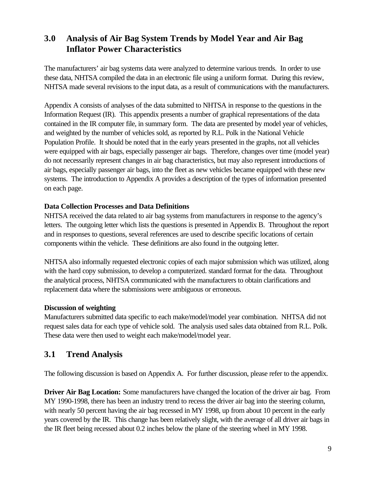## <span id="page-17-0"></span>**3.0 Analysis of Air Bag System Trends by Model Year and Air Bag Inflator Power Characteristics**

The manufacturers' air bag systems data were analyzed to determine various trends. In order to use these data, NHTSA compiled the data in an electronic file using a uniform format. During this review, NHTSA made several revisions to the input data, as a result of communications with the manufacturers.

Appendix A consists of analyses of the data submitted to NHTSA in response to the questions in the Information Request (IR). This appendix presents a number of graphical representations of the data contained in the IR computer file, in summary form. The data are presented by model year of vehicles, and weighted by the number of vehicles sold, as reported by R.L. Polk in the National Vehicle Population Profile. It should be noted that in the early years presented in the graphs, not all vehicles were equipped with air bags, especially passenger air bags. Therefore, changes over time (model year) do not necessarily represent changes in air bag characteristics, but may also represent introductions of air bags, especially passenger air bags, into the fleet as new vehicles became equipped with these new systems. The introduction to Appendix A provides a description of the types of information presented on each page.

#### **Data Collection Processes and Data Definitions**

NHTSA received the data related to air bag systems from manufacturers in response to the agency's letters. The outgoing letter which lists the questions is presented in Appendix B. Throughout the report and in responses to questions, several references are used to describe specific locations of certain components within the vehicle. These definitions are also found in the outgoing letter.

NHTSA also informally requested electronic copies of each major submission which was utilized, along with the hard copy submission, to develop a computerized. standard format for the data. Throughout the analytical process, NHTSA communicated with the manufacturers to obtain clarifications and replacement data where the submissions were ambiguous or erroneous.

#### **Discussion of weighting**

Manufacturers submitted data specific to each make/model/model year combination. NHTSA did not request sales data for each type of vehicle sold. The analysis used sales data obtained from R.L. Polk. These data were then used to weight each make/model/model year.

#### **3.1 Trend Analysis**

The following discussion is based on Appendix A. For further discussion, please refer to the appendix.

**Driver Air Bag Location:** Some manufacturers have changed the location of the driver air bag. From MY 1990-1998, there has been an industry trend to recess the driver air bag into the steering column, with nearly 50 percent having the air bag recessed in MY 1998, up from about 10 percent in the early years covered by the IR. This change has been relatively slight, with the average of all driver air bags in the IR fleet being recessed about 0.2 inches below the plane of the steering wheel in MY 1998.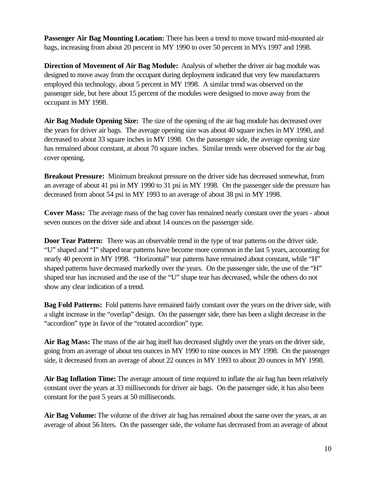**Passenger Air Bag Mounting Location:** There has been a trend to move toward mid-mounted air bags, increasing from about 20 percent in MY 1990 to over 50 percent in MYs 1997 and 1998.

**Direction of Movement of Air Bag Module:** Analysis of whether the driver air bag module was designed to move away from the occupant during deployment indicated that very few manufacturers employed this technology, about 5 percent in MY 1998. A similar trend was observed on the passenger side, but here about 15 percent of the modules were designed to move away from the occupant in MY 1998.

**Air Bag Module Opening Size:** The size of the opening of the air bag module has decreased over the years for driver air bags. The average opening size was about 40 square inches in MY 1990, and decreased to about 33 square inches in MY 1998. On the passenger side, the average opening size has remained about constant, at about 70 square inches. Similar trends were observed for the air bag cover opening.

**Breakout Pressure:** Minimum breakout pressure on the driver side has decreased somewhat, from an average of about 41 psi in MY 1990 to 31 psi in MY 1998. On the passenger side the pressure has decreased from about 54 psi in MY 1993 to an average of about 38 psi in MY 1998.

**Cover Mass:** The average mass of the bag cover has remained nearly constant over the years - about seven ounces on the driver side and about 14 ounces on the passenger side.

**Door Tear Pattern:** There was an observable trend in the type of tear patterns on the driver side. "U" shaped and "I" shaped tear patterns have become more common in the last 5 years, accounting for nearly 40 percent in MY 1998. "Horizontal" tear patterns have remained about constant, while "H" shaped patterns have decreased markedly over the years. On the passenger side, the use of the "H" shaped tear has increased and the use of the "U" shape tear has decreased, while the others do not show any clear indication of a trend.

**Bag Fold Patterns:** Fold patterns have remained fairly constant over the years on the driver side, with a slight increase in the "overlap" design. On the passenger side, there has been a slight decrease in the "accordion" type in favor of the "rotated accordion" type.

**Air Bag Mass:** The mass of the air bag itself has decreased slightly over the years on the driver side, going from an average of about ten ounces in MY 1990 to nine ounces in MY 1998. On the passenger side, it decreased from an average of about 22 ounces in MY 1993 to about 20 ounces in MY 1998.

**Air Bag Inflation Time:** The average amount of time required to inflate the air bag has been relatively constant over the years at 33 milliseconds for driver air bags. On the passenger side, it has also been constant for the past 5 years at 50 milliseconds.

**Air Bag Volume:** The volume of the driver air bag has remained about the same over the years, at an average of about 56 liters. On the passenger side, the volume has decreased from an average of about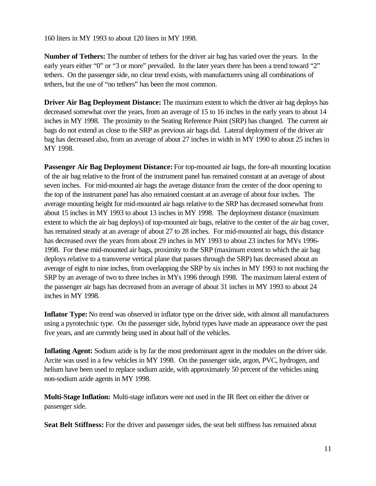160 liters in MY 1993 to about 120 liters in MY 1998.

**Number of Tethers:** The number of tethers for the driver air bag has varied over the years. In the early years either "0" or "3 or more" prevailed. In the later years there has been a trend toward "2" tethers. On the passenger side, no clear trend exists, with manufacturers using all combinations of tethers, but the use of "no tethers" has been the most common.

**Driver Air Bag Deployment Distance:** The maximum extent to which the driver air bag deploys has decreased somewhat over the years, from an average of 15 to 16 inches in the early years to about 14 inches in MY 1998. The proximity to the Seating Reference Point (SRP) has changed. The current air bags do not extend as close to the SRP as previous air bags did. Lateral deployment of the driver air bag has decreased also, from an average of about 27 inches in width in MY 1990 to about 25 inches in MY 1998.

**Passenger Air Bag Deployment Distance:** For top-mounted air bags, the fore-aft mounting location of the air bag relative to the front of the instrument panel has remained constant at an average of about seven inches. For mid-mounted air bags the average distance from the center of the door opening to the top of the instrument panel has also remained constant at an average of about four inches. The average mounting height for mid-mounted air bags relative to the SRP has decreased somewhat from about 15 inches in MY 1993 to about 13 inches in MY 1998. The deployment distance (maximum extent to which the air bag deploys) of top-mounted air bags, relative to the center of the air bag cover, has remained steady at an average of about 27 to 28 inches. For mid-mounted air bags, this distance has decreased over the years from about 29 inches in MY 1993 to about 23 inches for MYs 1996- 1998. For these mid-mounted air bags, proximity to the SRP (maximum extent to which the air bag deploys relative to a transverse vertical plane that passes through the SRP) has decreased about an average of eight to nine inches, from overlapping the SRP by six inches in MY 1993 to not reaching the SRP by an average of two to three inches in MYs 1996 through 1998. The maximum lateral extent of the passenger air bags has decreased from an average of about 31 inches in MY 1993 to about 24 inches in MY 1998.

**Inflator Type:** No trend was observed in inflator type on the driver side, with almost all manufacturers using a pyrotechnic type. On the passenger side, hybrid types have made an appearance over the past five years, and are currently being used in about half of the vehicles.

**Inflating Agent:** Sodium azide is by far the most predominant agent in the modules on the driver side. Arcite was used in a few vehicles in MY 1998. On the passenger side, argon, PVC, hydrogen, and helium have been used to replace sodium azide, with approximately 50 percent of the vehicles using non-sodium azide agents in MY 1998.

**Multi-Stage Inflation:** Multi-stage inflators were not used in the IR fleet on either the driver or passenger side.

**Seat Belt Stiffness:** For the driver and passenger sides, the seat belt stiffness has remained about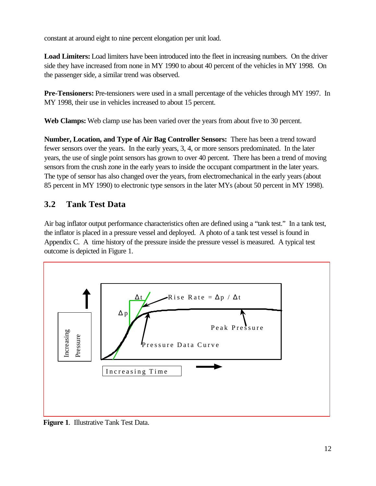<span id="page-20-0"></span>constant at around eight to nine percent elongation per unit load.

**Load Limiters:** Load limiters have been introduced into the fleet in increasing numbers. On the driver side they have increased from none in MY 1990 to about 40 percent of the vehicles in MY 1998. On the passenger side, a similar trend was observed.

**Pre-Tensioners:** Pre-tensioners were used in a small percentage of the vehicles through MY 1997. In MY 1998, their use in vehicles increased to about 15 percent.

**Web Clamps:** Web clamp use has been varied over the years from about five to 30 percent.

**Number, Location, and Type of Air Bag Controller Sensors:** There has been a trend toward fewer sensors over the years. In the early years, 3, 4, or more sensors predominated. In the later years, the use of single point sensors has grown to over 40 percent. There has been a trend of moving sensors from the crush zone in the early years to inside the occupant compartment in the later years. The type of sensor has also changed over the years, from electromechanical in the early years (about 85 percent in MY 1990) to electronic type sensors in the later MYs (about 50 percent in MY 1998).

## **3.2 Tank Test Data**

Air bag inflator output performance characteristics often are defined using a "tank test." In a tank test, the inflator is placed in a pressure vessel and deployed. A photo of a tank test vessel is found in Appendix C. A time history of the pressure inside the pressure vessel is measured. A typical test outcome is depicted in Figure 1.



**Figure 1**. Illustrative Tank Test Data.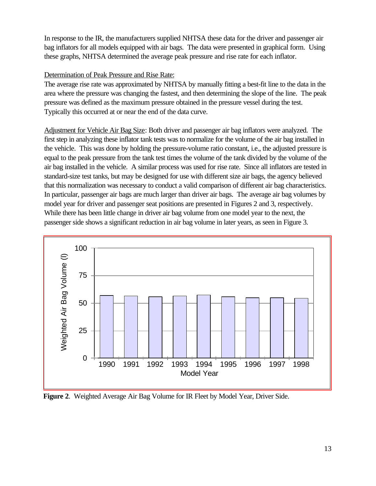In response to the IR, the manufacturers supplied NHTSA these data for the driver and passenger air bag inflators for all models equipped with air bags. The data were presented in graphical form. Using these graphs, NHTSA determined the average peak pressure and rise rate for each inflator.

#### Determination of Peak Pressure and Rise Rate:

The average rise rate was approximated by NHTSA by manually fitting a best-fit line to the data in the area where the pressure was changing the fastest, and then determining the slope of the line. The peak pressure was defined as the maximum pressure obtained in the pressure vessel during the test. Typically this occurred at or near the end of the data curve.

Adjustment for Vehicle Air Bag Size: Both driver and passenger air bag inflators were analyzed. The first step in analyzing these inflator tank tests was to normalize for the volume of the air bag installed in the vehicle. This was done by holding the pressure-volume ratio constant, i.e., the adjusted pressure is equal to the peak pressure from the tank test times the volume of the tank divided by the volume of the air bag installed in the vehicle. A similar process was used for rise rate. Since all inflators are tested in standard-size test tanks, but may be designed for use with different size air bags, the agency believed that this normalization was necessary to conduct a valid comparison of different air bag characteristics. In particular, passenger air bags are much larger than driver air bags. The average air bag volumes by model year for driver and passenger seat positions are presented in Figures 2 and 3, respectively. While there has been little change in driver air bag volume from one model year to the next, the passenger side shows a significant reduction in air bag volume in later years, as seen in Figure 3.



**Figure 2**. Weighted Average Air Bag Volume for IR Fleet by Model Year, Driver Side.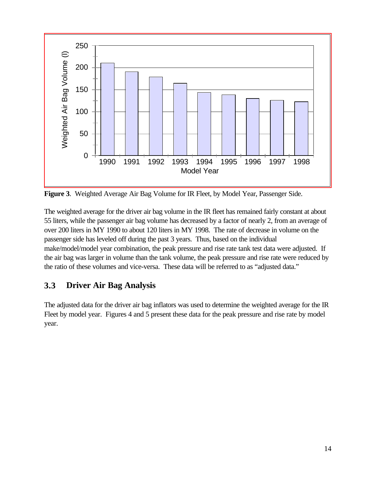<span id="page-22-0"></span>

**Figure 3**. Weighted Average Air Bag Volume for IR Fleet, by Model Year, Passenger Side.

The weighted average for the driver air bag volume in the IR fleet has remained fairly constant at about 55 liters, while the passenger air bag volume has decreased by a factor of nearly 2, from an average of over 200 liters in MY 1990 to about 120 liters in MY 1998. The rate of decrease in volume on the passenger side has leveled off during the past 3 years. Thus, based on the individual make/model/model year combination, the peak pressure and rise rate tank test data were adjusted. If the air bag was larger in volume than the tank volume, the peak pressure and rise rate were reduced by the ratio of these volumes and vice-versa. These data will be referred to as "adjusted data."

## **3.3 Driver Air Bag Analysis**

The adjusted data for the driver air bag inflators was used to determine the weighted average for the IR Fleet by model year. Figures 4 and 5 present these data for the peak pressure and rise rate by model year.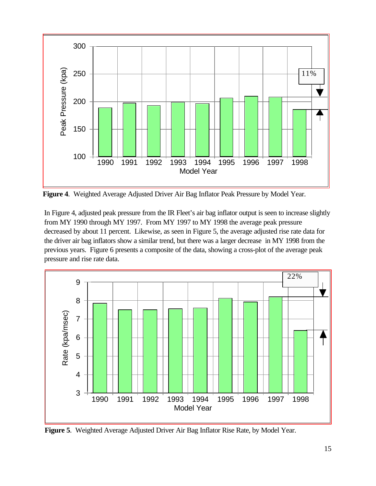

**Figure 4**. Weighted Average Adjusted Driver Air Bag Inflator Peak Pressure by Model Year.

In Figure 4, adjusted peak pressure from the IR Fleet's air bag inflator output is seen to increase slightly from MY 1990 through MY 1997. From MY 1997 to MY 1998 the average peak pressure decreased by about 11 percent. Likewise, as seen in Figure 5, the average adjusted rise rate data for the driver air bag inflators show a similar trend, but there was a larger decrease in MY 1998 from the previous years. Figure 6 presents a composite of the data, showing a cross-plot of the average peak pressure and rise rate data.



**Figure 5**. Weighted Average Adjusted Driver Air Bag Inflator Rise Rate, by Model Year.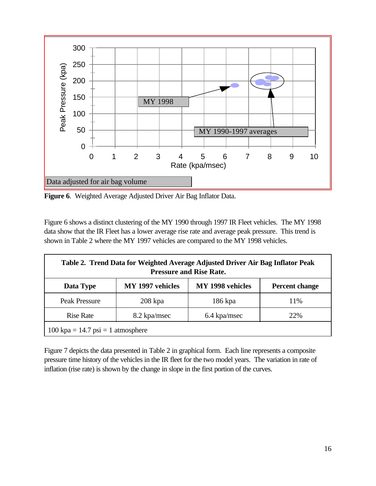

**Figure 6**. Weighted Average Adjusted Driver Air Bag Inflator Data.

Figure 6 shows a distinct clustering of the MY 1990 through 1997 IR Fleet vehicles. The MY 1998 data show that the IR Fleet has a lower average rise rate and average peak pressure. This trend is shown in Table 2 where the MY 1997 vehicles are compared to the MY 1998 vehicles.

| Table 2. Trend Data for Weighted Average Adjusted Driver Air Bag Inflator Peak<br><b>Pressure and Rise Rate.</b> |                  |                  |                       |  |
|------------------------------------------------------------------------------------------------------------------|------------------|------------------|-----------------------|--|
| Data Type                                                                                                        | MY 1997 vehicles | MY 1998 vehicles | <b>Percent change</b> |  |
| Peak Pressure                                                                                                    | $208$ kpa        | 186 kpa          | 11%                   |  |
| <b>Rise Rate</b>                                                                                                 | 8.2 kpa/msec     | 6.4 kpa/msec     | 22%                   |  |
| $100 \text{ kpa} = 14.7 \text{ psi} = 1 \text{ atmosphere}$                                                      |                  |                  |                       |  |

Figure 7 depicts the data presented in Table 2 in graphical form. Each line represents a composite pressure time history of the vehicles in the IR fleet for the two model years. The variation in rate of inflation (rise rate) is shown by the change in slope in the first portion of the curves.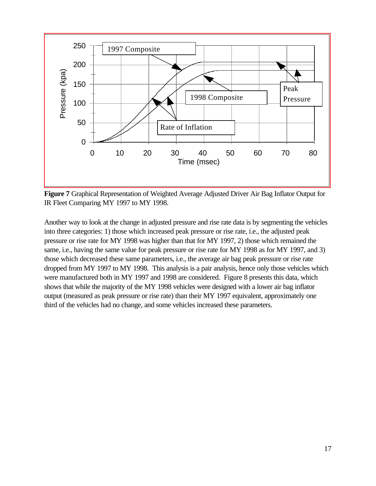

**Figure 7** Graphical Representation of Weighted Average Adjusted Driver Air Bag Inflator Output for IR Fleet Comparing MY 1997 to MY 1998.

Another way to look at the change in adjusted pressure and rise rate data is by segmenting the vehicles into three categories: 1) those which increased peak pressure or rise rate, i.e., the adjusted peak pressure or rise rate for MY 1998 was higher than that for MY 1997, 2) those which remained the same, i.e., having the same value for peak pressure or rise rate for MY 1998 as for MY 1997, and 3) those which decreased these same parameters, i.e., the average air bag peak pressure or rise rate dropped from MY 1997 to MY 1998. This analysis is a pair analysis, hence only those vehicles which were manufactured both in MY 1997 and 1998 are considered. Figure 8 presents this data, which shows that while the majority of the MY 1998 vehicles were designed with a lower air bag inflator output (measured as peak pressure or rise rate) than their MY 1997 equivalent, approximately one third of the vehicles had no change, and some vehicles increased these parameters.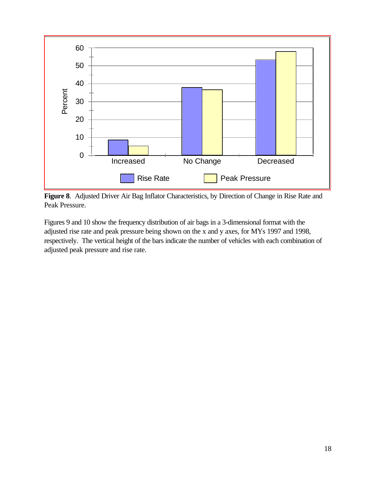

**Figure 8**. Adjusted Driver Air Bag Inflator Characteristics, by Direction of Change in Rise Rate and Peak Pressure.

Figures 9 and 10 show the frequency distribution of air bags in a 3-dimensional format with the adjusted rise rate and peak pressure being shown on the x and y axes, for MYs 1997 and 1998, respectively. The vertical height of the bars indicate the number of vehicles with each combination of adjusted peak pressure and rise rate.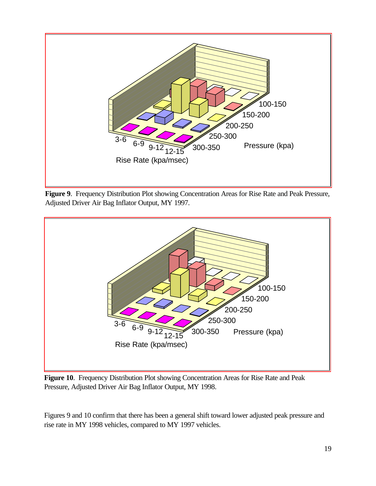

**Figure 9**. Frequency Distribution Plot showing Concentration Areas for Rise Rate and Peak Pressure, Adjusted Driver Air Bag Inflator Output, MY 1997.



**Figure 10**. Frequency Distribution Plot showing Concentration Areas for Rise Rate and Peak Pressure, Adjusted Driver Air Bag Inflator Output, MY 1998.

Figures 9 and 10 confirm that there has been a general shift toward lower adjusted peak pressure and rise rate in MY 1998 vehicles, compared to MY 1997 vehicles.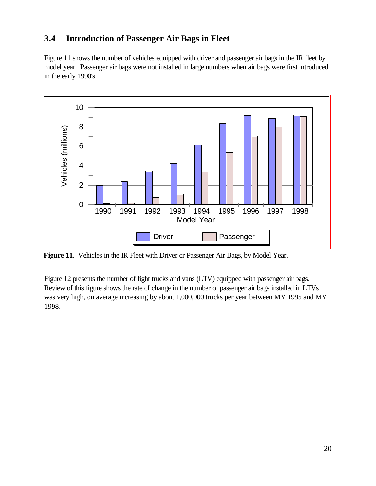## <span id="page-28-0"></span>**3.4 Introduction of Passenger Air Bags in Fleet**

Figure 11 shows the number of vehicles equipped with driver and passenger air bags in the IR fleet by model year. Passenger air bags were not installed in large numbers when air bags were first introduced in the early 1990's.



**Figure 11**. Vehicles in the IR Fleet with Driver or Passenger Air Bags, by Model Year.

Figure 12 presents the number of light trucks and vans (LTV) equipped with passenger air bags. Review of this figure shows the rate of change in the number of passenger air bags installed in LTVs was very high, on average increasing by about 1,000,000 trucks per year between MY 1995 and MY 1998.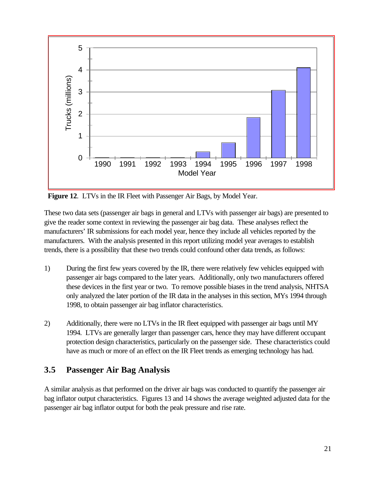<span id="page-29-0"></span>

**Figure 12**. LTVs in the IR Fleet with Passenger Air Bags, by Model Year.

These two data sets (passenger air bags in general and LTVs with passenger air bags) are presented to give the reader some context in reviewing the passenger air bag data. These analyses reflect the manufacturers' IR submissions for each model year, hence they include all vehicles reported by the manufacturers. With the analysis presented in this report utilizing model year averages to establish trends, there is a possibility that these two trends could confound other data trends, as follows:

- 1) During the first few years covered by the IR, there were relatively few vehicles equipped with passenger air bags compared to the later years. Additionally, only two manufacturers offered these devices in the first year or two. To remove possible biases in the trend analysis, NHTSA only analyzed the later portion of the IR data in the analyses in this section, MYs 1994 through 1998, to obtain passenger air bag inflator characteristics.
- 2) Additionally, there were no LTVs in the IR fleet equipped with passenger air bags until MY 1994. LTVs are generally larger than passenger cars, hence they may have different occupant protection design characteristics, particularly on the passenger side. These characteristics could have as much or more of an effect on the IR Fleet trends as emerging technology has had.

## **3.5 Passenger Air Bag Analysis**

A similar analysis as that performed on the driver air bags was conducted to quantify the passenger air bag inflator output characteristics. Figures 13 and 14 shows the average weighted adjusted data for the passenger air bag inflator output for both the peak pressure and rise rate.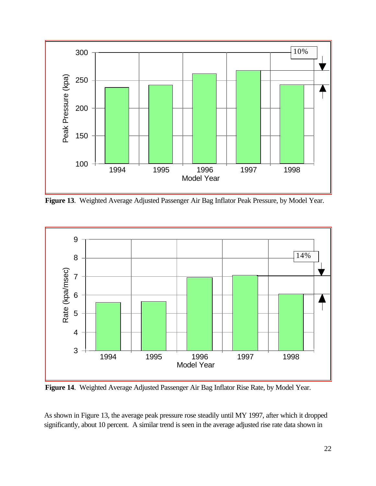

**Figure 13**. Weighted Average Adjusted Passenger Air Bag Inflator Peak Pressure, by Model Year.



**Figure 14**. Weighted Average Adjusted Passenger Air Bag Inflator Rise Rate, by Model Year.

As shown in Figure 13, the average peak pressure rose steadily until MY 1997, after which it dropped significantly, about 10 percent. A similar trend is seen in the average adjusted rise rate data shown in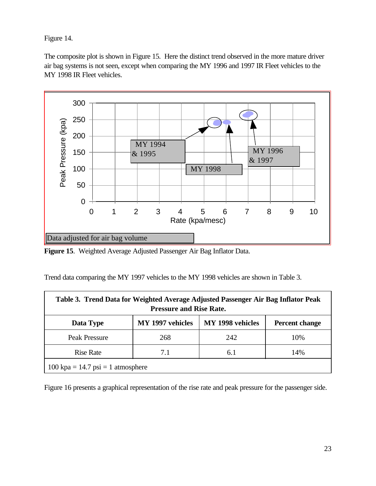Figure 14.

The composite plot is shown in Figure 15. Here the distinct trend observed in the more mature driver air bag systems is not seen, except when comparing the MY 1996 and 1997 IR Fleet vehicles to the MY 1998 IR Fleet vehicles.



**Figure 15**. Weighted Average Adjusted Passenger Air Bag Inflator Data.

Trend data comparing the MY 1997 vehicles to the MY 1998 vehicles are shown in Table 3.

| Table 3. Trend Data for Weighted Average Adjusted Passenger Air Bag Inflator Peak<br><b>Pressure and Rise Rate.</b> |                  |                  |                       |  |
|---------------------------------------------------------------------------------------------------------------------|------------------|------------------|-----------------------|--|
| Data Type                                                                                                           | MY 1997 vehicles | MY 1998 vehicles | <b>Percent change</b> |  |
| <b>Peak Pressure</b>                                                                                                | 268              | 242              | 10%                   |  |
| <b>Rise Rate</b>                                                                                                    | 7.1              | 6.1              | 14%                   |  |
| $100 \text{ kpa} = 14.7 \text{ psi} = 1 \text{ atmosphere}$                                                         |                  |                  |                       |  |

Figure 16 presents a graphical representation of the rise rate and peak pressure for the passenger side.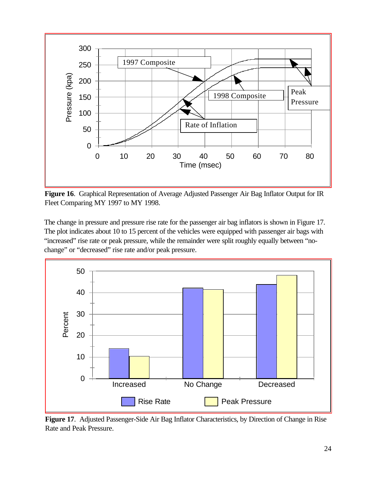

**Figure 16**. Graphical Representation of Average Adjusted Passenger Air Bag Inflator Output for IR Fleet Comparing MY 1997 to MY 1998.

The change in pressure and pressure rise rate for the passenger air bag inflators is shown in Figure 17. The plot indicates about 10 to 15 percent of the vehicles were equipped with passenger air bags with "increased" rise rate or peak pressure, while the remainder were split roughly equally between "nochange" or "decreased" rise rate and/or peak pressure.



**Figure 17**. Adjusted Passenger-Side Air Bag Inflator Characteristics, by Direction of Change in Rise Rate and Peak Pressure.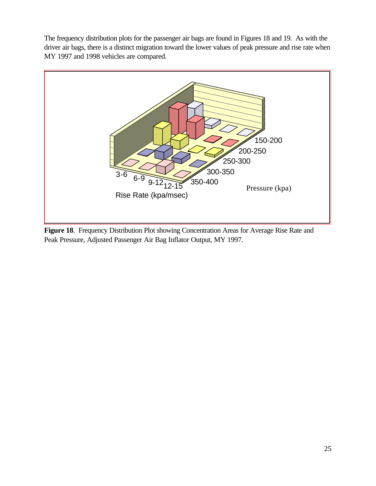The frequency distribution plots for the passenger air bags are found in Figures 18 and 19. As with the driver air bags, there is a distinct migration toward the lower values of peak pressure and rise rate when MY 1997 and 1998 vehicles are compared.



**Figure 18**. Frequency Distribution Plot showing Concentration Areas for Average Rise Rate and Peak Pressure, Adjusted Passenger Air Bag Inflator Output, MY 1997.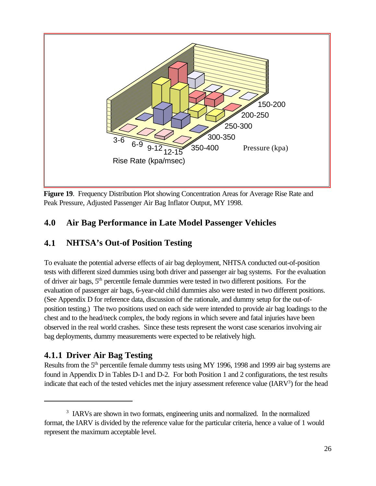<span id="page-34-0"></span>

**Figure 19**. Frequency Distribution Plot showing Concentration Areas for Average Rise Rate and Peak Pressure, Adjusted Passenger Air Bag Inflator Output, MY 1998.

## **4.0 Air Bag Performance in Late Model Passenger Vehicles**

## **4.1 NHTSA's Out-of Position Testing**

To evaluate the potential adverse effects of air bag deployment, NHTSA conducted out-of-position tests with different sized dummies using both driver and passenger air bag systems. For the evaluation of driver air bags, 5th percentile female dummies were tested in two different positions. For the evaluation of passenger air bags, 6-year-old child dummies also were tested in two different positions. (See Appendix D for reference data, discussion of the rationale, and dummy setup for the out-ofposition testing.) The two positions used on each side were intended to provide air bag loadings to the chest and to the head/neck complex, the body regions in which severe and fatal injuries have been observed in the real world crashes. Since these tests represent the worst case scenarios involving air bag deployments, dummy measurements were expected to be relatively high.

## **4.1.1 Driver Air Bag Testing**

Results from the 5<sup>th</sup> percentile female dummy tests using MY 1996, 1998 and 1999 air bag systems are found in Appendix D in Tables D-1 and D-2. For both Position 1 and 2 configurations, the test results indicate that each of the tested vehicles met the injury assessment reference value (IARV<sup>3</sup>) for the head

<sup>&</sup>lt;sup>3</sup> IARVs are shown in two formats, engineering units and normalized. In the normalized format, the IARV is divided by the reference value for the particular criteria, hence a value of 1 would represent the maximum acceptable level.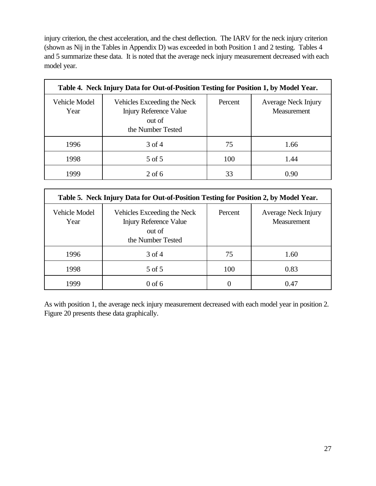injury criterion, the chest acceleration, and the chest deflection. The IARV for the neck injury criterion (shown as Nij in the Tables in Appendix D) was exceeded in both Position 1 and 2 testing. Tables 4 and 5 summarize these data. It is noted that the average neck injury measurement decreased with each model year.

| Table 4. Neck Injury Data for Out-of-Position Testing for Position 1, by Model Year. |                                                                                             |         |                                    |  |
|--------------------------------------------------------------------------------------|---------------------------------------------------------------------------------------------|---------|------------------------------------|--|
| Vehicle Model<br>Year                                                                | Vehicles Exceeding the Neck<br><b>Injury Reference Value</b><br>out of<br>the Number Tested | Percent | Average Neck Injury<br>Measurement |  |
| 1996                                                                                 | $3$ of 4                                                                                    | 75      | 1.66                               |  |
| 1998                                                                                 | 5 of 5                                                                                      | 100     | 1.44                               |  |
| 1999                                                                                 | $2$ of 6                                                                                    | 33      | 0.90                               |  |

| Table 5. Neck Injury Data for Out-of-Position Testing for Position 2, by Model Year. |                                                                                             |         |                                    |  |
|--------------------------------------------------------------------------------------|---------------------------------------------------------------------------------------------|---------|------------------------------------|--|
| Vehicle Model<br>Year                                                                | Vehicles Exceeding the Neck<br><b>Injury Reference Value</b><br>out of<br>the Number Tested | Percent | Average Neck Injury<br>Measurement |  |
| 1996                                                                                 | 3 of 4                                                                                      | 75      | 1.60                               |  |
| 1998                                                                                 | 5 of 5                                                                                      | 100     | 0.83                               |  |
| 1999                                                                                 | $0$ of 6                                                                                    | 0       | 0.47                               |  |

As with position 1, the average neck injury measurement decreased with each model year in position 2. Figure 20 presents these data graphically.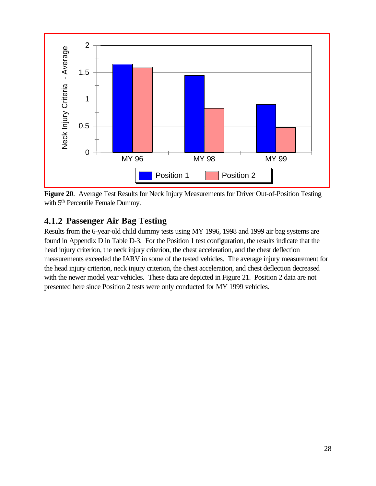

**Figure 20**. Average Test Results for Neck Injury Measurements for Driver Out-of-Position Testing with 5<sup>th</sup> Percentile Female Dummy.

## **4.1.2 Passenger Air Bag Testing**

Results from the 6-year-old child dummy tests using MY 1996, 1998 and 1999 air bag systems are found in Appendix D in Table D-3. For the Position 1 test configuration, the results indicate that the head injury criterion, the neck injury criterion, the chest acceleration, and the chest deflection measurements exceeded the IARV in some of the tested vehicles. The average injury measurement for the head injury criterion, neck injury criterion, the chest acceleration, and chest deflection decreased with the newer model year vehicles. These data are depicted in Figure 21. Position 2 data are not presented here since Position 2 tests were only conducted for MY 1999 vehicles.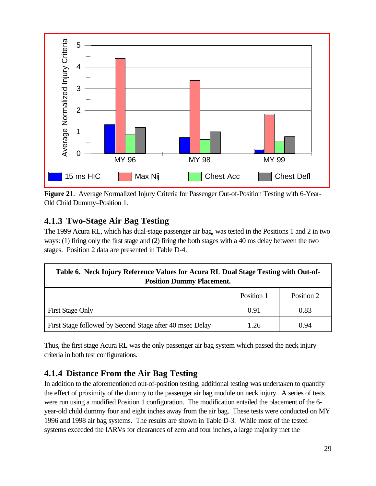

**Figure 21**. Average Normalized Injury Criteria for Passenger Out-of-Position Testing with 6-Year-Old Child Dummy–Position 1.

# **4.1.3 Two-Stage Air Bag Testing**

The 1999 Acura RL, which has dual-stage passenger air bag, was tested in the Positions 1 and 2 in two ways: (1) firing only the first stage and (2) firing the both stages with a 40 ms delay between the two stages. Position 2 data are presented in Table D-4.

| Table 6. Neck Injury Reference Values for Acura RL Dual Stage Testing with Out-of-<br><b>Position Dummy Placement.</b> |            |            |  |  |
|------------------------------------------------------------------------------------------------------------------------|------------|------------|--|--|
|                                                                                                                        | Position 1 | Position 2 |  |  |
| <b>First Stage Only</b>                                                                                                | 0.91       | 0.83       |  |  |
| First Stage followed by Second Stage after 40 msec Delay                                                               | 1.26       | 0.94       |  |  |

Thus, the first stage Acura RL was the only passenger air bag system which passed the neck injury criteria in both test configurations.

# **4.1.4 Distance From the Air Bag Testing**

In addition to the aforementioned out-of-position testing, additional testing was undertaken to quantify the effect of proximity of the dummy to the passenger air bag module on neck injury. A series of tests were run using a modified Position 1 configuration. The modification entailed the placement of the 6 year-old child dummy four and eight inches away from the air bag. These tests were conducted on MY 1996 and 1998 air bag systems. The results are shown in Table D-3. While most of the tested systems exceeded the IARVs for clearances of zero and four inches, a large majority met the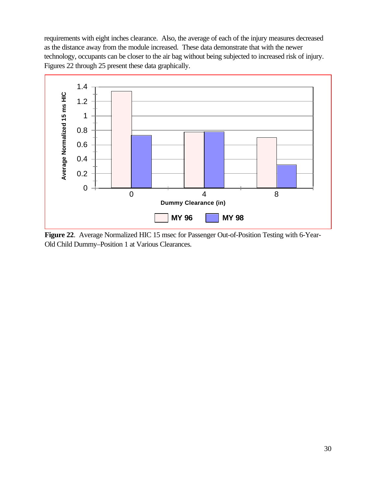requirements with eight inches clearance. Also, the average of each of the injury measures decreased as the distance away from the module increased. These data demonstrate that with the newer technology, occupants can be closer to the air bag without being subjected to increased risk of injury. Figures 22 through 25 present these data graphically.



**Figure 22**. Average Normalized HIC 15 msec for Passenger Out-of-Position Testing with 6-Year-Old Child Dummy–Position 1 at Various Clearances.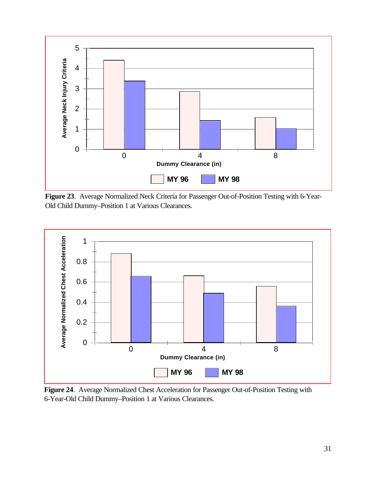

**Figure 23**. Average Normalized Neck Criteria for Passenger Out-of-Position Testing with 6-Year-Old Child Dummy–Position 1 at Various Clearances.



**Figure 24**. Average Normalized Chest Acceleration for Passenger Out-of-Position Testing with 6-Year-Old Child Dummy–Position 1 at Various Clearances.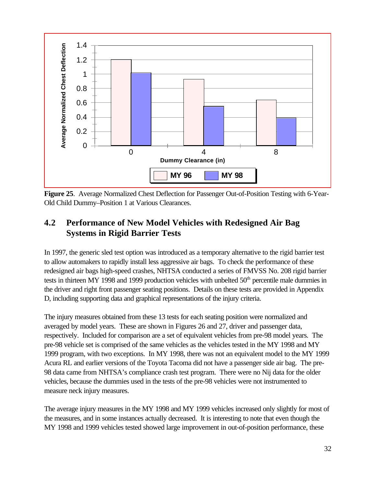

**Figure 25**. Average Normalized Chest Deflection for Passenger Out-of-Position Testing with 6-Year-Old Child Dummy–Position 1 at Various Clearances.

## **4.2 Performance of New Model Vehicles with Redesigned Air Bag Systems in Rigid Barrier Tests**

In 1997, the generic sled test option was introduced as a temporary alternative to the rigid barrier test to allow automakers to rapidly install less aggressive air bags. To check the performance of these redesigned air bags high-speed crashes, NHTSA conducted a series of FMVSS No. 208 rigid barrier tests in thirteen MY 1998 and 1999 production vehicles with unbelted 50<sup>th</sup> percentile male dummies in the driver and right front passenger seating positions. Details on these tests are provided in Appendix D, including supporting data and graphical representations of the injury criteria.

The injury measures obtained from these 13 tests for each seating position were normalized and averaged by model years. These are shown in Figures 26 and 27, driver and passenger data, respectively. Included for comparison are a set of equivalent vehicles from pre-98 model years. The pre-98 vehicle set is comprised of the same vehicles as the vehicles tested in the MY 1998 and MY 1999 program, with two exceptions. In MY 1998, there was not an equivalent model to the MY 1999 Acura RL and earlier versions of the Toyota Tacoma did not have a passenger side air bag. The pre-98 data came from NHTSA's compliance crash test program. There were no Nij data for the older vehicles, because the dummies used in the tests of the pre-98 vehicles were not instrumented to measure neck injury measures.

The average injury measures in the MY 1998 and MY 1999 vehicles increased only slightly for most of the measures, and in some instances actually decreased. It is interesting to note that even though the MY 1998 and 1999 vehicles tested showed large improvement in out-of-position performance, these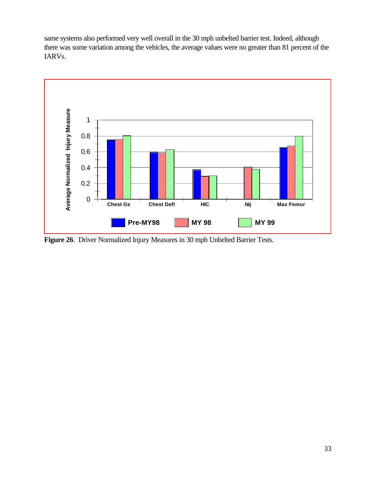same systems also performed very well overall in the 30 mph unbelted barrier test. Indeed, although there was some variation among the vehicles, the average values were no greater than 81 percent of the IARVs.



**Figure 26**. Driver Normalized Injury Measures in 30 mph Unbelted Barrier Tests.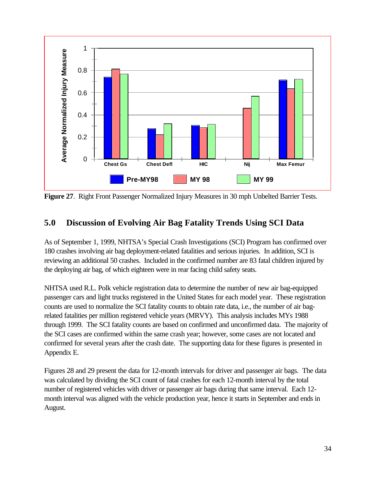

**Figure 27**. Right Front Passenger Normalized Injury Measures in 30 mph Unbelted Barrier Tests.

## **5.0 Discussion of Evolving Air Bag Fatality Trends Using SCI Data**

As of September 1, 1999, NHTSA's Special Crash Investigations (SCI) Program has confirmed over 180 crashes involving air bag deployment-related fatalities and serious injuries. In addition, SCI is reviewing an additional 50 crashes. Included in the confirmed number are 83 fatal children injured by the deploying air bag, of which eighteen were in rear facing child safety seats.

NHTSA used R.L. Polk vehicle registration data to determine the number of new air bag-equipped passenger cars and light trucks registered in the United States for each model year. These registration counts are used to normalize the SCI fatality counts to obtain rate data, i.e., the number of air bagrelated fatalities per million registered vehicle years (MRVY). This analysis includes MYs 1988 through 1999. The SCI fatality counts are based on confirmed and unconfirmed data. The majority of the SCI cases are confirmed within the same crash year; however, some cases are not located and confirmed for several years after the crash date. The supporting data for these figures is presented in Appendix E.

Figures 28 and 29 present the data for 12-month intervals for driver and passenger air bags. The data was calculated by dividing the SCI count of fatal crashes for each 12-month interval by the total number of registered vehicles with driver or passenger air bags during that same interval. Each 12 month interval was aligned with the vehicle production year, hence it starts in September and ends in August.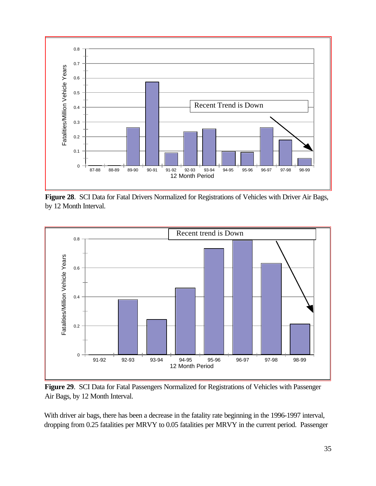

**Figure 28**. SCI Data for Fatal Drivers Normalized for Registrations of Vehicles with Driver Air Bags, by 12 Month Interval.



**Figure 29**. SCI Data for Fatal Passengers Normalized for Registrations of Vehicles with Passenger Air Bags, by 12 Month Interval.

With driver air bags, there has been a decrease in the fatality rate beginning in the 1996-1997 interval, dropping from 0.25 fatalities per MRVY to 0.05 fatalities per MRVY in the current period. Passenger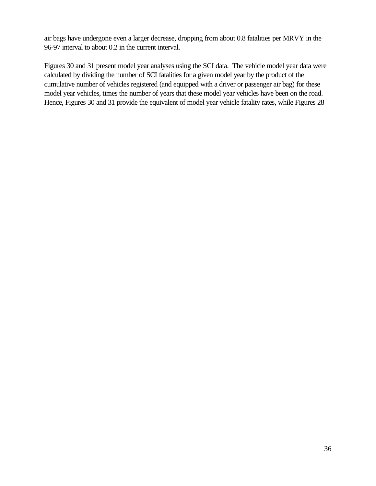air bags have undergone even a larger decrease, dropping from about 0.8 fatalities per MRVY in the 96-97 interval to about 0.2 in the current interval.

Figures 30 and 31 present model year analyses using the SCI data. The vehicle model year data were calculated by dividing the number of SCI fatalities for a given model year by the product of the cumulative number of vehicles registered (and equipped with a driver or passenger air bag) for these model year vehicles, times the number of years that these model year vehicles have been on the road. Hence, Figures 30 and 31 provide the equivalent of model year vehicle fatality rates, while Figures 28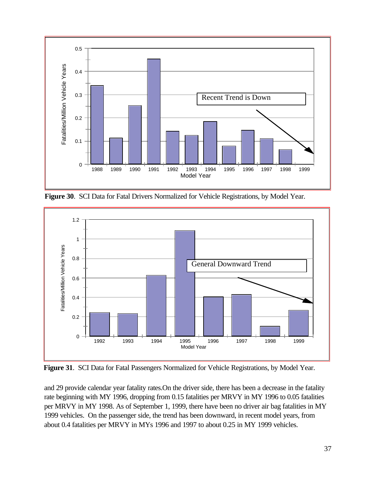

**Figure 30**. SCI Data for Fatal Drivers Normalized for Vehicle Registrations, by Model Year.



**Figure 31**. SCI Data for Fatal Passengers Normalized for Vehicle Registrations, by Model Year.

and 29 provide calendar year fatality rates.On the driver side, there has been a decrease in the fatality rate beginning with MY 1996, dropping from 0.15 fatalities per MRVY in MY 1996 to 0.05 fatalities per MRVY in MY 1998. As of September 1, 1999, there have been no driver air bag fatalities in MY 1999 vehicles. On the passenger side, the trend has been downward, in recent model years, from about 0.4 fatalities per MRVY in MYs 1996 and 1997 to about 0.25 in MY 1999 vehicles.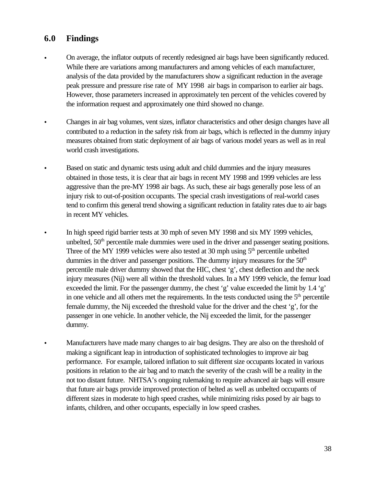## **6.0 Findings**

- On average, the inflator outputs of recently redesigned air bags have been significantly reduced. While there are variations among manufacturers and among vehicles of each manufacturer, analysis of the data provided by the manufacturers show a significant reduction in the average peak pressure and pressure rise rate of MY 1998 air bags in comparison to earlier air bags. However, those parameters increased in approximately ten percent of the vehicles covered by the information request and approximately one third showed no change.
- Changes in air bag volumes, vent sizes, inflator characteristics and other design changes have all contributed to a reduction in the safety risk from air bags, which is reflected in the dummy injury measures obtained from static deployment of air bags of various model years as well as in real world crash investigations.
- Based on static and dynamic tests using adult and child dummies and the injury measures obtained in those tests, it is clear that air bags in recent MY 1998 and 1999 vehicles are less aggressive than the pre-MY 1998 air bags. As such, these air bags generally pose less of an injury risk to out-of-position occupants. The special crash investigations of real-world cases tend to confirm this general trend showing a significant reduction in fatality rates due to air bags in recent MY vehicles.
- In high speed rigid barrier tests at 30 mph of seven MY 1998 and six MY 1999 vehicles, unbelted,  $50<sup>th</sup>$  percentile male dummies were used in the driver and passenger seating positions. Three of the MY 1999 vehicles were also tested at 30 mph using  $5<sup>th</sup>$  percentile unbelted dummies in the driver and passenger positions. The dummy injury measures for the  $50<sup>th</sup>$ percentile male driver dummy showed that the HIC, chest 'g', chest deflection and the neck injury measures (Nij) were all within the threshold values. In a MY 1999 vehicle, the femur load exceeded the limit. For the passenger dummy, the chest 'g' value exceeded the limit by 1.4 'g' in one vehicle and all others met the requirements. In the tests conducted using the  $5<sup>th</sup>$  percentile female dummy, the Nij exceeded the threshold value for the driver and the chest 'g', for the passenger in one vehicle. In another vehicle, the Nij exceeded the limit, for the passenger dummy.
- Manufacturers have made many changes to air bag designs. They are also on the threshold of making a significant leap in introduction of sophisticated technologies to improve air bag performance. For example, tailored inflation to suit different size occupants located in various positions in relation to the air bag and to match the severity of the crash will be a reality in the not too distant future. NHTSA's ongoing rulemaking to require advanced air bags will ensure that future air bags provide improved protection of belted as well as unbelted occupants of different sizes in moderate to high speed crashes, while minimizing risks posed by air bags to infants, children, and other occupants, especially in low speed crashes.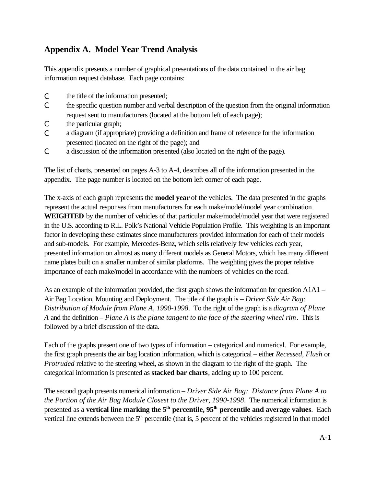# **Appendix A. Model Year Trend Analysis**

This appendix presents a number of graphical presentations of the data contained in the air bag information request database. Each page contains:

- C the title of the information presented;
- C the specific question number and verbal description of the question from the original information request sent to manufacturers (located at the bottom left of each page);
- C the particular graph;
- C a diagram (if appropriate) providing a definition and frame of reference for the information presented (located on the right of the page); and
- C a discussion of the information presented (also located on the right of the page).

The list of charts, presented on pages A-3 to A-4, describes all of the information presented in the appendix. The page number is located on the bottom left corner of each page.

The x-axis of each graph represents the **model year** of the vehicles. The data presented in the graphs represent the actual responses from manufacturers for each make/model/model year combination **WEIGHTED** by the number of vehicles of that particular make/model/model year that were registered in the U.S. according to R.L. Polk's National Vehicle Population Profile. This weighting is an important factor in developing these estimates since manufacturers provided information for each of their models and sub-models. For example, Mercedes-Benz, which sells relatively few vehicles each year, presented information on almost as many different models as General Motors, which has many different name plates built on a smaller number of similar platforms. The weighting gives the proper relative importance of each make/model in accordance with the numbers of vehicles on the road.

As an example of the information provided, the first graph shows the information for question A1A1 – Air Bag Location, Mounting and Deployment. The title of the graph is – *Driver Side Air Bag: Distribution of Module from Plane A, 1990-1998*. To the right of the graph is a *diagram of Plane A* and the definition – *Plane A is the plane tangent to the face of the steering wheel rim*. This is followed by a brief discussion of the data.

Each of the graphs present one of two types of information – categorical and numerical. For example, the first graph presents the air bag location information, which is categorical – either *Recessed*, *Flush* or *Protruded* relative to the steering wheel, as shown in the diagram to the right of the graph. The categorical information is presented as **stacked bar charts**, adding up to 100 percent.

The second graph presents numerical information – *Driver Side Air Bag: Distance from Plane A to the Portion of the Air Bag Module Closest to the Driver, 1990-1998*. The numerical information is presented as a **vertical line marking the 5th percentile, 95th percentile and average values**. Each vertical line extends between the 5<sup>th</sup> percentile (that is, 5 percent of the vehicles registered in that model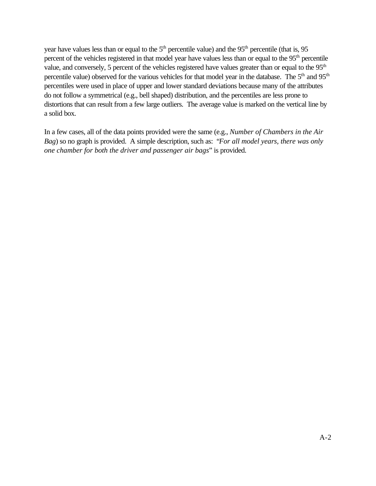year have values less than or equal to the  $5<sup>th</sup>$  percentile value) and the  $95<sup>th</sup>$  percentile (that is,  $95$ ) percent of the vehicles registered in that model year have values less than or equal to the 95<sup>th</sup> percentile value, and conversely, 5 percent of the vehicles registered have values greater than or equal to the 95<sup>th</sup> percentile value) observed for the various vehicles for that model year in the database. The 5<sup>th</sup> and 95<sup>th</sup> percentiles were used in place of upper and lower standard deviations because many of the attributes do not follow a symmetrical (e.g., bell shaped) distribution, and the percentiles are less prone to distortions that can result from a few large outliers. The average value is marked on the vertical line by a solid box.

In a few cases, all of the data points provided were the same (e.g., *Number of Chambers in the Air Bag*) so no graph is provided. A simple description, such as: "*For all model years, there was only one chamber for both the driver and passenger air bags*" is provided.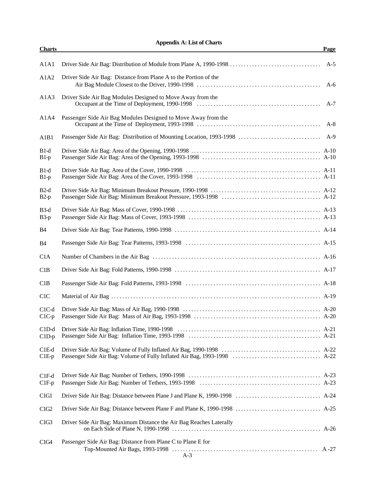**Appendix A: List of Charts**

| <b>Charts</b>      |                                                                     | Page  |
|--------------------|---------------------------------------------------------------------|-------|
| A1A1               |                                                                     | $A-5$ |
| A1A2               | Driver Side Air Bag: Distance from Plane A to the Portion of the    | $A-6$ |
| A1A3               | Driver Side Air Bag Modules Designed to Move Away from the          |       |
| A1A4               | Passenger Side Air Bag Modules Designed to Move Away from the       | $A-8$ |
| A1B1               |                                                                     |       |
| $B1-d$<br>$B1-p$   |                                                                     |       |
| $B1-d$<br>$B1-p$   |                                                                     |       |
| $B2-d$<br>$B2-p$   |                                                                     |       |
| $B3-d$<br>$B3-p$   |                                                                     |       |
| <b>B4</b>          |                                                                     |       |
| <b>B4</b>          |                                                                     |       |
| C1A                |                                                                     |       |
| C1B                |                                                                     |       |
| C1B                |                                                                     |       |
| C1C                |                                                                     |       |
| $ClC-d$<br>$ClC-p$ |                                                                     |       |
| $C1D-d$<br>$C1D-p$ |                                                                     |       |
| C1E-d<br>$C1E-p$   |                                                                     |       |
| $C1F-d$<br>$C1F-p$ |                                                                     |       |
| ClG1               |                                                                     |       |
| ClG2               |                                                                     |       |
| ClG3               | Driver Side Air Bag: Maximum Distance the Air Bag Reaches Laterally |       |
| C1G4               | Passenger Side Air Bag: Distance from Plane C to Plane E for        |       |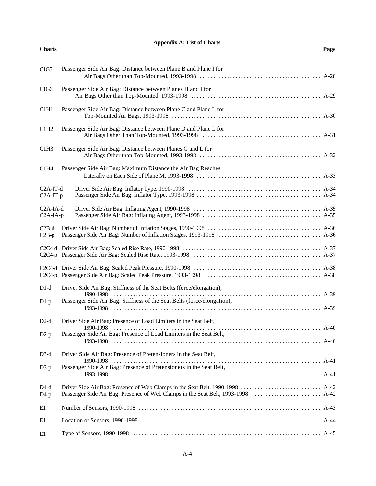| <b>Appendix A: List of Charts</b> |      |
|-----------------------------------|------|
| <b>Charts</b>                     | Page |

| C1G5                                | Passenger Side Air Bag: Distance between Plane B and Plane I for                      |  |
|-------------------------------------|---------------------------------------------------------------------------------------|--|
| C1G6                                | Passenger Side Air Bag: Distance between Planes H and I for                           |  |
| C1H1                                | Passenger Side Air Bag: Distance between Plane C and Plane L for                      |  |
| C1H2                                | Passenger Side Air Bag: Distance between Plane D and Plane L for                      |  |
| C1H3                                | Passenger Side Air Bag: Distance between Planes G and L for                           |  |
| C1H4                                | Passenger Side Air Bag: Maximum Distance the Air Bag Reaches                          |  |
| $C2A-IT-d$<br>C <sub>2</sub> A-IT-p |                                                                                       |  |
| $C2A$ -IA-d<br>$C2A-IA-p$           |                                                                                       |  |
| $C2B-d$<br>$C2B-p$                  |                                                                                       |  |
|                                     |                                                                                       |  |
|                                     |                                                                                       |  |
| $D1-d$                              | Driver Side Air Bag: Stiffness of the Seat Belts (force/elongation),<br>$1990 - 1998$ |  |
| $D1-p$                              | Passenger Side Air Bag: Stiffness of the Seat Belts (force/elongation),               |  |
| $D2-d$                              | Driver Side Air Bag: Presence of Load Limiters in the Seat Belt,                      |  |
| $D2-p$                              | Passenger Side Air Bag: Presence of Load Limiters in the Seat Belt,                   |  |
| $D3-d$                              | Driver Side Air Bag: Presence of Pretensioners in the Seat Belt,                      |  |
| $D3-p$                              | Passenger Side Air Bag: Presence of Pretensioners in the Seat Belt,                   |  |
| $D4-d$<br>$D4-p$                    |                                                                                       |  |
| E1                                  |                                                                                       |  |
| E1                                  |                                                                                       |  |
| E1                                  |                                                                                       |  |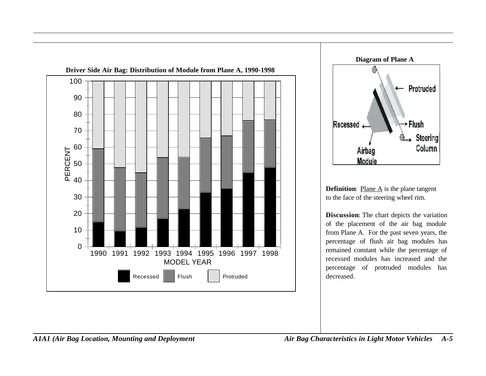<span id="page-51-0"></span>



**Definition:** Plane  $\overline{A}$  is the plane tangent to the face of the steering wheel rim.

**Discussion**: The chart depicts the variation of the placement of the air bag module from Plane A. For the past seven years, the percentage of flush air bag modules has remained constant while the percentage of recessed modules has increased and the percentage of protruded modules has decreased.

*A1A1 (Air Bag Location, Mounting and Deployment Air Bag Characteristics in Light Motor Vehicles A-5*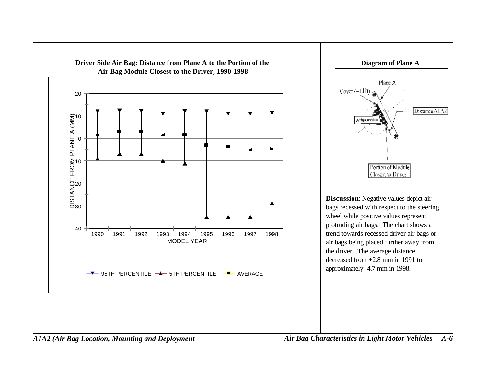<span id="page-52-0"></span>



**Discussion**: Negative values depict air bags recessed with respect to the steering wheel while positive values represent protruding air bags. The chart shows a trend towards recessed driver air bags or air bags being placed further away from the driver. The average distance decreased from +2.8 mm in 1991 to approximately -4.7 mm in 1998.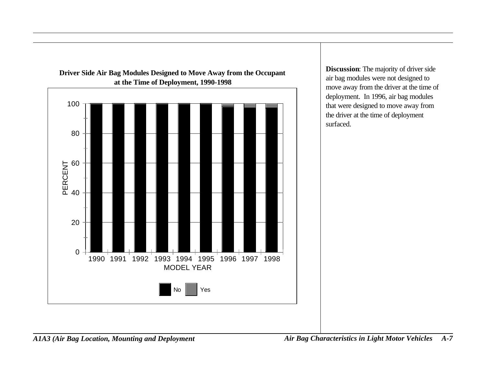<span id="page-53-0"></span>

**Driver Side Air Bag Modules Designed to Move Away from the Occupant**

**Discussion**: The majority of driver side air bag modules were not designed to move away from the driver at the time of deployment. In 1996, air bag modules that were designed to move away from the driver at the time of deployment surfaced.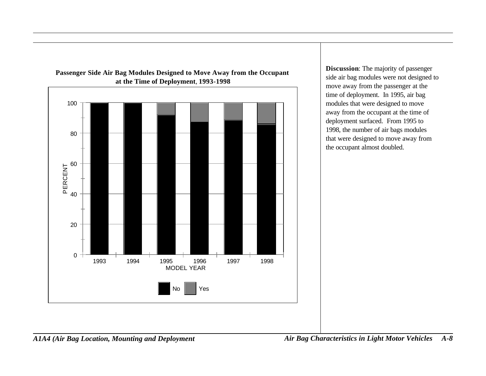

<span id="page-54-0"></span>**Passenger Side Air Bag Modules Designed to Move Away from the Occupant at the Time of Deployment**, **1993-1998**

**Discussion**: The majority of passenger side air bag modules were not designed to move away from the passenger at the time of deployment. In 1995, air bag modules that were designed to move away from the occupant at the time of deployment surfaced. From 1995 to 1998, the number of air bags modules that were designed to move away from the occupant almost doubled.

*A1A4 (Air Bag Location, Mounting and Deployment Air Bag Characteristics in Light Motor Vehicles A-8*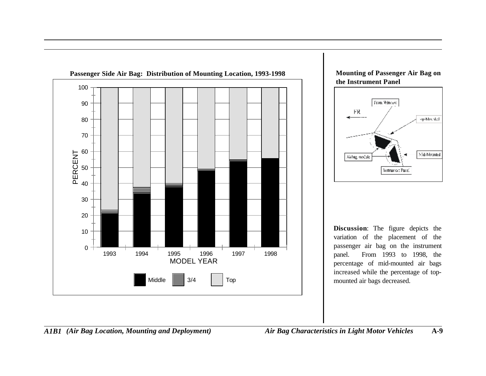<span id="page-55-0"></span>





**Discussion**: The figure depicts the variation of the placement of the passenger air bag on the instrument panel. From 1993 to 1998, the percentage of mid-mounted air bags increased while the percentage of topmounted air bags decreased.

*A1B1 (Air Bag Location, Mounting and Deployment) Air Bag Characteristics in Light Motor Vehicles* **A-9**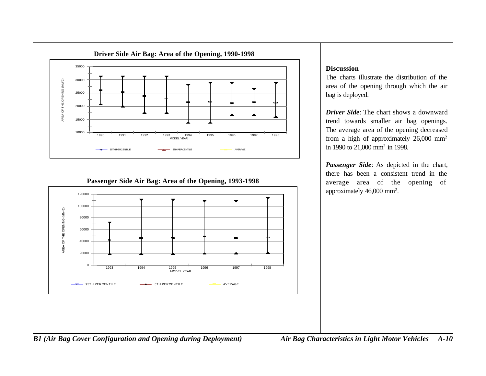<span id="page-56-0"></span>

#### **Passenger Side Air Bag: Area of the Opening, 1993-1998**



#### **Discussion**

The charts illustrate the distribution of the area of the opening through which the air bag is deployed.

*Driver Side*: The chart shows a downward trend towards smaller air bag openings. The average area of the opening decreased from a high of approximately 26,000 mm<sup>2</sup> in 1990 to 21,000 mm<sup>2</sup> in 1998.

*Passenger Side*: As depicted in the chart, there has been a consistent trend in the average area of the opening of approximately 46,000 mm<sup>2</sup> .

*B1 (Air Bag Cover Configuration and Opening during Deployment) Air Bag Characteristics in Light Motor Vehicles A-10*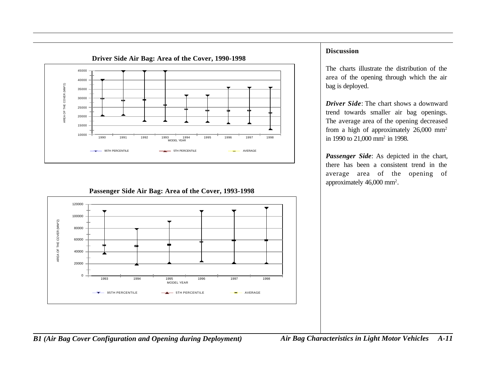<span id="page-57-0"></span>

#### **Discussion**

The charts illustrate the distribution of the area of the opening through which the air bag is deployed.

*Driver Side*: The chart shows a downward trend towards smaller air bag openings. The average area of the opening decreased from a high of approximately 26,000 mm<sup>2</sup> in 1990 to 21,000 mm<sup>2</sup> in 1998.

*Passenger Side*: As depicted in the chart, there has been a consistent trend in the average area of the opening of approximately 46,000 mm<sup>2</sup> .



#### **Passenger Side Air Bag: Area of the Cover, 1993-1998**

*B1 (Air Bag Cover Configuration and Opening during Deployment) Air Bag Characteristics in Light Motor Vehicles A-11*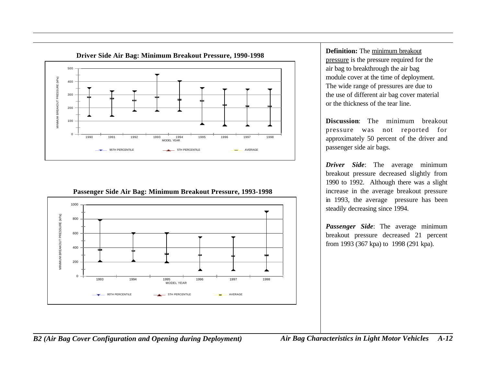<span id="page-58-0"></span>

**Passenger Side Air Bag: Minimum Breakout Pressure, 1993-1998**



**Definition:** The minimum breakout pressure is the pressure required for the air bag to breakthrough the air bag module cover at the time of deployment. The wide range of pressures are due to the use of different air bag cover material or the thickness of the tear line.

**Discussion**: The minimum breakout pressure was not reported for approximately 50 percent of the driver and passenger side air bags.

*Driver Side*: The average minimum breakout pressure decreased slightly from 1990 to 1992. Although there was a slight increase in the average breakout pressure in 1993, the average pressure has been steadily decreasing since 1994.

*Passenger Side*: The average minimum breakout pressure decreased 21 percent from 1993 (367 kpa) to 1998 (291 kpa).

*B2 (Air Bag Cover Configuration and Opening during Deployment) Air Bag Characteristics in Light Motor Vehicles A-12*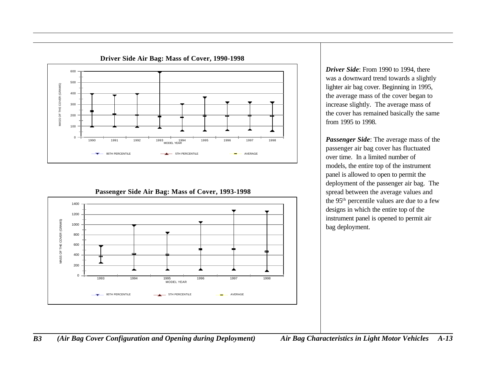<span id="page-59-0"></span>

**Driver Side Air Bag: Mass of Cover, 1990-1998**

### 1400 1200 MASS OF THE COVER (GRAMS) MASS OF THE COVER (GRAMS) 1000 800 600 400 200 0 1993 1994 1995 1996 1997 1998 MODEL YEAR 95TH PERCENTILE **5TH PERCENTILE** 5TH PERCENTILE

**Passenger Side Air Bag: Mass of Cover, 1993-1998**

*Driver Side*: From 1990 to 1994, there was a downward trend towards a slightly lighter air bag cover. Beginning in 1995, the average mass of the cover began to increase slightly. The average mass of the cover has remained basically the same from 1995 to 1998.

*Passenger Side*: The average mass of the passenger air bag cover has fluctuated over time. In a limited number of models, the entire top of the instrument panel is allowed to open to permit the deployment of the passenger air bag. The spread between the average values and the 95th percentile values are due to a few designs in which the entire top of the instrument panel is opened to permit air bag deployment.

*B3 (Air Bag Cover Configuration and Opening during Deployment) Air Bag Characteristics in Light Motor Vehicles A-13*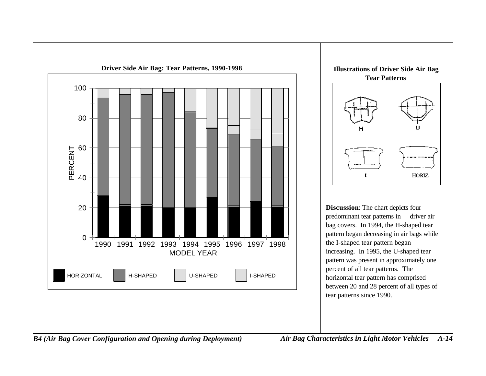<span id="page-60-0"></span>



**Discussion**: The chart depicts four predominant tear patterns in driver air bag covers. In 1994, the H-shaped tear pattern began decreasing in air bags while the I-shaped tear pattern began increasing. In 1995, the U-shaped tear pattern was present in approximately one percent of all tear patterns. The horizontal tear pattern has comprised between 20 and 28 percent of all types of tear patterns since 1990.

*B4 (Air Bag Cover Configuration and Opening during Deployment) Air Bag Characteristics in Light Motor Vehicles A-14*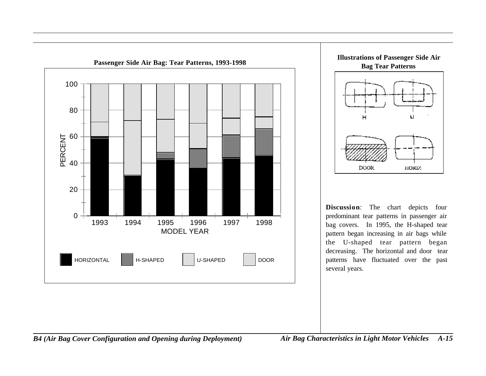<span id="page-61-0"></span>



**Discussion**: The chart depicts four predominant tear patterns in passenger air bag covers. In 1995, the H-shaped tear pattern began increasing in air bags while the U-shaped tear pattern began decreasing. The horizontal and door tear patterns have fluctuated over the past several years.

*B4 (Air Bag Cover Configuration and Opening during Deployment) Air Bag Characteristics in Light Motor Vehicles A-15*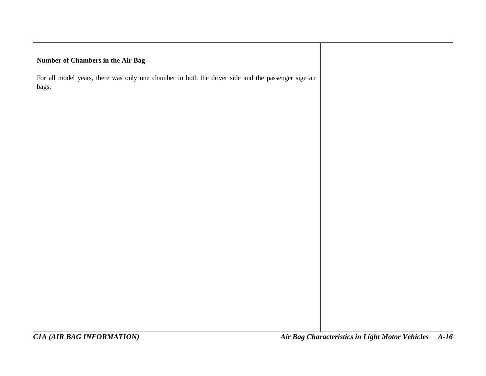#### <span id="page-62-0"></span>**Number of Chambers in the Air Bag**

For all model years, there was only one chamber in both the driver side and the passenger sige air bags.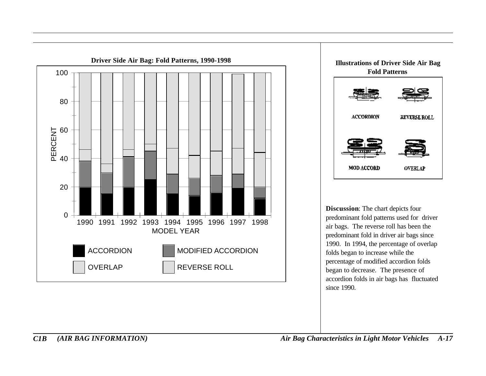<span id="page-63-0"></span>



**Discussion**: The chart depicts four predominant fold patterns used for driver air bags. The reverse roll has been the predominant fold in driver air bags since 1990. In 1994, the percentage of overlap folds began to increase while the percentage of modified accordion folds began to decrease. The presence of accordion folds in air bags has fluctuated since 1990.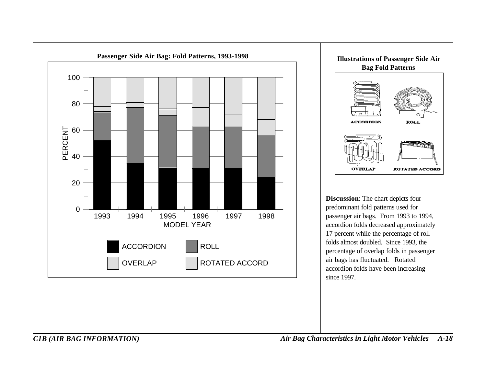<span id="page-64-0"></span>



**Discussion**: The chart depicts four predominant fold patterns used for passenger air bags. From 1993 to 1994, accordion folds decreased approximately 17 percent while the percentage of roll folds almost doubled. Since 1993, the percentage of overlap folds in passenger air bags has fluctuated. Rotated accordion folds have been increasing since 1997.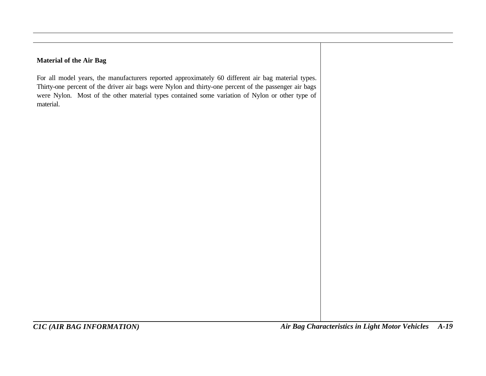#### <span id="page-65-0"></span>**Material of the Air Bag**

For all model years, the manufacturers reported approximately 60 different air bag material types. Thirty-one percent of the driver air bags were Nylon and thirty-one percent of the passenger air bags were Nylon. Most of the other material types contained some variation of Nylon or other type of material.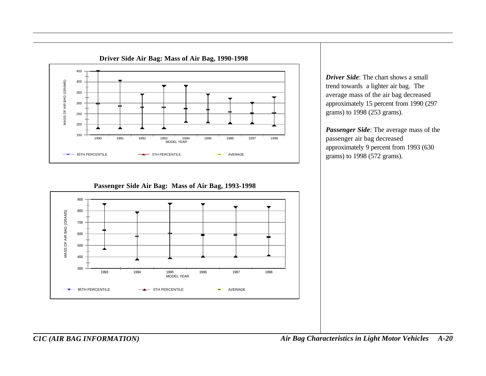<span id="page-66-0"></span>

*Driver Side*: The chart shows a small trend towards a lighter air bag. The average mass of the air bag decreased approximately 15 percent from 1990 (297 grams) to 1998 (253 grams).

*Passenger Side*: The average mass of the passenger air bag decreased approximately 9 percent from 1993 (630 grams) to 1998 (572 grams).

#### **Passenger Side Air Bag: Mass of Air Bag, 1993-1998**



*C1C (AIR BAG INFORMATION) Air Bag Characteristics in Light Motor Vehicles A-20*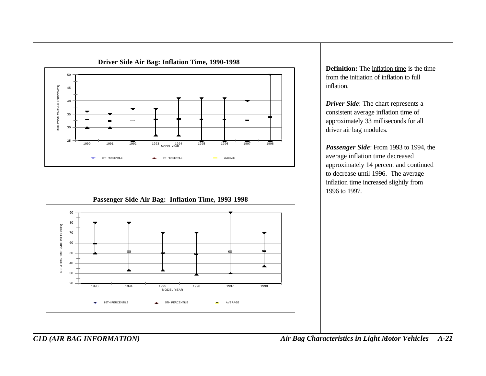<span id="page-67-0"></span>

**Passenger Side Air Bag: Inflation Time, 1993-1998**



**Definition:** The inflation time is the time from the initiation of inflation to full inflation.

*Driver Side*: The chart represents a consistent average inflation time of approximately 33 milliseconds for all driver air bag modules.

*Passenger Side*: From 1993 to 1994, the average inflation time decreased approximately 14 percent and continued to decrease until 1996. The average inflation time increased slightly from 1996 to 1997.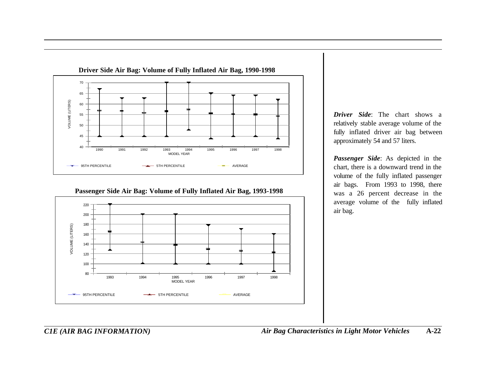<span id="page-68-0"></span>

**Passenger Side Air Bag: Volume of Fully Inflated Air Bag, 1993-1998**



*Driver Side*: The chart shows a relatively stable average volume of the fully inflated driver air bag between approximately 54 and 57 liters.

*Passenger Side*: As depicted in the chart, there is a downward trend in the volume of the fully inflated passenger air bags. From 1993 to 1998, there was a 26 percent decrease in the average volume of the fully inflated air bag.

*C1E (AIR BAG INFORMATION) Air Bag Characteristics in Light Motor Vehicles* **A-22**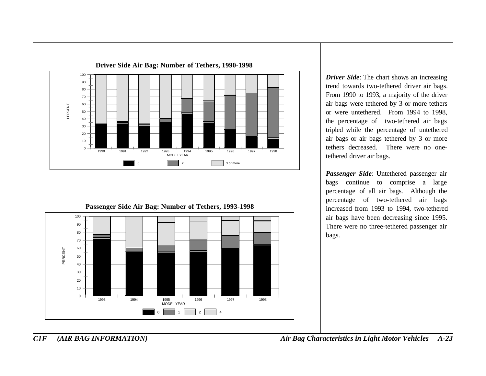<span id="page-69-0"></span>



*Driver Side*: The chart shows an increasing trend towards two-tethered driver air bags. From 1990 to 1993, a majority of the driver air bags were tethered by 3 or more tethers or were untethered. From 1994 to 1998, the percentage of two-tethered air bags tripled while the percentage of untethered air bags or air bags tethered by 3 or more tethers decreased. There were no onetethered driver air bags.

*Passenger Side*: Untethered passenger air bags continue to comprise a large percentage of all air bags. Although the percentage of two-tethered air bags increased from 1993 to 1994, two-tethered air bags have been decreasing since 1995. There were no three-tethered passenger air bags.

*C1F (AIR BAG INFORMATION) Air Bag Characteristics in Light Motor Vehicles A-23*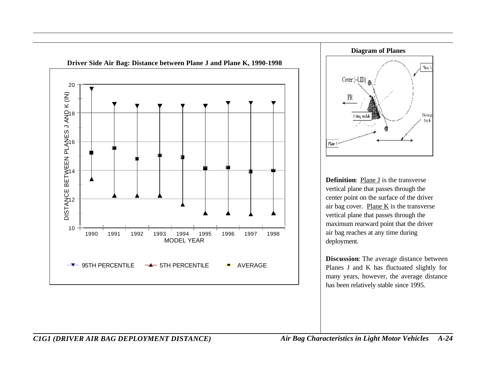<span id="page-70-0"></span>



**Definition**: Plane J is the transverse vertical plane that passes through the center point on the surface of the driver air bag cover. Plane  $K$  is the transverse vertical plane that passes through the maximum rearward point that the driver air bag reaches at any time during deployment.

**Discussion**: The average distance between Planes J and K has fluctuated slightly for many years, however, the average distance has been relatively stable since 1995.

*C1G1 (DRIVER AIR BAG DEPLOYMENT DISTANCE) Air Bag Characteristics in Light Motor Vehicles A-24*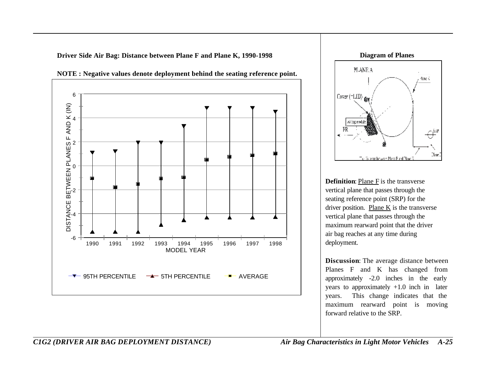-6 -4 -2 0 2  $F$  AND K (IN) 6 DISTANCE BETWEEN PLANES F AND K (IN) 1990 1991 1992 1993 1994 1995 1996 1997 1998 MODEL YEAR 95TH PERCENTILE  $\rightarrow$  5TH PERCENTILE  $\rightarrow$  AVERAGE

<span id="page-71-0"></span>**Driver Side Air Bag: Distance between Plane F and Plane K, 1990-1998**





**Definition**: Plane F is the transverse vertical plane that passes through the seating reference point (SRP) for the driver position. Plane  $K$  is the transverse vertical plane that passes through the maximum rearward point that the driver air bag reaches at any time during deployment.

**Discussion**: The average distance between Planes F and K has changed from approximately -2.0 inches in the early years to approximately +1.0 inch in later years. This change indicates that the maximum rearward point is moving forward relative to the SRP.

*C1G2 (DRIVER AIR BAG DEPLOYMENT DISTANCE) Air Bag Characteristics in Light Motor Vehicles A-25*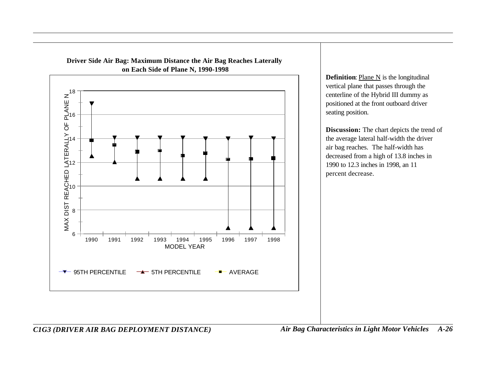

**Driver Side Air Bag: Maximum Distance the Air Bag Reaches Laterally**

**Definition:** Plane N is the longitudinal vertical plane that passes through the centerline of the Hybrid III dummy as positioned at the front outboard driver seating position.

**Discussion:** The chart depicts the trend of the average lateral half-width the driver air bag reaches. The half-width has decreased from a high of 13.8 inches in 1990 to 12.3 inches in 1998, an 11 percent decrease.

*C1G3 (DRIVER AIR BAG DEPLOYMENT DISTANCE) Air Bag Characteristics in Light Motor Vehicles A-26*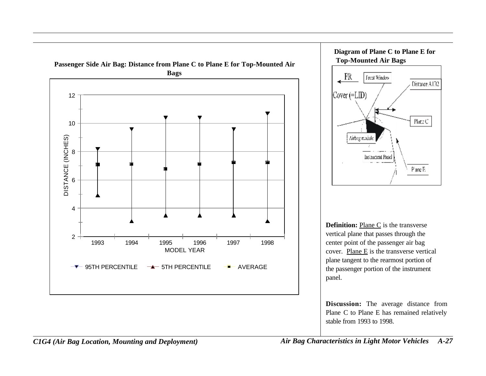





**Definition:** Plane C is the transverse vertical plane that passes through the center point of the passenger air bag cover. Plane E is the transverse vertical plane tangent to the rearmost portion of the passenger portion of the instrument panel.

**Discussion:** The average distance from Plane C to Plane E has remained relatively stable from 1993 to 1998.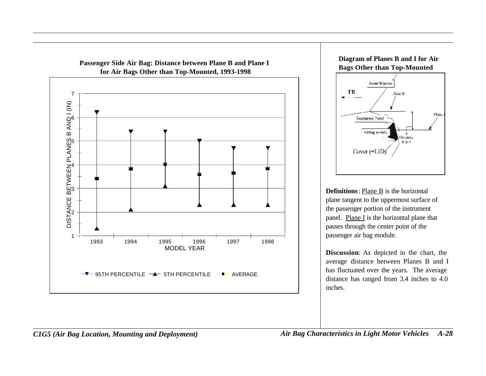



**Definitions**: Plane B is the horizontal plane tangent to the uppermost surface of the passenger portion of the instrument panel. Plane  $I$  is the horizontal plane that passes through the center point of the passenger air bag module.

**Discussion**: As depicted in the chart, the average distance between Planes B and I has fluctuated over the years. The average distance has ranged from 3.4 inches to 4.0 inches.

*C1G5 (Air Bag Location, Mounting and Deployment) Air Bag Characteristics in Light Motor Vehicles A-28*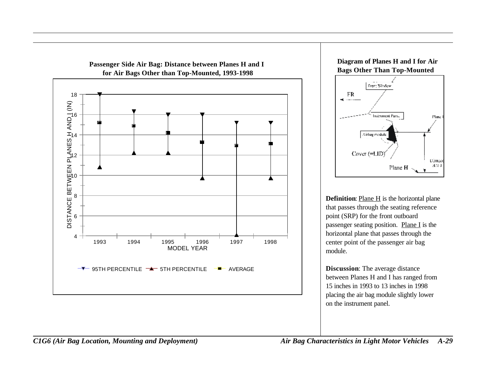





**Definition**: Plane H is the horizontal plane that passes through the seating reference point (SRP) for the front outboard passenger seating position. Plane I is the horizontal plane that passes through the center point of the passenger air bag module.

**Discussion**: The average distance between Planes H and I has ranged from 15 inches in 1993 to 13 inches in 1998 placing the air bag module slightly lower on the instrument panel.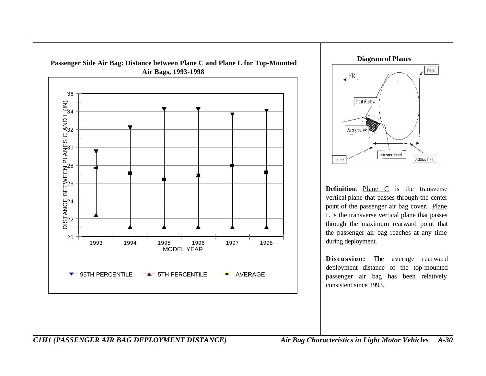



**Definition:** Plane C is the transverse vertical plane that passes through the center point of the passenger air bag cover. Plane  $\underline{L}$  is the transverse vertical plane that passes through the maximum rearward point that the passenger air bag reaches at any time during deployment.

**Discussion:** The average rearward deployment distance of the top-mounted passenger air bag has been relatively consistent since 1993.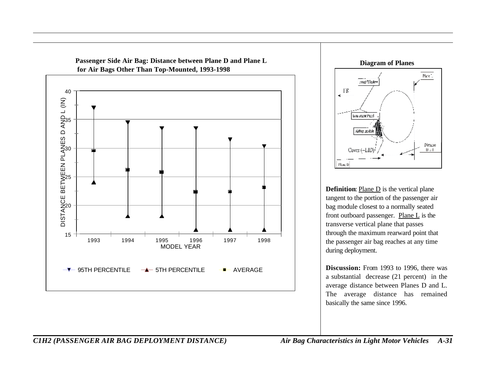



**Definition:** Plane D is the vertical plane tangent to the portion of the passenger air bag module closest to a normally seated front outboard passenger. Plane  $L$  is the transverse vertical plane that passes through the maximum rearward point that the passenger air bag reaches at any time during deployment.

**Discussion:** From 1993 to 1996, there was a substantial decrease (21 percent) in the average distance between Planes D and L. The average distance has remained basically the same since 1996.

#### *C1H2 (PASSENGER AIR BAG DEPLOYMENT DISTANCE) Air Bag Characteristics in Light Motor Vehicles A-31*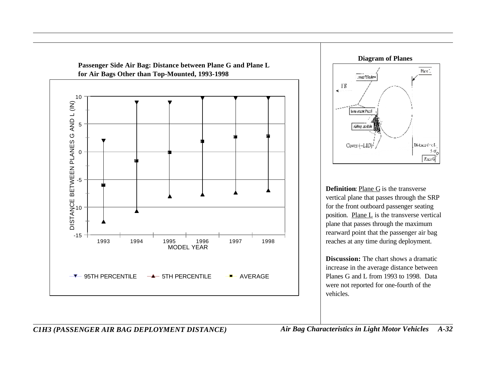

**Diagram of Planes**



**Definition**: Plane G is the transverse vertical plane that passes through the SRP for the front outboard passenger seating position. Plane L is the transverse vertical plane that passes through the maximum rearward point that the passenger air bag reaches at any time during deployment.

**Discussion:** The chart shows a dramatic increase in the average distance between Planes G and L from 1993 to 1998. Data were not reported for one-fourth of the vehicles.

## *C1H3 (PASSENGER AIR BAG DEPLOYMENT DISTANCE) Air Bag Characteristics in Light Motor Vehicles A-32*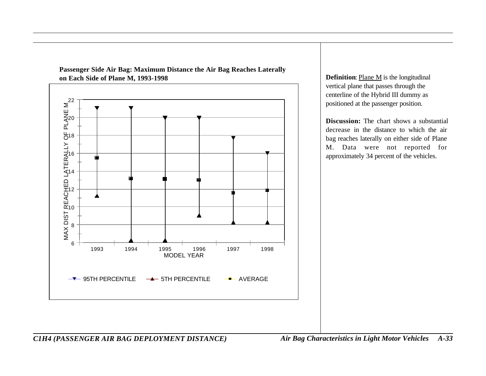

**Passenger Side Air Bag: Maximum Distance the Air Bag Reaches Laterally on Each Side of Plane M, 1993-1998 Definition**: <u>Plane M</u> is the longitudinal

vertical plane that passes through the centerline of the Hybrid III dummy as positioned at the passenger position.

**Discussion:** The chart shows a substantial decrease in the distance to which the air bag reaches laterally on either side of Plane M. Data were not reported for approximately 34 percent of the vehicles.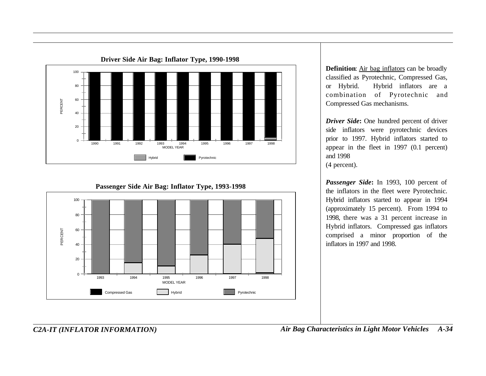

**Passenger Side Air Bag: Inflator Type, 1993-1998**



**Definition**: Air bag inflators can be broadly classified as Pyrotechnic, Compressed Gas, or Hybrid. Hybrid inflators are a combination of Pyrotechnic and Compressed Gas mechanisms.

*Driver Side***:** One hundred percent of driver side inflators were pyrotechnic devices prior to 1997. Hybrid inflators started to appear in the fleet in 1997 (0.1 percent) and 1998 (4 percent).

*Passenger Side***:** In 1993, 100 percent of the inflators in the fleet were Pyrotechnic. Hybrid inflators started to appear in 1994 (approximately 15 percent). From 1994 to 1998, there was a 31 percent increase in Hybrid inflators. Compressed gas inflators comprised a minor proportion of the inflators in 1997 and 1998.

*C2A-IT (INFLATOR INFORMATION) Air Bag Characteristics in Light Motor Vehicles A-34*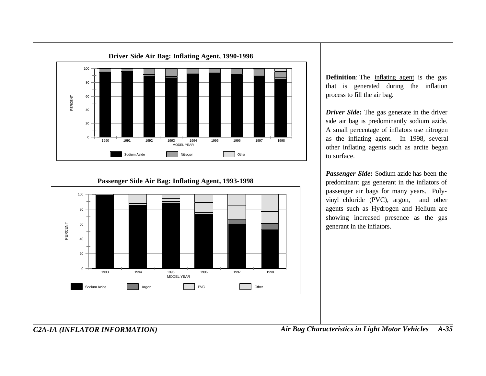

**Definition**: The inflating agent is the gas that is generated during the inflation process to fill the air bag.

*Driver Side***:** The gas generate in the driver side air bag is predominantly sodium azide. A small percentage of inflators use nitrogen as the inflating agent. In 1998, several other inflating agents such as arcite began to surface.

*Passenger Side***:** Sodium azide has been the predominant gas generant in the inflators of passenger air bags for many years. Polyvinyl chloride (PVC), argon, and other agents such as Hydrogen and Helium are showing increased presence as the gas generant in the inflators.

 $\Omega$ 20 40 60 80 100 PERCENT 1993 1994 1995 1996 1997 1998 MODEL YEAR Sodium Azide **Argon** Argon **PVC** PVC Other

#### **Passenger Side Air Bag: Inflating Agent, 1993-1998**

*C2A-IA (INFLATOR INFORMATION) Air Bag Characteristics in Light Motor Vehicles A-35*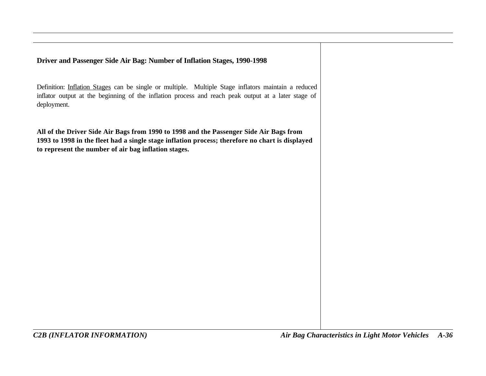### **Driver and Passenger Side Air Bag: Number of Inflation Stages, 1990-1998**

Definition: Inflation Stages can be single or multiple. Multiple Stage inflators maintain a reduced inflator output at the beginning of the inflation process and reach peak output at a later stage of deployment.

**All of the Driver Side Air Bags from 1990 to 1998 and the Passenger Side Air Bags from 1993 to 1998 in the fleet had a single stage inflation process; therefore no chart is displayed to represent the number of air bag inflation stages.**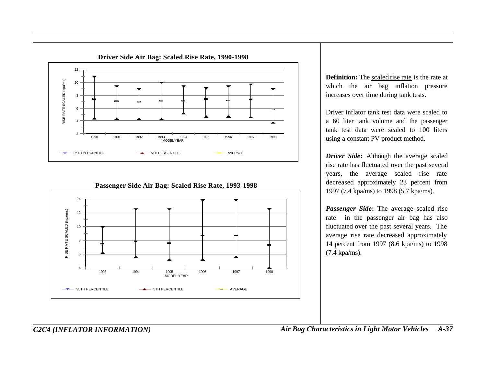



#### **Passenger Side Air Bag: Scaled Rise Rate, 1993-1998**

**Definition:** The scaled rise rate is the rate at which the air bag inflation pressure increases over time during tank tests.

Driver inflator tank test data were scaled to a 60 liter tank volume and the passenger tank test data were scaled to 100 liters using a constant PV product method.

*Driver Side***:** Although the average scaled rise rate has fluctuated over the past several years, the average scaled rise rate decreased approximately 23 percent from 1997 (7.4 kpa/ms) to 1998 (5.7 kpa/ms).

*Passenger Side***:** The average scaled rise rate in the passenger air bag has also fluctuated over the past several years. The average rise rate decreased approximately 14 percent from 1997 (8.6 kpa/ms) to 1998 (7.4 kpa/ms).

*C2C4 (INFLATOR INFORMATION) Air Bag Characteristics in Light Motor Vehicles A-37*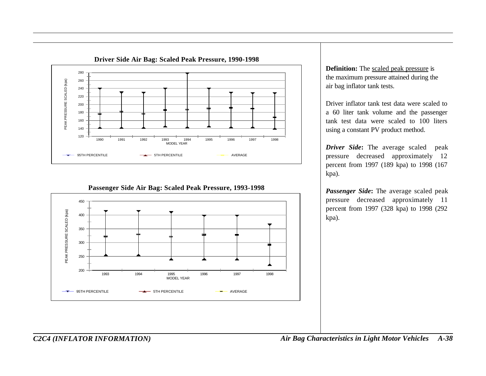

**Passenger Side Air Bag: Scaled Peak Pressure, 1993-1998**



**Definition:** The scaled peak pressure is the maximum pressure attained during the air bag inflator tank tests.

Driver inflator tank test data were scaled to a 60 liter tank volume and the passenger tank test data were scaled to 100 liters using a constant PV product method.

*Driver Side***:** The average scaled peak pressure decreased approximately 12 percent from 1997 (189 kpa) to 1998 (167 kpa).

*Passenger Side***:** The average scaled peak pressure decreased approximately 11 percent from 1997 (328 kpa) to 1998 (292 kpa).

*C2C4 (INFLATOR INFORMATION) Air Bag Characteristics in Light Motor Vehicles A-38*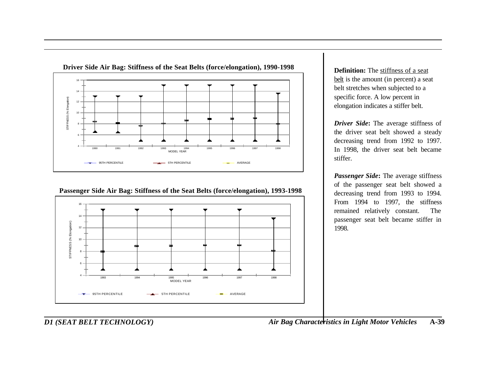

**Passenger Side Air Bag: Stiffness of the Seat Belts (force/elongation), 1993-1998**



**Definition:** The stiffness of a seat belt is the amount (in percent) a seat belt stretches when subjected to a specific force. A low percent in elongation indicates a stiffer belt.

*Driver Side***:** The average stiffness of the driver seat belt showed a steady decreasing trend from 1992 to 1997. In 1998, the driver seat belt became stiffer.

*Passenger Side***:** The average stiffness of the passenger seat belt showed a decreasing trend from 1993 to 1994. From 1994 to 1997, the stiffness remained relatively constant. The passenger seat belt became stiffer in 1998.

*D1 (SEAT BELT TECHNOLOGY) Air Bag Characteristics in Light Motor Vehicles* **A-39**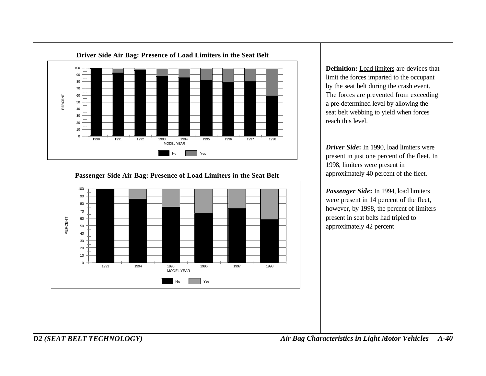

#### **Passenger Side Air Bag: Presence of Load Limiters in the Seat Belt**



**Definition:** Load limiters are devices that limit the forces imparted to the occupant by the seat belt during the crash event. The forces are prevented from exceeding a pre-determined level by allowing the seat belt webbing to yield when forces reach this level.

*Driver Side***:** In 1990, load limiters were present in just one percent of the fleet. In 1998, limiters were present in approximately 40 percent of the fleet.

*Passenger Side***:** In 1994, load limiters were present in 14 percent of the fleet, however, by 1998, the percent of limiters present in seat belts had tripled to approximately 42 percent

*D2 (SEAT BELT TECHNOLOGY) Air Bag Characteristics in Light Motor Vehicles A-40*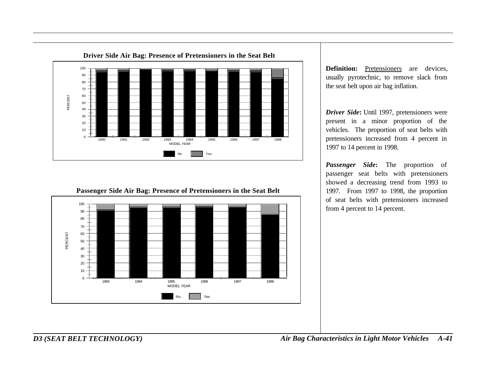



*Driver Side***:** Until 1997, pretensioners were present in a minor proportion of the vehicles. The proportion of seat belts with pretensioners increased from 4 percent in 1997 to 14 percent in 1998.

*Passenger Side***:** The proportion of passenger seat belts with pretensioners showed a decreasing trend from 1993 to 1997. From 1997 to 1998, the proportion of seat belts with pretensioners increased from 4 percent to 14 percent.



**Passenger Side Air Bag: Presence of Pretensioners in the Seat Belt**

*D3 (SEAT BELT TECHNOLOGY) Air Bag Characteristics in Light Motor Vehicles A-41*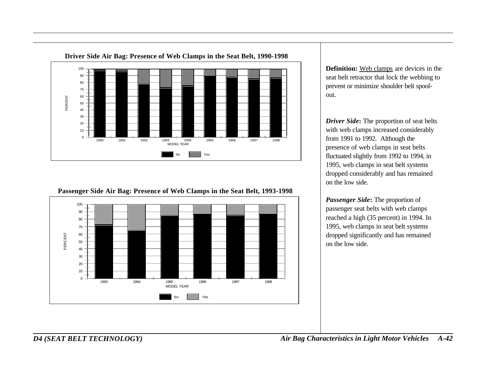

**Passenger Side Air Bag: Presence of Web Clamps in the Seat Belt, 1993-1998**



**Definition:** Web clamps are devices in the seat belt retractor that lock the webbing to prevent or minimize shoulder belt spoolout.

*Driver Side***:** The proportion of seat belts with web clamps increased considerably from 1991 to 1992. Although the presence of web clamps in seat belts fluctuated slightly from 1992 to 1994, in 1995, web clamps in seat belt systems dropped considerably and has remained on the low side.

*Passenger Side***:** The proportion of passenger seat belts with web clamps reached a high (35 percent) in 1994. In 1995, web clamps in seat belt systems dropped significantly and has remained on the low side.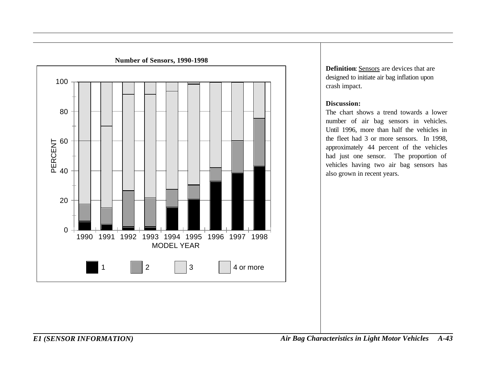

**Definition**: Sensors are devices that are designed to initiate air bag inflation upon crash impact.

#### **Discussion:**

The chart shows a trend towards a lower number of air bag sensors in vehicles. Until 1996, more than half the vehicles in the fleet had 3 or more sensors. In 1998, approximately 44 percent of the vehicles had just one sensor. The proportion of vehicles having two air bag sensors has also grown in recent years.

*E1 (SENSOR INFORMATION) Air Bag Characteristics in Light Motor Vehicles A-43*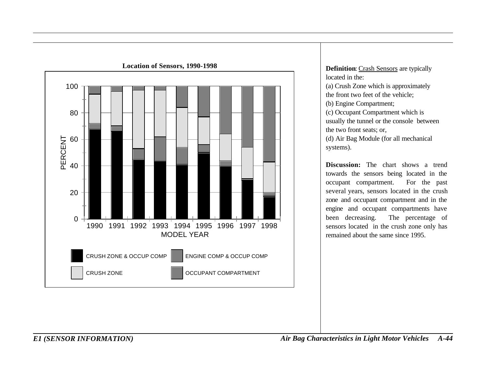

located in the: (a) Crush Zone which is approximately the front two feet of the vehicle; (b) Engine Compartment; (c) Occupant Compartment which is usually the tunnel or the console between the two front seats; or, (d) Air Bag Module (for all mechanical systems).

**Discussion:** The chart shows a trend towards the sensors being located in the occupant compartment. For the past several years, sensors located in the crush zone and occupant compartment and in the engine and occupant compartments have been decreasing. The percentage of sensors located in the crush zone only has remained about the same since 1995.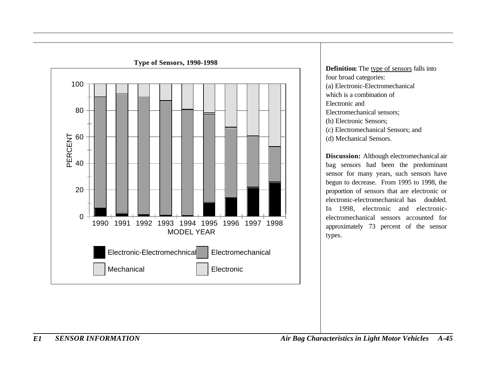

**Definition:** The type of sensors falls into four broad categories: (a) Electronic-Electromechanical which is a combination of Electronic and Electromechanical sensors; (b) Electronic Sensors; (c) Electromechanical Sensors; and (d) Mechanical Sensors.

**Discussion:** Although electromechanical air bag sensors had been the predominant sensor for many years, such sensors have begun to decrease. From 1995 to 1998, the proportion of sensors that are electronic or electronic-electromechanical has doubled. In 1998, electronic and electronicelectromechanical sensors accounted for approximately 73 percent of the sensor types.

*E1 SENSOR INFORMATION Air Bag Characteristics in Light Motor Vehicles A-45*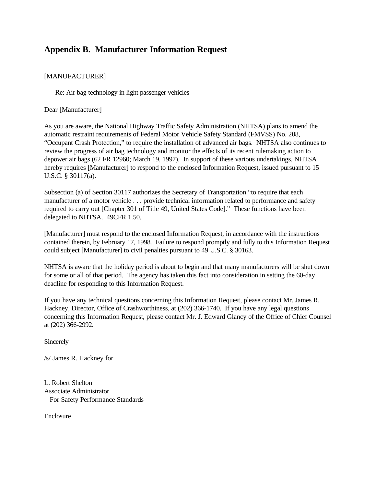# **Appendix B. Manufacturer Information Request**

#### [MANUFACTURER]

Re: Air bag technology in light passenger vehicles

Dear [Manufacturer]

As you are aware, the National Highway Traffic Safety Administration (NHTSA) plans to amend the automatic restraint requirements of Federal Motor Vehicle Safety Standard (FMVSS) No. 208, "Occupant Crash Protection," to require the installation of advanced air bags. NHTSA also continues to review the progress of air bag technology and monitor the effects of its recent rulemaking action to depower air bags (62 FR 12960; March 19, 1997). In support of these various undertakings, NHTSA hereby requires [Manufacturer] to respond to the enclosed Information Request, issued pursuant to 15 U.S.C. § 30117(a).

Subsection (a) of Section 30117 authorizes the Secretary of Transportation "to require that each manufacturer of a motor vehicle . . . provide technical information related to performance and safety required to carry out [Chapter 301 of Title 49, United States Code]." These functions have been delegated to NHTSA. 49CFR 1.50.

[Manufacturer] must respond to the enclosed Information Request, in accordance with the instructions contained therein, by February 17, 1998. Failure to respond promptly and fully to this Information Request could subject [Manufacturer] to civil penalties pursuant to 49 U.S.C. § 30163.

NHTSA is aware that the holiday period is about to begin and that many manufacturers will be shut down for some or all of that period. The agency has taken this fact into consideration in setting the 60-day deadline for responding to this Information Request.

If you have any technical questions concerning this Information Request, please contact Mr. James R. Hackney, Director, Office of Crashworthiness, at (202) 366-1740. If you have any legal questions concerning this Information Request, please contact Mr. J. Edward Glancy of the Office of Chief Counsel at (202) 366-2992.

**Sincerely** 

/s/ James R. Hackney for

L. Robert Shelton Associate Administrator For Safety Performance Standards

Enclosure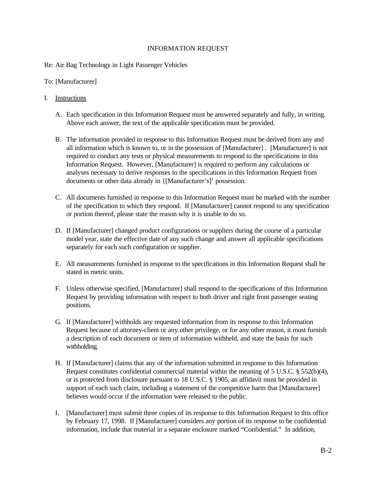#### INFORMATION REQUEST

#### Re: Air Bag Technology in Light Passenger Vehicles

To: [Manufacturer]

#### I. Instructions

- A. Each specification in this Information Request must be answered separately and fully, in writing. Above each answer, the text of the applicable specification must be provided.
- B. The information provided in response to this Information Request must be derived from any and all information which is known to, or in the possession of [Manufacturer] . [Manufacturer] is not required to conduct any tests or physical measurements to respond to the specifications in this Information Request. However, [Manufacturer] is required to perform any calculations or analyses necessary to derive responses to the specifications in this Information Request from documents or other data already in {[Manufacturer's]' possession.
- C. All documents furnished in response to this Information Request must be marked with the number of the specification to which they respond. If [Manufacturer] cannot respond to any specification or portion thereof, please state the reason why it is unable to do so.
- D. If [Manufacturer] changed product configurations or suppliers during the course of a particular model year, state the effective date of any such change and answer all applicable specifications separately for each such configuration or supplier.
- E. All measurements furnished in response to the specifications in this Information Request shall be stated in metric units.
- F. Unless otherwise specified, [Manufacturer] shall respond to the specifications of this Information Request by providing information with respect to both driver and right front passenger seating positions.
- G. If [Manufacturer] withholds any requested information from its response to this Information Request because of attorney-client or any other privilege, or for any other reason, it must furnish a description of each document or item of information withheld, and state the basis for such withholding.
- H. If [Manufacturer] claims that any of the information submitted in response to this Information Request constitutes confidential commercial material within the meaning of 5 U.S.C. § 552(b)(4), or is protected from disclosure pursuant to 18 U.S.C. § 1905, an affidavit must be provided in support of each such claim, including a statement of the competitive harm that [Manufacturer] believes would occur if the information were released to the public.
- I. [Manufacturer] must submit three copies of its response to this Information Request to this office by February 17, 1998. If [Manufacturer] considers any portion of its response to be confidential information, include that material in a separate enclosure marked "Confidential." In addition,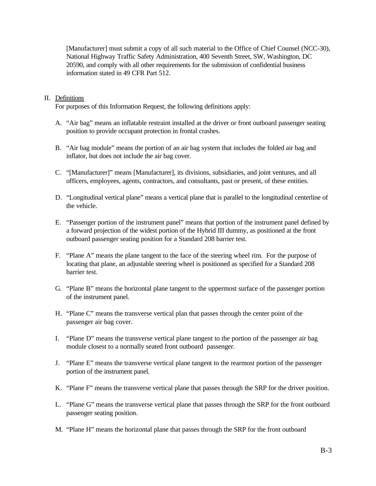[Manufacturer] must submit a copy of all such material to the Office of Chief Counsel (NCC-30), National Highway Traffic Safety Administration, 400 Seventh Street, SW, Washington, DC 20590, and comply with all other requirements for the submission of confidential business information stated in 49 CFR Part 512.

#### II. Definitions

For purposes of this Information Request, the following definitions apply:

- A. "Air bag" means an inflatable restraint installed at the driver or front outboard passenger seating position to provide occupant protection in frontal crashes.
- B. "Air bag module" means the portion of an air bag system that includes the folded air bag and inflator, but does not include the air bag cover.
- C. "[Manufacturer]" means [Manufacturer], its divisions, subsidiaries, and joint ventures, and all officers, employees, agents, contractors, and consultants, past or present, of these entities.
- D. "Longitudinal vertical plane" means a vertical plane that is parallel to the longitudinal centerline of the vehicle.
- E. "Passenger portion of the instrument panel" means that portion of the instrument panel defined by a forward projection of the widest portion of the Hybrid III dummy, as positioned at the front outboard passenger seating position for a Standard 208 barrier test.
- F. "Plane A" means the plane tangent to the face of the steering wheel rim. For the purpose of locating that plane, an adjustable steering wheel is positioned as specified for a Standard 208 barrier test.
- G. "Plane B" means the horizontal plane tangent to the uppermost surface of the passenger portion of the instrument panel.
- H. "Plane C" means the transverse vertical plan that passes through the center point of the passenger air bag cover.
- I. "Plane D" means the transverse vertical plane tangent to the portion of the passenger air bag module closest to a normally seated front outboard passenger.
- J. "Plane E" means the transverse vertical plane tangent to the rearmost portion of the passenger portion of the instrument panel.
- K. "Plane F" means the transverse vertical plane that passes through the SRP for the driver position.
- L. "Plane G" means the transverse vertical plane that passes through the SRP for the front outboard passenger seating position.
- M. "Plane H" means the horizontal plane that passes through the SRP for the front outboard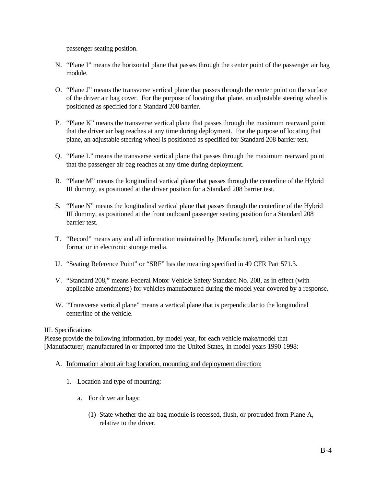passenger seating position.

- N. "Plane I" means the horizontal plane that passes through the center point of the passenger air bag module.
- O. "Plane J" means the transverse vertical plane that passes through the center point on the surface of the driver air bag cover. For the purpose of locating that plane, an adjustable steering wheel is positioned as specified for a Standard 208 barrier.
- P. "Plane K" means the transverse vertical plane that passes through the maximum rearward point that the driver air bag reaches at any time during deployment. For the purpose of locating that plane, an adjustable steering wheel is positioned as specified for Standard 208 barrier test.
- Q. "Plane L" means the transverse vertical plane that passes through the maximum rearward point that the passenger air bag reaches at any time during deployment.
- R. "Plane M" means the longitudinal vertical plane that passes through the centerline of the Hybrid III dummy, as positioned at the driver position for a Standard 208 barrier test.
- S. "Plane N" means the longitudinal vertical plane that passes through the centerline of the Hybrid III dummy, as positioned at the front outboard passenger seating position for a Standard 208 barrier test.
- T. "Record" means any and all information maintained by [Manufacturer], either in hard copy format or in electronic storage media.
- U. "Seating Reference Point" or "SRF" has the meaning specified in 49 CFR Part 571.3.
- V. "Standard 208," means Federal Motor Vehicle Safety Standard No. 208, as in effect (with applicable amendments) for vehicles manufactured during the model year covered by a response.
- W. "Transverse vertical plane" means a vertical plane that is perpendicular to the longitudinal centerline of the vehicle.

#### III. Specifications

Please provide the following information, by model year, for each vehicle make/model that [Manufacturer] manufactured in or imported into the United States, in model years 1990-1998:

- A. Information about air bag location, mounting and deployment direction:
	- 1. Location and type of mounting:
		- a. For driver air bags:
			- (1) State whether the air bag module is recessed, flush, or protruded from Plane A, relative to the driver.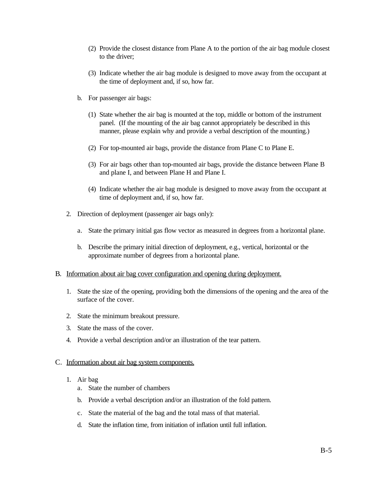- (2) Provide the closest distance from Plane A to the portion of the air bag module closest to the driver;
- (3) Indicate whether the air bag module is designed to move away from the occupant at the time of deployment and, if so, how far.
- b. For passenger air bags:
	- (1) State whether the air bag is mounted at the top, middle or bottom of the instrument panel. (If the mounting of the air bag cannot appropriately be described in this manner, please explain why and provide a verbal description of the mounting.)
	- (2) For top-mounted air bags, provide the distance from Plane C to Plane E.
	- (3) For air bags other than top-mounted air bags, provide the distance between Plane B and plane I, and between Plane H and Plane I.
	- (4) Indicate whether the air bag module is designed to move away from the occupant at time of deployment and, if so, how far.
- 2. Direction of deployment (passenger air bags only):
	- a. State the primary initial gas flow vector as measured in degrees from a horizontal plane.
	- b. Describe the primary initial direction of deployment, e.g., vertical, horizontal or the approximate number of degrees from a horizontal plane.
- B. Information about air bag cover configuration and opening during deployment.
	- 1. State the size of the opening, providing both the dimensions of the opening and the area of the surface of the cover.
	- 2. State the minimum breakout pressure.
	- 3. State the mass of the cover.
	- 4. Provide a verbal description and/or an illustration of the tear pattern.

#### C. Information about air bag system components.

- 1. Air bag
	- a. State the number of chambers
	- b. Provide a verbal description and/or an illustration of the fold pattern.
	- c. State the material of the bag and the total mass of that material.
	- d. State the inflation time, from initiation of inflation until full inflation.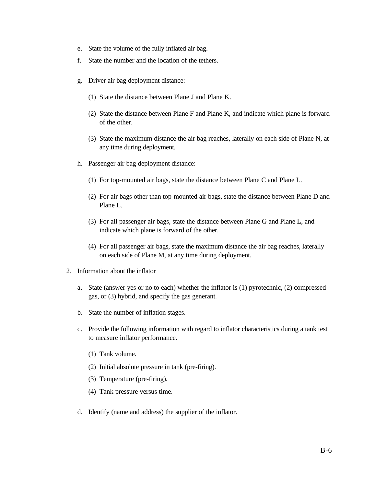- e. State the volume of the fully inflated air bag.
- f. State the number and the location of the tethers.
- g. Driver air bag deployment distance:
	- (1) State the distance between Plane J and Plane K.
	- (2) State the distance between Plane F and Plane K, and indicate which plane is forward of the other.
	- (3) State the maximum distance the air bag reaches, laterally on each side of Plane N, at any time during deployment.
- h. Passenger air bag deployment distance:
	- (1) For top-mounted air bags, state the distance between Plane C and Plane L.
	- (2) For air bags other than top-mounted air bags, state the distance between Plane D and Plane L.
	- (3) For all passenger air bags, state the distance between Plane G and Plane L, and indicate which plane is forward of the other.
	- (4) For all passenger air bags, state the maximum distance the air bag reaches, laterally on each side of Plane M, at any time during deployment.
- 2. Information about the inflator
	- a. State (answer yes or no to each) whether the inflator is (1) pyrotechnic, (2) compressed gas, or (3) hybrid, and specify the gas generant.
	- b. State the number of inflation stages.
	- c. Provide the following information with regard to inflator characteristics during a tank test to measure inflator performance.
		- (1) Tank volume.
		- (2) Initial absolute pressure in tank (pre-firing).
		- (3) Temperature (pre-firing).
		- (4) Tank pressure versus time.
	- d. Identify (name and address) the supplier of the inflator.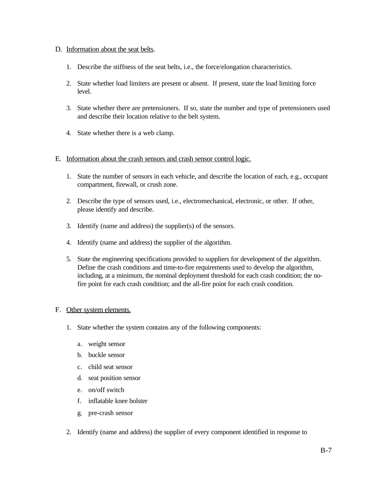#### D. Information about the seat belts.

- 1. Describe the stiffness of the seat belts, i.e., the force/elongation characteristics.
- 2. State whether load limiters are present or absent. If present, state the load limiting force level.
- 3. State whether there are pretensioners. If so, state the number and type of pretensioners used and describe their location relative to the belt system.
- 4. State whether there is a web clamp.
- E. Information about the crash sensors and crash sensor control logic.
	- 1. State the number of sensors in each vehicle, and describe the location of each, e.g., occupant compartment, firewall, or crush zone.
	- 2. Describe the type of sensors used, i.e., electromechanical, electronic, or other. If other, please identify and describe.
	- 3. Identify (name and address) the supplier(s) of the sensors.
	- 4. Identify (name and address) the supplier of the algorithm.
	- 5. State the engineering specifications provided to suppliers for development of the algorithm. Define the crash conditions and time-to-fire requirements used to develop the algorithm, including, at a minimum, the nominal deployment threshold for each crash condition; the nofire point for each crash condition; and the all-fire point for each crash condition.

#### F. Other system elements.

- 1. State whether the system contains any of the following components:
	- a. weight sensor
	- b. buckle sensor
	- c. child seat sensor
	- d. seat position sensor
	- e. on/off switch
	- f. inflatable knee bolster
	- g. pre-crash sensor
- 2. Identify (name and address) the supplier of every component identified in response to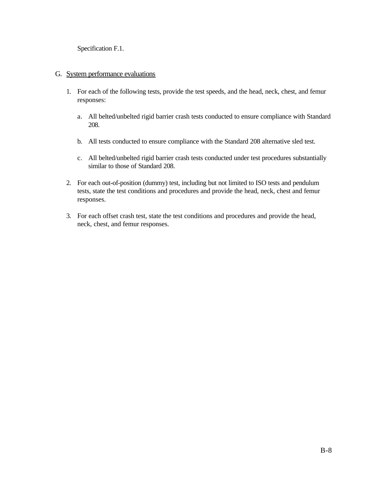Specification F.1.

#### G. System performance evaluations

- 1. For each of the following tests, provide the test speeds, and the head, neck, chest, and femur responses:
	- a. All belted/unbelted rigid barrier crash tests conducted to ensure compliance with Standard 208.
	- b. All tests conducted to ensure compliance with the Standard 208 alternative sled test.
	- c. All belted/unbelted rigid barrier crash tests conducted under test procedures substantially similar to those of Standard 208.
- 2. For each out-of-position (dummy) test, including but not limited to ISO tests and pendulum tests, state the test conditions and procedures and provide the head, neck, chest and femur responses.
- 3. For each offset crash test, state the test conditions and procedures and provide the head, neck, chest, and femur responses.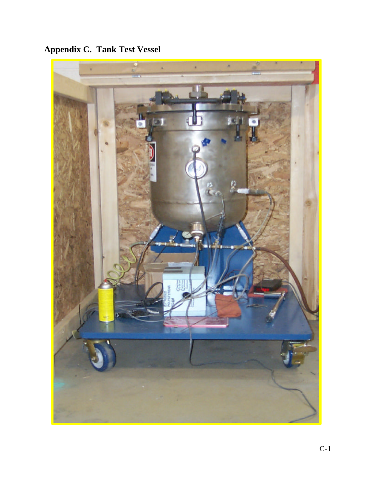**Appendix C. Tank Test Vessel**

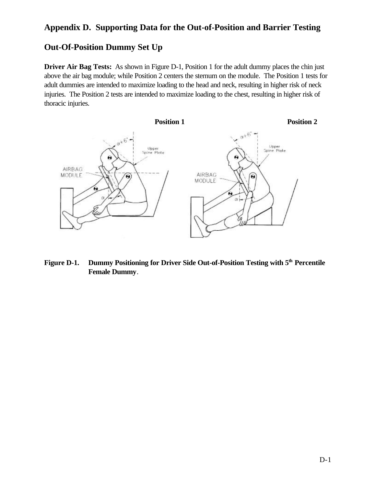# **Appendix D. Supporting Data for the Out-of-Position and Barrier Testing**

## **Out-Of-Position Dummy Set Up**

**Driver Air Bag Tests:** As shown in Figure D-1, Position 1 for the adult dummy places the chin just above the air bag module; while Position 2 centers the sternum on the module. The Position 1 tests for adult dummies are intended to maximize loading to the head and neck, resulting in higher risk of neck injuries. The Position 2 tests are intended to maximize loading to the chest, resulting in higher risk of thoracic injuries.



**Figure D-1. Dummy Positioning for Driver Side Out-of-Position Testing with 5th Percentile Female Dummy**.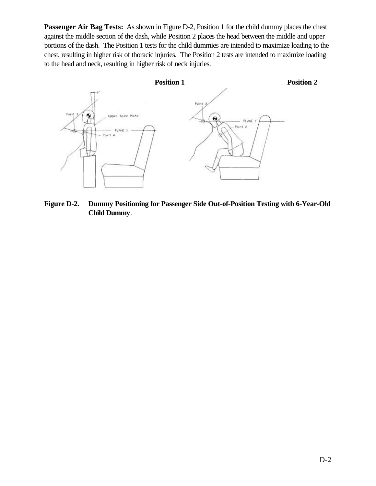**Passenger Air Bag Tests:** As shown in Figure D-2, Position 1 for the child dummy places the chest against the middle section of the dash, while Position 2 places the head between the middle and upper portions of the dash. The Position 1 tests for the child dummies are intended to maximize loading to the chest, resulting in higher risk of thoracic injuries. The Position 2 tests are intended to maximize loading to the head and neck, resulting in higher risk of neck injuries.



**Figure D-2. Dummy Positioning for Passenger Side Out-of-Position Testing with 6-Year-Old Child Dummy**.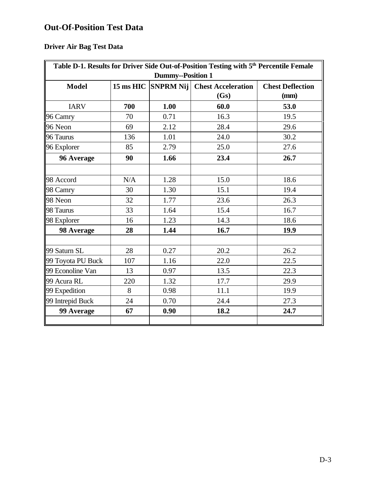# **Out-Of-Position Test Data**

# **Driver Air Bag Test Data**

| Table D-1. Results for Driver Side Out-of-Position Testing with 5 <sup>th</sup> Percentile Female<br><b>Dummy--Position 1</b> |     |      |                                                |                                 |  |
|-------------------------------------------------------------------------------------------------------------------------------|-----|------|------------------------------------------------|---------------------------------|--|
| <b>Model</b>                                                                                                                  |     |      | 15 ms HIC SNPRM Nij Chest Acceleration<br>(Gs) | <b>Chest Deflection</b><br>(mm) |  |
| <b>IARV</b>                                                                                                                   | 700 | 1.00 | 60.0                                           | 53.0                            |  |
| 96 Camry                                                                                                                      | 70  | 0.71 | 16.3                                           | 19.5                            |  |
| 96 Neon                                                                                                                       | 69  | 2.12 | 28.4                                           | 29.6                            |  |
| 96 Taurus                                                                                                                     | 136 | 1.01 | 24.0                                           | 30.2                            |  |
| 96 Explorer                                                                                                                   | 85  | 2.79 | 25.0                                           | 27.6                            |  |
| 96 Average                                                                                                                    | 90  | 1.66 | 23.4                                           | 26.7                            |  |
| 98 Accord                                                                                                                     | N/A | 1.28 | 15.0                                           | 18.6                            |  |
| 98 Camry                                                                                                                      | 30  | 1.30 | 15.1                                           | 19.4                            |  |
| 98 Neon                                                                                                                       | 32  | 1.77 | 23.6                                           | 26.3                            |  |
| 98 Taurus                                                                                                                     | 33  | 1.64 | 15.4                                           | 16.7                            |  |
| 98 Explorer                                                                                                                   | 16  | 1.23 | 14.3                                           | 18.6                            |  |
| 98 Average                                                                                                                    | 28  | 1.44 | 16.7                                           | 19.9                            |  |
| 99 Saturn SL                                                                                                                  | 28  | 0.27 | 20.2                                           | 26.2                            |  |
| 99 Toyota PU Buck                                                                                                             | 107 | 1.16 | 22.0                                           | 22.5                            |  |
| 99 Econoline Van                                                                                                              | 13  | 0.97 | 13.5                                           | 22.3                            |  |
| 99 Acura RL                                                                                                                   | 220 | 1.32 | 17.7                                           | 29.9                            |  |
| 99 Expedition                                                                                                                 | 8   | 0.98 | 11.1                                           | 19.9                            |  |
| 99 Intrepid Buck                                                                                                              | 24  | 0.70 | 24.4                                           | 27.3                            |  |
| 99 Average                                                                                                                    | 67  | 0.90 | 18.2                                           | 24.7                            |  |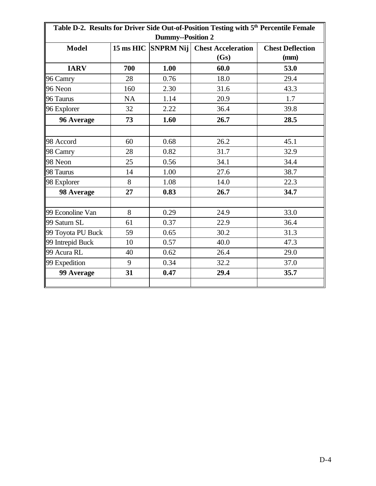| Table D-2. Results for Driver Side Out-of-Position Testing with 5 <sup>th</sup> Percentile Female<br><b>Dummy--Position 2</b> |           |      |                                                |                                 |  |
|-------------------------------------------------------------------------------------------------------------------------------|-----------|------|------------------------------------------------|---------------------------------|--|
| <b>Model</b>                                                                                                                  |           |      | 15 ms HIC SNPRM Nij Chest Acceleration<br>(Gs) | <b>Chest Deflection</b><br>(mm) |  |
| <b>IARV</b>                                                                                                                   | 700       | 1.00 | 60.0                                           | 53.0                            |  |
| 96 Camry                                                                                                                      | 28        | 0.76 | 18.0                                           | 29.4                            |  |
| 96 Neon                                                                                                                       | 160       | 2.30 | 31.6                                           | 43.3                            |  |
| 96 Taurus                                                                                                                     | <b>NA</b> | 1.14 | 20.9                                           | 1.7                             |  |
| 96 Explorer                                                                                                                   | 32        | 2.22 | 36.4                                           | 39.8                            |  |
| 96 Average                                                                                                                    | 73        | 1.60 | 26.7                                           | 28.5                            |  |
| 98 Accord                                                                                                                     | 60        | 0.68 | 26.2                                           | 45.1                            |  |
| 98 Camry                                                                                                                      | 28        | 0.82 | 31.7                                           | 32.9                            |  |
| 98 Neon                                                                                                                       | 25        | 0.56 | 34.1                                           | 34.4                            |  |
| 98 Taurus                                                                                                                     | 14        | 1.00 | 27.6                                           | 38.7                            |  |
| 98 Explorer                                                                                                                   | 8         | 1.08 | 14.0                                           | 22.3                            |  |
| 98 Average                                                                                                                    | 27        | 0.83 | 26.7                                           | 34.7                            |  |
| 99 Econoline Van                                                                                                              | 8         | 0.29 | 24.9                                           | 33.0                            |  |
| 99 Saturn SL                                                                                                                  | 61        | 0.37 | 22.9                                           | 36.4                            |  |
| 99 Toyota PU Buck                                                                                                             | 59        | 0.65 | 30.2                                           | 31.3                            |  |
| 99 Intrepid Buck                                                                                                              | 10        | 0.57 | 40.0                                           | 47.3                            |  |
| 99 Acura RL                                                                                                                   | 40        | 0.62 | 26.4                                           | 29.0                            |  |
| 99 Expedition                                                                                                                 | 9         | 0.34 | 32.2                                           | 37.0                            |  |
| 99 Average                                                                                                                    | 31        | 0.47 | 29.4                                           | 35.7                            |  |
|                                                                                                                               |           |      |                                                |                                 |  |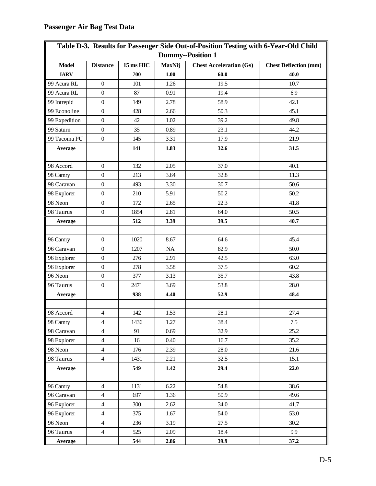| <b>Dummy--Position 1</b> |                         |           |               |                                |                              |  |
|--------------------------|-------------------------|-----------|---------------|--------------------------------|------------------------------|--|
| <b>Model</b>             | <b>Distance</b>         | 15 ms HIC | <b>MaxNij</b> | <b>Chest Acceleration (Gs)</b> | <b>Chest Deflection (mm)</b> |  |
| <b>IARV</b>              |                         | 700       | 1.00          | 60.0                           | 40.0                         |  |
| 99 Acura RL              | $\boldsymbol{0}$        | 101       | 1.26          | 19.5                           | 10.7                         |  |
| 99 Acura RL              | $\boldsymbol{0}$        | 87        | 0.91          | 19.4                           | 6.9                          |  |
| 99 Intrepid              | $\boldsymbol{0}$        | 149       | 2.78          | 58.9                           | 42.1                         |  |
| 99 Econoline             | $\boldsymbol{0}$        | 428       | 2.66          | 50.3                           | 45.1                         |  |
| 99 Expedition            | $\boldsymbol{0}$        | 42        | 1.02          | 39.2                           | 49.8                         |  |
| 99 Saturn                | $\boldsymbol{0}$        | 35        | 0.89          | 23.1                           | 44.2                         |  |
| 99 Tacoma PU             | $\boldsymbol{0}$        | 145       | 3.31          | 17.9                           | 21.9                         |  |
| Average                  |                         | 141       | 1.83          | 32.6                           | 31.5                         |  |
|                          |                         |           |               |                                |                              |  |
| 98 Accord                | $\boldsymbol{0}$        | 132       | 2.05          | 37.0                           | 40.1                         |  |
| 98 Camry                 | $\boldsymbol{0}$        | 213       | 3.64          | 32.8                           | 11.3                         |  |
| 98 Caravan               | $\boldsymbol{0}$        | 493       | 3.30          | 30.7                           | 50.6                         |  |
| 98 Explorer              | $\boldsymbol{0}$        | 210       | 5.91          | 50.2                           | $50.2\,$                     |  |
| 98 Neon                  | $\boldsymbol{0}$        | 172       | 2.65          | 22.3                           | 41.8                         |  |
| 98 Taurus                | $\boldsymbol{0}$        | 1854      | 2.81          | 64.0                           | 50.5                         |  |
| Average                  |                         | 512       | 3.39          | 39.5                           | 40.7                         |  |
|                          |                         |           |               |                                |                              |  |
| 96 Camry                 | $\boldsymbol{0}$        | 1020      | 8.67          | 64.6                           | 45.4                         |  |
| 96 Caravan               | $\boldsymbol{0}$        | 1207      | NA            | 82.9                           | 50.0                         |  |
| 96 Explorer              | $\boldsymbol{0}$        | 276       | 2.91          | 42.5                           | 63.0                         |  |
| 96 Explorer              | $\boldsymbol{0}$        | 278       | 3.58          | 37.5                           | 60.2                         |  |
| 96 Neon                  | $\boldsymbol{0}$        | 377       | 3.13          | 35.7                           | 43.8                         |  |
| 96 Taurus                | $\boldsymbol{0}$        | 2471      | 3.69          | 53.8                           | 28.0                         |  |
| Average                  |                         | 938       | 4.40          | 52.9                           | 48.4                         |  |
|                          |                         |           |               |                                |                              |  |
| 98 Accord                | $\overline{\mathbf{4}}$ | 142       | 1.53          | 28.1                           | 27.4                         |  |
| 98 Camry                 | $\overline{4}$          | 1436      | 1.27          | 38.4                           | 7.5                          |  |
| 98 Caravan               | $\overline{4}$          | 91        | 0.69          | 32.9                           | 25.2                         |  |
| 98 Explorer              | $\overline{4}$          | 16        | 0.40          | 16.7                           | 35.2                         |  |
| 98 Neon                  | $\overline{4}$          | 176       | 2.39          | 28.0                           | 21.6                         |  |
| 98 Taurus                | $\overline{4}$          | 1431      | 2.21          | 32.5                           | 15.1                         |  |
| Average                  |                         | 549       | 1.42          | 29.4                           | 22.0                         |  |
|                          |                         |           |               |                                |                              |  |
| 96 Camry                 | $\overline{4}$          | 1131      | 6.22          | 54.8                           | 38.6                         |  |
| 96 Caravan               | $\overline{4}$          | 697       | 1.36          | 50.9                           | 49.6                         |  |
| 96 Explorer              | $\overline{4}$          | 300       | 2.62          | 34.0                           | 41.7                         |  |
| 96 Explorer              | $\overline{4}$          | 375       | 1.67          | 54.0                           | 53.0                         |  |
| 96 Neon                  | $\overline{4}$          | 236       | 3.19          | 27.5                           | 30.2                         |  |
| 96 Taurus                | $\overline{4}$          | 525       | 2.09          | 18.4                           | 9.9                          |  |
| Average                  |                         | 544       | 2.86          | 39.9                           | 37.2                         |  |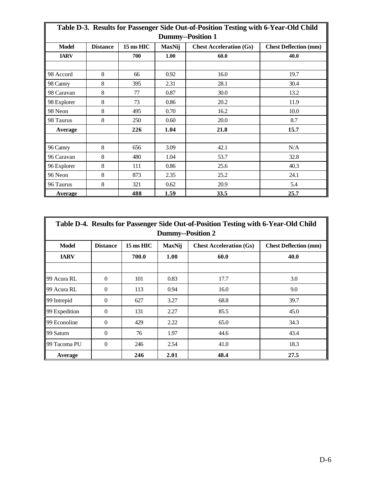| Table D-3. Results for Passenger Side Out-of-Position Testing with 6-Year-Old Child |                 |           |        |                                |                              |  |
|-------------------------------------------------------------------------------------|-----------------|-----------|--------|--------------------------------|------------------------------|--|
| <b>Dummy--Position 1</b>                                                            |                 |           |        |                                |                              |  |
| <b>Model</b>                                                                        | <b>Distance</b> | 15 ms HIC | MaxNij | <b>Chest Acceleration (Gs)</b> | <b>Chest Deflection (mm)</b> |  |
| <b>IARV</b>                                                                         |                 | 700       | 1.00   | 60.0                           | 40.0                         |  |
|                                                                                     |                 |           |        |                                |                              |  |
| 98 Accord                                                                           | 8               | 66        | 0.92   | 16.0                           | 19.7                         |  |
| 98 Camry                                                                            | 8               | 395       | 2.31   | 28.1                           | 30.4                         |  |
| 98 Caravan                                                                          | 8               | 77        | 0.87   | 30.0                           | 13.2                         |  |
| 98 Explorer                                                                         | 8               | 73        | 0.86   | 20.2                           | 11.9                         |  |
| 98 Neon                                                                             | 8               | 495       | 0.70   | 16.2                           | 10.0                         |  |
| 98 Taurus                                                                           | 8               | 250       | 0.60   | 20.0                           | 8.7                          |  |
| <b>Average</b>                                                                      |                 | 226       | 1.04   | 21.8                           | 15.7                         |  |
|                                                                                     |                 |           |        |                                |                              |  |
| 96 Camry                                                                            | 8               | 656       | 3.09   | 42.1                           | N/A                          |  |
| 96 Caravan                                                                          | 8               | 480       | 1.04   | 53.7                           | 32.8                         |  |
| 96 Explorer                                                                         | 8               | 111       | 0.86   | 25.6                           | 40.3                         |  |
| 96 Neon                                                                             | 8               | 873       | 2.35   | 25.2                           | 24.1                         |  |
| 96 Taurus                                                                           | 8               | 321       | 0.62   | 20.9                           | 5.4                          |  |
| <b>Average</b>                                                                      |                 | 488       | 1.59   | 33.5                           | 25.7                         |  |

| Table D-4. Results for Passenger Side Out-of-Position Testing with 6-Year-Old Child<br><b>Dummy--Position 2</b> |                 |                     |               |                                |                              |
|-----------------------------------------------------------------------------------------------------------------|-----------------|---------------------|---------------|--------------------------------|------------------------------|
| <b>Model</b>                                                                                                    | <b>Distance</b> | $15 \text{ ms}$ HIC | <b>MaxNij</b> | <b>Chest Acceleration (Gs)</b> | <b>Chest Deflection (mm)</b> |
| <b>IARV</b>                                                                                                     |                 | 700.0               | 1.00          | 60.0                           | 40.0                         |
|                                                                                                                 |                 |                     |               |                                |                              |
| 99 Acura RL                                                                                                     | $\Omega$        | 101                 | 0.83          | 17.7                           | 3.0                          |
| 99 Acura RL                                                                                                     | $\Omega$        | 113                 | 0.94          | 16.0                           | 9.0                          |
| 99 Intrepid                                                                                                     | $\theta$        | 627                 | 3.27          | 68.8                           | 39.7                         |
| 99 Expedition                                                                                                   | $\Omega$        | 131                 | 2.27          | 85.5                           | 45.0                         |
| 99 Econoline                                                                                                    | $\Omega$        | 429                 | 2.22          | 65.0                           | 34.3                         |
| 99 Saturn                                                                                                       | $\Omega$        | 76                  | 1.97          | 44.6                           | 43.4                         |
| 99 Tacoma PU                                                                                                    | $\Omega$        | 246                 | 2.54          | 41.0                           | 18.3                         |
| Average                                                                                                         |                 | 246                 | 2.01          | 48.4                           | 27.5                         |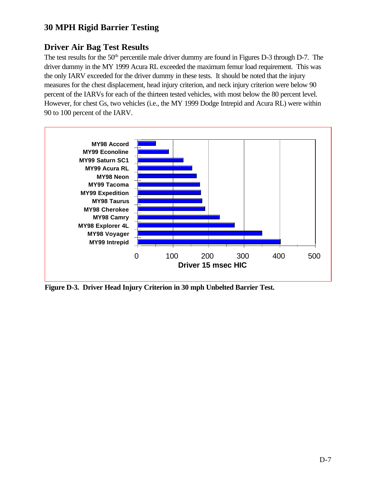# **30 MPH Rigid Barrier Testing**

# **Driver Air Bag Test Results**

The test results for the 50<sup>th</sup> percentile male driver dummy are found in Figures D-3 through D-7. The driver dummy in the MY 1999 Acura RL exceeded the maximum femur load requirement. This was the only IARV exceeded for the driver dummy in these tests. It should be noted that the injury measures for the chest displacement, head injury criterion, and neck injury criterion were below 90 percent of the IARVs for each of the thirteen tested vehicles, with most below the 80 percent level. However, for chest Gs, two vehicles (i.e., the MY 1999 Dodge Intrepid and Acura RL) were within 90 to 100 percent of the IARV.



**Figure D-3. Driver Head Injury Criterion in 30 mph Unbelted Barrier Test.**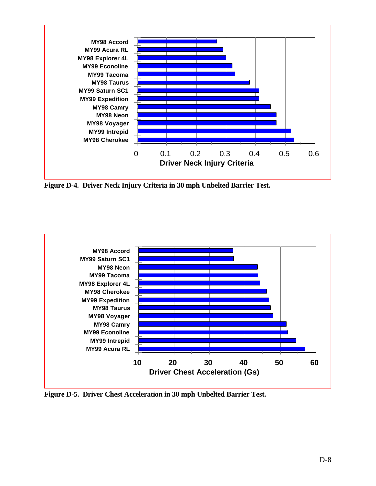

**Figure D-4. Driver Neck Injury Criteria in 30 mph Unbelted Barrier Test.**



**Figure D-5. Driver Chest Acceleration in 30 mph Unbelted Barrier Test.**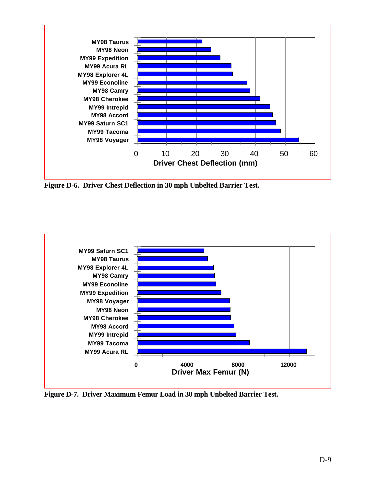

**Figure D-6. Driver Chest Deflection in 30 mph Unbelted Barrier Test.**



**Figure D-7. Driver Maximum Femur Load in 30 mph Unbelted Barrier Test.**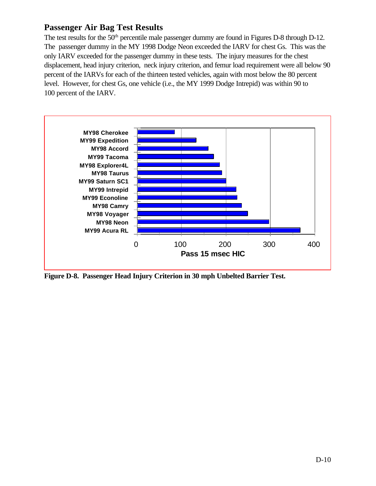## **Passenger Air Bag Test Results**

The test results for the 50<sup>th</sup> percentile male passenger dummy are found in Figures D-8 through D-12. The passenger dummy in the MY 1998 Dodge Neon exceeded the IARV for chest Gs. This was the only IARV exceeded for the passenger dummy in these tests. The injury measures for the chest displacement, head injury criterion, neck injury criterion, and femur load requirement were all below 90 percent of the IARVs for each of the thirteen tested vehicles, again with most below the 80 percent level. However, for chest Gs, one vehicle (i.e., the MY 1999 Dodge Intrepid) was within 90 to 100 percent of the IARV.



**Figure D-8. Passenger Head Injury Criterion in 30 mph Unbelted Barrier Test.**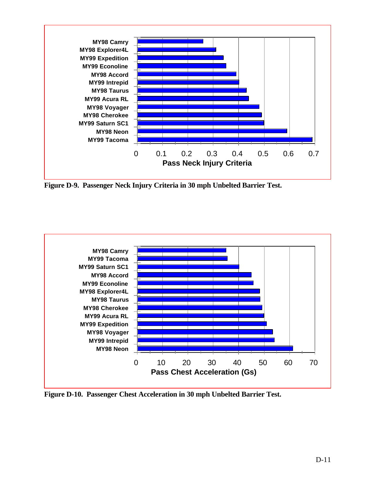

**Figure D-9. Passenger Neck Injury Criteria in 30 mph Unbelted Barrier Test.**



**Figure D-10. Passenger Chest Acceleration in 30 mph Unbelted Barrier Test.**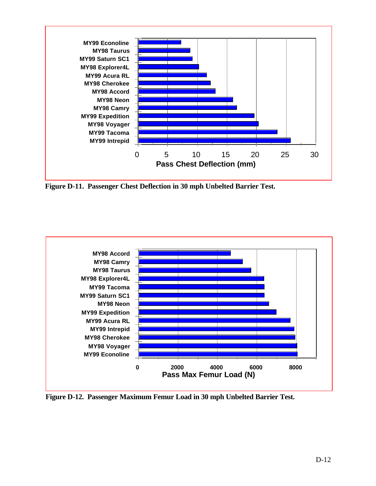

**Figure D-11. Passenger Chest Deflection in 30 mph Unbelted Barrier Test.**



**Figure D-12. Passenger Maximum Femur Load in 30 mph Unbelted Barrier Test.**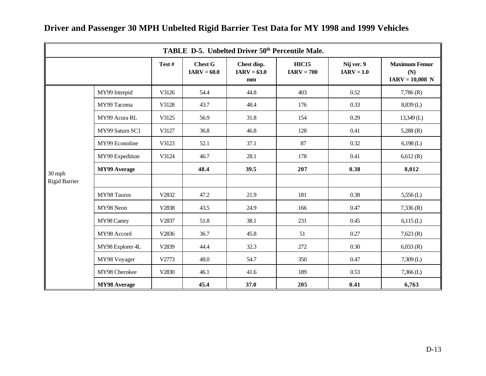|                      |                     |       |                                 | TABLE D-5. Unbelted Driver 50 <sup>th</sup> Percentile Male. |                              |                            |                                                  |  |
|----------------------|---------------------|-------|---------------------------------|--------------------------------------------------------------|------------------------------|----------------------------|--------------------------------------------------|--|
|                      |                     | Test# | <b>Chest G</b><br>$IARV = 60.0$ | Chest disp.<br>$IARV = 63.0$<br>mm                           | <b>HIC15</b><br>$IARV = 700$ | Nij ver. 9<br>$IARV = 1.0$ | <b>Maximum Femur</b><br>(N)<br>$IARV = 10,008$ N |  |
|                      | MY99 Intrepid       | V3126 | 54.4                            | 44.8                                                         | 403                          | 0.52                       | 7,786(R)                                         |  |
|                      | MY99 Tacoma         | V3128 | 43.7                            | 48.4                                                         | 176                          | 0.33                       | 8,839 (L)                                        |  |
|                      | MY99 Acura RL       | V3125 | 56.9                            | 31.8                                                         | 154                          | 0.29                       | $13,349$ (L)                                     |  |
|                      | MY99 Saturn SC1     | V3127 | 36.8                            | 46.8                                                         | 128                          | 0.41                       | $5,288$ (R)                                      |  |
|                      | MY99 Econoline      | V3123 | 52.1                            | 37.1                                                         | 87                           | 0.32                       | $6,198$ (L)                                      |  |
|                      | MY99 Expedition     | V3124 | 46.7                            | 28.1                                                         | 178                          | 0.41                       | 6,612(R)                                         |  |
| 30 mph               | <b>MY99 Average</b> |       | 48.4                            | 39.5                                                         | 207                          | 0.38                       | 8,012                                            |  |
| <b>Rigid Barrier</b> |                     |       |                                 |                                                              |                              |                            |                                                  |  |
|                      | MY98 Taurus         | V2832 | 47.2                            | 21.9                                                         | 181                          | 0.38                       | $5,556$ (L)                                      |  |
|                      | MY98 Neon           | V2838 | 43.5                            | 24.9                                                         | 166                          | 0.47                       | 7,336(R)                                         |  |
|                      | MY98 Camry          | V2837 | 51.8                            | 38.1                                                         | 231                          | 0.45                       | 6,115(L)                                         |  |
|                      | MY98 Accord         | V2836 | 36.7                            | 45.8                                                         | 51                           | 0.27                       | 7,623(R)                                         |  |
|                      | MY98 Explorer 4L    | V2839 | 44.4                            | 32.3                                                         | 272                          | 0.30                       | 6,033(R)                                         |  |
|                      | MY98 Voyager        | V2773 | 48.0                            | 54.7                                                         | 350                          | 0.47                       | $7,309$ (L)                                      |  |
|                      | MY98 Cherokee       | V2830 | 46.1                            | 41.6                                                         | 189                          | 0.53                       | $7,366$ (L)                                      |  |
|                      | <b>MY98</b> Average |       | 45.4                            | 37.0                                                         | 205                          | 0.41                       | 6,763                                            |  |

# **Driver and Passenger 30 MPH Unbelted Rigid Barrier Test Data for MY 1998 and 1999 Vehicles**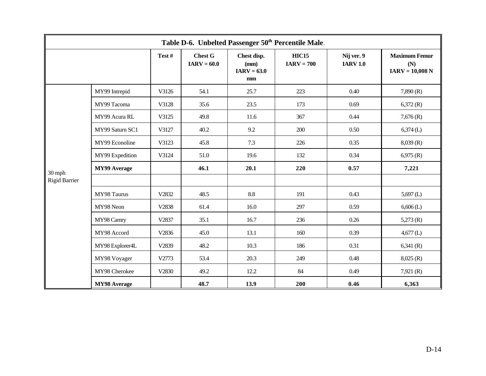|                      |                     |       |                                 |                                            | Table D-6. Unbelted Passenger 50 <sup>th</sup> Percentile Male. |                               |                                                  |  |
|----------------------|---------------------|-------|---------------------------------|--------------------------------------------|-----------------------------------------------------------------|-------------------------------|--------------------------------------------------|--|
|                      |                     | Test# | <b>Chest G</b><br>$IARV = 60.0$ | Chest disp.<br>(mm)<br>$IARV = 63.0$<br>mm | <b>HIC15</b><br>$IARV = 700$                                    | Nij ver. 9<br><b>IARV 1.0</b> | <b>Maximum Femur</b><br>(N)<br>$IARY = 10,008 N$ |  |
|                      | MY99 Intrepid       | V3126 | 54.1                            | 25.7                                       | 223                                                             | 0.40                          | 7,890(R)                                         |  |
|                      | MY99 Tacoma         | V3128 | 35.6                            | 23.5                                       | 173                                                             | 0.69                          | 6,372(R)                                         |  |
|                      | MY99 Acura RL       | V3125 | 49.8                            | 11.6                                       | 367                                                             | 0.44                          | 7,676(R)                                         |  |
|                      | MY99 Saturn SC1     | V3127 | 40.2                            | 9.2                                        | 200                                                             | 0.50                          | $6,374$ (L)                                      |  |
|                      | MY99 Econoline      | V3123 | 45.8                            | 7.3                                        | 226                                                             | 0.35                          | 8,039(R)                                         |  |
|                      | MY99 Expedition     | V3124 | 51.0                            | 19.6                                       | 132                                                             | 0.34                          | 6,975(R)                                         |  |
| 30 mph               | <b>MY99 Average</b> |       | 46.1                            | 20.1                                       | 220                                                             | 0.57                          | 7,221                                            |  |
| <b>Rigid Barrier</b> |                     |       |                                 |                                            |                                                                 |                               |                                                  |  |
|                      | MY98 Taurus         | V2832 | 48.5                            | 8.8                                        | 191                                                             | 0.43                          | $5,697$ (L)                                      |  |
|                      | MY98 Neon           | V2838 | 61.4                            | 16.0                                       | 297                                                             | 0.59                          | $6,606$ (L)                                      |  |
|                      | MY98 Camry          | V2837 | 35.1                            | 16.7                                       | 236                                                             | 0.26                          | 5,273(R)                                         |  |
|                      | MY98 Accord         | V2836 | 45.0                            | 13.1                                       | 160                                                             | 0.39                          | $4,677$ (L)                                      |  |
|                      | MY98 Explorer4L     | V2839 | 48.2                            | 10.3                                       | 186                                                             | 0.31                          | 6,341(R)                                         |  |
|                      | MY98 Voyager        | V2773 | 53.4                            | 20.3                                       | 249                                                             | 0.48                          | 8,025(R)                                         |  |
|                      | MY98 Cherokee       | V2830 | 49.2                            | 12.2                                       | 84                                                              | 0.49                          | 7,921 $(R)$                                      |  |
|                      | <b>MY98</b> Average |       | 48.7                            | 13.9                                       | 200                                                             | 0.46                          | 6,363                                            |  |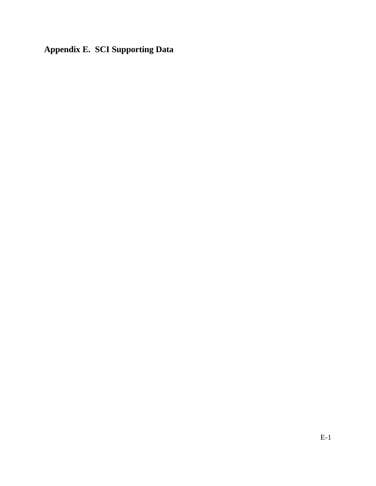**Appendix E. SCI Supporting Data**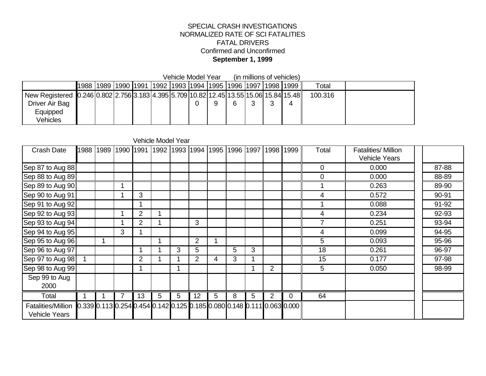#### SPECIAL CRASH INVESTIGATIONS NORMALIZED RATE OF SCI FATALITIES FATAL DRIVERS Confirmed and Unconfirmed **September 1, 1999**

Vehicle Model Year (in millions of vehicles)

|                                                                                        |  |  | 1988  1989  1990  1991  1992  1993  1994  1995  1996  1997 |  |   | 1998  1999 | Total   |  |
|----------------------------------------------------------------------------------------|--|--|------------------------------------------------------------|--|---|------------|---------|--|
| New Registered 0.246 0.802 2.756 3.183 4.395 5.709 10.82 12.45 13.55 15.06 15.84 15.48 |  |  |                                                            |  |   |            | 100.316 |  |
| Driver Air Bag                                                                         |  |  |                                                            |  | 6 |            |         |  |
| Equipped                                                                               |  |  |                                                            |  |   |            |         |  |
| Vehicles                                                                               |  |  |                                                            |  |   |            |         |  |

#### Vehicle Model Year

| <b>Crash Date</b>                          | 1988 | 1989 | 1990 1991 |                | 1992 |   | 1993 1994      | 1995 | 1996 1997 |   |                | 1998 1999                                                                                       | Total          | <b>Fatalities/ Million</b><br>Vehicle Years |       |
|--------------------------------------------|------|------|-----------|----------------|------|---|----------------|------|-----------|---|----------------|-------------------------------------------------------------------------------------------------|----------------|---------------------------------------------|-------|
| Sep 87 to Aug 88                           |      |      |           |                |      |   |                |      |           |   |                |                                                                                                 | 0              | 0.000                                       | 87-88 |
| Sep 88 to Aug 89                           |      |      |           |                |      |   |                |      |           |   |                |                                                                                                 | $\overline{0}$ | 0.000                                       | 88-89 |
| Sep 89 to Aug 90                           |      |      |           |                |      |   |                |      |           |   |                |                                                                                                 |                | 0.263                                       | 89-90 |
| Sep 90 to Aug 91                           |      |      |           | 3              |      |   |                |      |           |   |                |                                                                                                 | 4              | 0.572                                       | 90-91 |
| Sep 91 to Aug 92                           |      |      |           |                |      |   |                |      |           |   |                |                                                                                                 |                | 0.088                                       | 91-92 |
| Sep 92 to Aug 93                           |      |      |           | $\overline{2}$ |      |   |                |      |           |   |                |                                                                                                 | 4              | 0.234                                       | 92-93 |
| Sep 93 to Aug 94                           |      |      |           | 2              |      |   | 3              |      |           |   |                |                                                                                                 |                | 0.251                                       | 93-94 |
| Sep 94 to Aug 95                           |      |      | 3         |                |      |   |                |      |           |   |                |                                                                                                 | 4              | 0.099                                       | 94-95 |
| Sep 95 to Aug 96                           |      |      |           |                |      |   | $\overline{2}$ |      |           |   |                |                                                                                                 | 5              | 0.093                                       | 95-96 |
| Sep 96 to Aug 97                           |      |      |           |                |      | 3 | 5              |      | 5         | 3 |                |                                                                                                 | 18             | 0.261                                       | 96-97 |
| Sep 97 to Aug 98                           |      |      |           | 2              |      |   | 2              | 4    | 3         |   |                |                                                                                                 | 15             | 0.177                                       | 97-98 |
| Sep 98 to Aug 99                           |      |      |           |                |      |   |                |      |           |   | 2              |                                                                                                 | 5              | 0.050                                       | 98-99 |
| Sep 99 to Aug<br>2000                      |      |      |           |                |      |   |                |      |           |   |                |                                                                                                 |                |                                             |       |
| Total                                      |      |      | 7         | 13             | 5    | 5 | 12             | 5    | 8         | 5 | $\overline{2}$ | 0                                                                                               | 64             |                                             |       |
| <b>Fatalities/Million</b><br>Vehicle Years |      |      |           |                |      |   |                |      |           |   |                | $[0.339]$ 0.113 $[0.254]$ 0.454 $[0.142]$ 0.125 $[0.185]$ 0.080 $[0.148]$ 0.111 $[0.063]$ 0.000 |                |                                             |       |